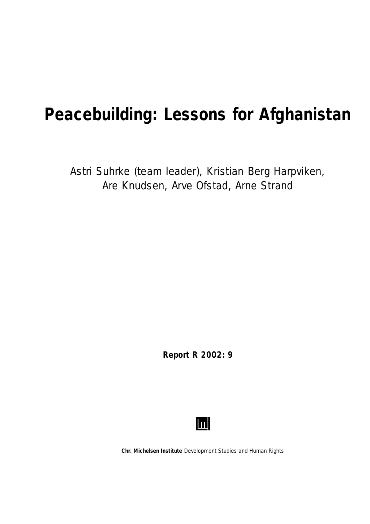# **Peacebuilding: Lessons for Afghanistan**

Astri Suhrke (team leader), Kristian Berg Harpviken, Are Knudsen, Arve Ofstad, Arne Strand

**Report R 2002: 9**



**Chr. Michelsen Institute** *Development Studies and Human Rights*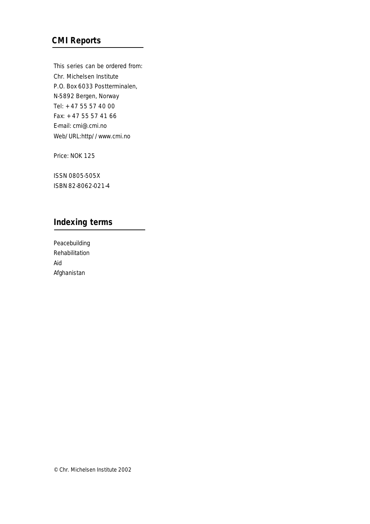### **CMI Reports**

This series can be ordered from: Chr. Michelsen Institute P.O. Box 6033 Postterminalen, N-5892 Bergen, Norway Tel: + 47 55 57 40 00 Fax: + 47 55 57 41 66 E-mail: cmi@.cmi.no Web/URL:http//www.cmi.no

Price: NOK 125

ISSN 0805-505X ISBN 82-8062-021-4

### **Indexing terms**

Peacebuilding Rehabilitation Aid Afghanistan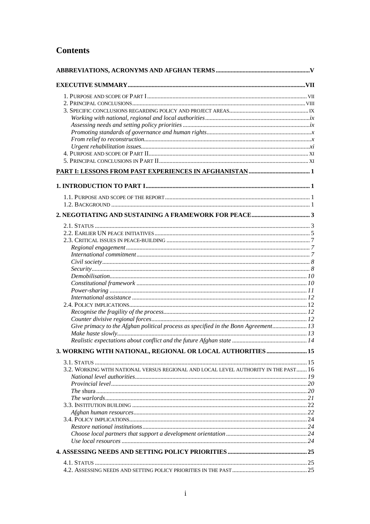### **Contents**

| Give primacy to the Afghan political process as specified in the Bonn Agreement 13  |  |  |
|-------------------------------------------------------------------------------------|--|--|
|                                                                                     |  |  |
|                                                                                     |  |  |
|                                                                                     |  |  |
| 3. WORKING WITH NATIONAL, REGIONAL OR LOCAL AUTHORITIES  15                         |  |  |
|                                                                                     |  |  |
| 3.2. WORKING WITH NATIONAL VERSUS REGIONAL AND LOCAL LEVEL AUTHORITY IN THE PAST 16 |  |  |
|                                                                                     |  |  |
|                                                                                     |  |  |
|                                                                                     |  |  |
|                                                                                     |  |  |
|                                                                                     |  |  |
|                                                                                     |  |  |
|                                                                                     |  |  |
|                                                                                     |  |  |
|                                                                                     |  |  |
|                                                                                     |  |  |
|                                                                                     |  |  |
|                                                                                     |  |  |
|                                                                                     |  |  |
|                                                                                     |  |  |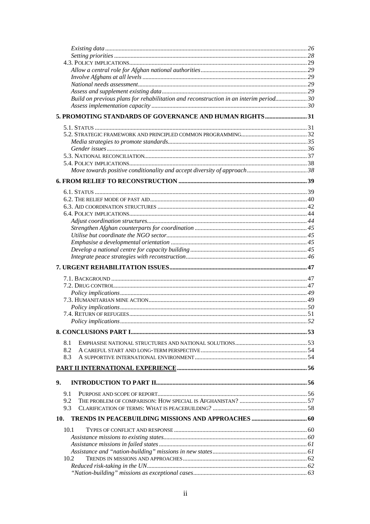| Build on previous plans for rehabilitation and reconstruction in an interim period 30 |  |
|---------------------------------------------------------------------------------------|--|
|                                                                                       |  |
| 5. PROMOTING STANDARDS OF GOVERNANCE AND HUMAN RIGHTS31                               |  |
|                                                                                       |  |
|                                                                                       |  |
|                                                                                       |  |
|                                                                                       |  |
|                                                                                       |  |
|                                                                                       |  |
|                                                                                       |  |
|                                                                                       |  |
|                                                                                       |  |
|                                                                                       |  |
|                                                                                       |  |
|                                                                                       |  |
|                                                                                       |  |
|                                                                                       |  |
|                                                                                       |  |
|                                                                                       |  |
|                                                                                       |  |
|                                                                                       |  |
|                                                                                       |  |
|                                                                                       |  |
|                                                                                       |  |
|                                                                                       |  |
|                                                                                       |  |
|                                                                                       |  |
|                                                                                       |  |
|                                                                                       |  |
|                                                                                       |  |
| 8.1                                                                                   |  |
| 8.2                                                                                   |  |
| 8.3                                                                                   |  |
|                                                                                       |  |
| 9.                                                                                    |  |
| 9.1                                                                                   |  |
| 9.2                                                                                   |  |
| 9.3                                                                                   |  |
| 10.                                                                                   |  |
| 10.1                                                                                  |  |
|                                                                                       |  |
|                                                                                       |  |
|                                                                                       |  |
| 10.2                                                                                  |  |
|                                                                                       |  |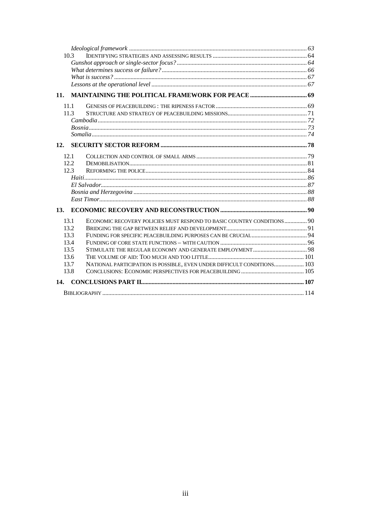| 10.3 |                                                                         |  |
|------|-------------------------------------------------------------------------|--|
|      |                                                                         |  |
|      |                                                                         |  |
|      |                                                                         |  |
|      |                                                                         |  |
| 11.  |                                                                         |  |
| 11.1 |                                                                         |  |
| 11.3 |                                                                         |  |
|      |                                                                         |  |
|      |                                                                         |  |
|      |                                                                         |  |
| 12.  |                                                                         |  |
| 12.1 |                                                                         |  |
| 12.2 |                                                                         |  |
| 12.3 |                                                                         |  |
|      |                                                                         |  |
|      |                                                                         |  |
|      |                                                                         |  |
|      |                                                                         |  |
|      |                                                                         |  |
| 13.1 | ECONOMIC RECOVERY POLICIES MUST RESPOND TO BASIC COUNTRY CONDITIONS 90  |  |
| 13.2 |                                                                         |  |
| 13.3 |                                                                         |  |
| 13.4 |                                                                         |  |
| 13.5 |                                                                         |  |
| 13.6 |                                                                         |  |
| 13.7 | NATIONAL PARTICIPATION IS POSSIBLE, EVEN UNDER DIFFICULT CONDITIONS 103 |  |
| 13.8 |                                                                         |  |
| 14.  |                                                                         |  |
|      |                                                                         |  |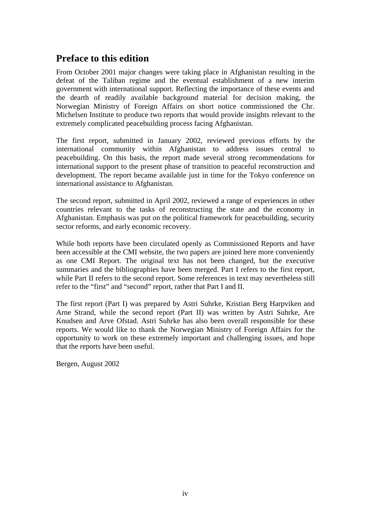### **Preface to this edition**

From October 2001 major changes were taking place in Afghanistan resulting in the defeat of the Taliban regime and the eventual establishment of a new interim government with international support. Reflecting the importance of these events and the dearth of readily available background material for decision making, the Norwegian Ministry of Foreign Affairs on short notice commissioned the Chr. Michelsen Institute to produce two reports that would provide insights relevant to the extremely complicated peacebuilding process facing Afghanistan.

The first report, submitted in January 2002, reviewed previous efforts by the international community within Afghanistan to address issues central to peacebuilding. On this basis, the report made several strong recommendations for international support to the present phase of transition to peaceful reconstruction and development. The report became available just in time for the Tokyo conference on international assistance to Afghanistan.

The second report, submitted in April 2002, reviewed a range of experiences in other countries relevant to the tasks of reconstructing the state and the economy in Afghanistan. Emphasis was put on the political framework for peacebuilding, security sector reforms, and early economic recovery.

While both reports have been circulated openly as Commissioned Reports and have been accessible at the CMI website, the two papers are joined here more conveniently as one CMI Report. The original text has not been changed, but the executive summaries and the bibliographies have been merged. Part I refers to the first report, while Part II refers to the second report. Some references in text may nevertheless still refer to the "first" and "second" report, rather that Part I and II.

The first report (Part I) was prepared by Astri Suhrke, Kristian Berg Harpviken and Arne Strand, while the second report (Part II) was written by Astri Suhrke, Are Knudsen and Arve Ofstad. Astri Suhrke has also been overall responsible for these reports. We would like to thank the Norwegian Ministry of Foreign Affairs for the opportunity to work on these extremely important and challenging issues, and hope that the reports have been useful.

Bergen, August 2002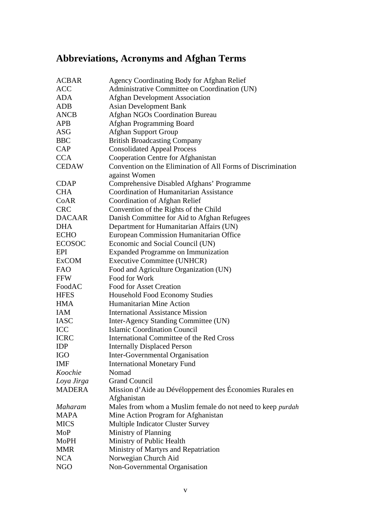## **Abbreviations, Acronyms and Afghan Terms**

| <b>ACBAR</b>   | Agency Coordinating Body for Afghan Relief                   |
|----------------|--------------------------------------------------------------|
| <b>ACC</b>     | Administrative Committee on Coordination (UN)                |
| <b>ADA</b>     | <b>Afghan Development Association</b>                        |
| <b>ADB</b>     | <b>Asian Development Bank</b>                                |
| <b>ANCB</b>    | <b>Afghan NGOs Coordination Bureau</b>                       |
| <b>APB</b>     | Afghan Programming Board                                     |
| <b>ASG</b>     | <b>Afghan Support Group</b>                                  |
| <b>BBC</b>     | <b>British Broadcasting Company</b>                          |
| <b>CAP</b>     | <b>Consolidated Appeal Process</b>                           |
| <b>CCA</b>     | Cooperation Centre for Afghanistan                           |
| <b>CEDAW</b>   | Convention on the Elimination of All Forms of Discrimination |
|                | against Women                                                |
| <b>CDAP</b>    | Comprehensive Disabled Afghans' Programme                    |
| <b>CHA</b>     | <b>Coordination of Humanitarian Assistance</b>               |
| CoAR           | Coordination of Afghan Relief                                |
| <b>CRC</b>     | Convention of the Rights of the Child                        |
| <b>DACAAR</b>  | Danish Committee for Aid to Afghan Refugees                  |
| <b>DHA</b>     | Department for Humanitarian Affairs (UN)                     |
| <b>ECHO</b>    | European Commission Humanitarian Office                      |
| <b>ECOSOC</b>  | Economic and Social Council (UN)                             |
| EPI            | <b>Expanded Programme on Immunization</b>                    |
| <b>ExCOM</b>   | <b>Executive Committee (UNHCR)</b>                           |
| <b>FAO</b>     | Food and Agriculture Organization (UN)                       |
| <b>FFW</b>     | Food for Work                                                |
| FoodAC         | <b>Food for Asset Creation</b>                               |
| <b>HFES</b>    | <b>Household Food Economy Studies</b>                        |
| <b>HMA</b>     | Humanitarian Mine Action                                     |
| <b>IAM</b>     | <b>International Assistance Mission</b>                      |
| <b>IASC</b>    | Inter-Agency Standing Committee (UN)                         |
| ICC            | <b>Islamic Coordination Council</b>                          |
| <b>ICRC</b>    | International Committee of the Red Cross                     |
| <b>IDP</b>     | <b>Internally Displaced Person</b>                           |
| <b>IGO</b>     | Inter-Governmental Organisation                              |
| <b>IMF</b>     | <b>International Monetary Fund</b>                           |
| Koochie        | Nomad                                                        |
| Loya Jirga     | <b>Grand Council</b>                                         |
| <b>MADERA</b>  | Mission d'Aide au Dévéloppement des Économies Rurales en     |
|                | Afghanistan                                                  |
| <b>Maharam</b> | Males from whom a Muslim female do not need to keep purdah   |
| <b>MAPA</b>    | Mine Action Program for Afghanistan                          |
| <b>MICS</b>    | Multiple Indicator Cluster Survey                            |
| MoP            | Ministry of Planning                                         |
| MoPH           | Ministry of Public Health                                    |
| <b>MMR</b>     | Ministry of Martyrs and Repatriation                         |
| <b>NCA</b>     | Norwegian Church Aid                                         |
| <b>NGO</b>     | Non-Governmental Organisation                                |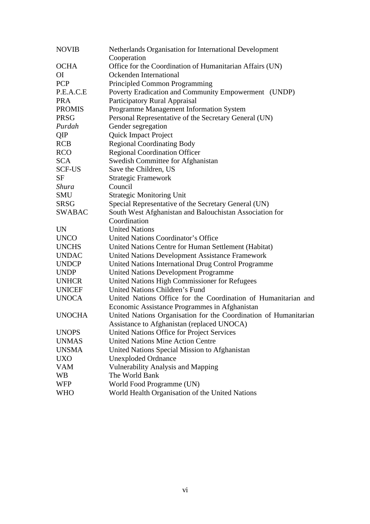| <b>NOVIB</b>   | Netherlands Organisation for International Development<br>Cooperation |
|----------------|-----------------------------------------------------------------------|
| <b>OCHA</b>    | Office for the Coordination of Humanitarian Affairs (UN)              |
| O <sub>I</sub> | Ockenden International                                                |
| <b>PCP</b>     | Principled Common Programming                                         |
| P.E.A.C.E      | Poverty Eradication and Community Empowerment (UNDP)                  |
| <b>PRA</b>     | Participatory Rural Appraisal                                         |
| <b>PROMIS</b>  | Programme Management Information System                               |
| <b>PRSG</b>    | Personal Representative of the Secretary General (UN)                 |
| Purdah         | Gender segregation                                                    |
| QIP            | <b>Quick Impact Project</b>                                           |
| <b>RCB</b>     | <b>Regional Coordinating Body</b>                                     |
| <b>RCO</b>     | <b>Regional Coordination Officer</b>                                  |
| <b>SCA</b>     | Swedish Committee for Afghanistan                                     |
| <b>SCF-US</b>  | Save the Children, US                                                 |
| <b>SF</b>      | <b>Strategic Framework</b>                                            |
| Shura          | Council                                                               |
| SMU            | <b>Strategic Monitoring Unit</b>                                      |
| <b>SRSG</b>    | Special Representative of the Secretary General (UN)                  |
| <b>SWABAC</b>  | South West Afghanistan and Balouchistan Association for               |
|                | Coordination                                                          |
| <b>UN</b>      | <b>United Nations</b>                                                 |
| <b>UNCO</b>    | United Nations Coordinator's Office                                   |
| <b>UNCHS</b>   | United Nations Centre for Human Settlement (Habitat)                  |
| <b>UNDAC</b>   | United Nations Development Assistance Framework                       |
| <b>UNDCP</b>   | United Nations International Drug Control Programme                   |
| <b>UNDP</b>    | <b>United Nations Development Programme</b>                           |
| <b>UNHCR</b>   | United Nations High Commissioner for Refugees                         |
| <b>UNICEF</b>  | United Nations Children's Fund                                        |
| <b>UNOCA</b>   | United Nations Office for the Coordination of Humanitarian and        |
|                | Economic Assistance Programmes in Afghanistan                         |
| <b>UNOCHA</b>  | United Nations Organisation for the Coordination of Humanitarian      |
|                | Assistance to Afghanistan (replaced UNOCA)                            |
| <b>UNOPS</b>   | United Nations Office for Project Services                            |
| <b>UNMAS</b>   | <b>United Nations Mine Action Centre</b>                              |
| <b>UNSMA</b>   | United Nations Special Mission to Afghanistan                         |
| <b>UXO</b>     | <b>Unexploded Ordnance</b>                                            |
| <b>VAM</b>     | Vulnerability Analysis and Mapping                                    |
| WB             | The World Bank                                                        |
| <b>WFP</b>     | World Food Programme (UN)                                             |
| <b>WHO</b>     | World Health Organisation of the United Nations                       |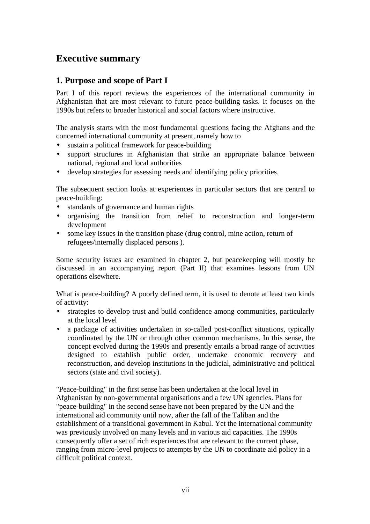### **Executive summary**

### **1. Purpose and scope of Part I**

Part I of this report reviews the experiences of the international community in Afghanistan that are most relevant to future peace-building tasks. It focuses on the 1990s but refers to broader historical and social factors where instructive.

The analysis starts with the most fundamental questions facing the Afghans and the concerned international community at present*,* namely how to

- sustain a political framework for peace-building
- support structures in Afghanistan that strike an appropriate balance between national, regional and local authorities
- develop strategies for assessing needs and identifying policy priorities.

The subsequent section looks at experiences in particular sectors that are central to peace-building:

- standards of governance and human rights
- organising the transition from relief to reconstruction and longer-term development
- some key issues in the transition phase (drug control, mine action, return of refugees/internally displaced persons ).

Some security issues are examined in chapter 2, but peacekeeping will mostly be discussed in an accompanying report (Part II) that examines lessons from UN operations elsewhere.

What is peace-building? A poorly defined term, it is used to denote at least two kinds of activity:

- strategies to develop trust and build confidence among communities, particularly at the local level
- a package of activities undertaken in so-called post-conflict situations, typically coordinated by the UN or through other common mechanisms. In this sense, the concept evolved during the 1990s and presently entails a broad range of activities designed to establish public order, undertake economic recovery and reconstruction, and develop institutions in the judicial, administrative and political sectors (state and civil society).

"Peace-building" in the first sense has been undertaken at the local level in Afghanistan by non-governmental organisations and a few UN agencies. Plans for "peace-building" in the second sense have not been prepared by the UN and the international aid community until now, after the fall of the Taliban and the establishment of a transitional government in Kabul. Yet the international community was previously involved on many levels and in various aid capacities. The 1990s consequently offer a set of rich experiences that are relevant to the current phase, ranging from micro-level projects to attempts by the UN to coordinate aid policy in a difficult political context.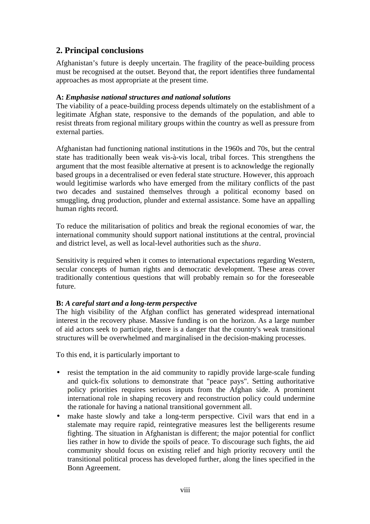### **2. Principal conclusions**

Afghanistan's future is deeply uncertain. The fragility of the peace-building process must be recognised at the outset. Beyond that, the report identifies three fundamental approaches as most appropriate at the present time.

### **A:** *Emphasise national structures and national solutions*

The viability of a peace-building process depends ultimately on the establishment of a legitimate Afghan state, responsive to the demands of the population, and able to resist threats from regional military groups within the country as well as pressure from external parties.

Afghanistan had functioning national institutions in the 1960s and 70s, but the central state has traditionally been weak vis-à-vis local, tribal forces. This strengthens the argument that the most feasible alternative at present is to acknowledge the regionally based groups in a decentralised or even federal state structure. However, this approach would legitimise warlords who have emerged from the military conflicts of the past two decades and sustained themselves through a political economy based on smuggling, drug production, plunder and external assistance. Some have an appalling human rights record.

To reduce the militarisation of politics and break the regional economies of war, the international community should support national institutions at the central, provincial and district level, as well as local-level authorities such as the *shura*.

Sensitivity is required when it comes to international expectations regarding Western, secular concepts of human rights and democratic development. These areas cover traditionally contentious questions that will probably remain so for the foreseeable future.

### **B:** *A careful start and a long-term perspective*

The high visibility of the Afghan conflict has generated widespread international interest in the recovery phase. Massive funding is on the horizon. As a large number of aid actors seek to participate, there is a danger that the country's weak transitional structures will be overwhelmed and marginalised in the decision-making processes.

To this end, it is particularly important to

- resist the temptation in the aid community to rapidly provide large-scale funding and quick-fix solutions to demonstrate that "peace pays". Setting authoritative policy priorities requires serious inputs from the Afghan side. A prominent international role in shaping recovery and reconstruction policy could undermine the rationale for having a national transitional government all.
- make haste slowly and take a long-term perspective. Civil wars that end in a stalemate may require rapid, reintegrative measures lest the belligerents resume fighting. The situation in Afghanistan is different; the major potential for conflict lies rather in how to divide the spoils of peace. To discourage such fights, the aid community should focus on existing relief and high priority recovery until the transitional political process has developed further, along the lines specified in the Bonn Agreement.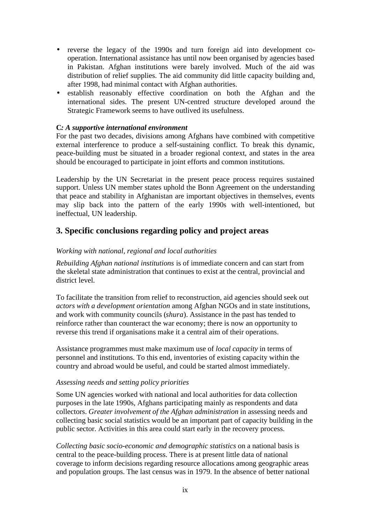- reverse the legacy of the 1990s and turn foreign aid into development cooperation. International assistance has until now been organised by agencies based in Pakistan. Afghan institutions were barely involved. Much of the aid was distribution of relief supplies. The aid community did little capacity building and, after 1998, had minimal contact with Afghan authorities.
- establish reasonably effective coordination on both the Afghan and the international sides. The present UN-centred structure developed around the Strategic Framework seems to have outlived its usefulness.

### **C***: A supportive international environment*

For the past two decades, divisions among Afghans have combined with competitive external interference to produce a self-sustaining conflict. To break this dynamic, peace-building must be situated in a broader regional context, and states in the area should be encouraged to participate in joint efforts and common institutions.

Leadership by the UN Secretariat in the present peace process requires sustained support. Unless UN member states uphold the Bonn Agreement on the understanding that peace and stability in Afghanistan are important objectives in themselves, events may slip back into the pattern of the early 1990s with well-intentioned, but ineffectual, UN leadership.

### **3. Specific conclusions regarding policy and project areas**

### *Working with national, regional and local authorities*

*Rebuilding Afghan national institutions* is of immediate concern and can start from the skeletal state administration that continues to exist at the central, provincial and district level.

To facilitate the transition from relief to reconstruction, aid agencies should seek out *actors with a development orientation* among Afghan NGOs and in state institutions, and work with community councils (*shura*). Assistance in the past has tended to reinforce rather than counteract the war economy; there is now an opportunity to reverse this trend if organisations make it a central aim of their operations.

Assistance programmes must make maximum use of *local capacity* in terms of personnel and institutions. To this end, inventories of existing capacity within the country and abroad would be useful, and could be started almost immediately.

#### *Assessing needs and setting policy priorities*

Some UN agencies worked with national and local authorities for data collection purposes in the late 1990s, Afghans participating mainly as respondents and data collectors. *Greater involvement of the Afghan administration* in assessing needs and collecting basic social statistics would be an important part of capacity building in the public sector. Activities in this area could start early in the recovery process.

*Collecting basic socio-economic and demographic statistics* on a national basis is central to the peace-building process. There is at present little data of national coverage to inform decisions regarding resource allocations among geographic areas and population groups. The last census was in 1979. In the absence of better national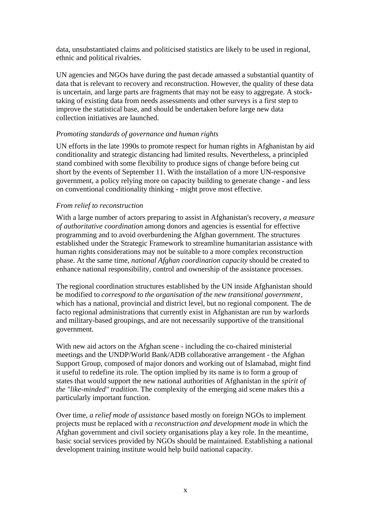data, unsubstantiated claims and politicised statistics are likely to be used in regional, ethnic and political rivalries.

UN agencies and NGOs have during the past decade amassed a substantial quantity of data that is relevant to recovery and reconstruction. However, the quality of these data is uncertain, and large parts are fragments that may not be easy to aggregate. A stocktaking of existing data from needs assessments and other surveys is a first step to improve the statistical base, and should be undertaken before large new data collection initiatives are launched.

### *Promoting standards of governance and human rights*

UN efforts in the late 1990s to promote respect for human rights in Afghanistan by aid conditionality and strategic distancing had limited results. Nevertheless, a principled stand combined with some flexibility to produce signs of change before being cut short by the events of September 11. With the installation of a more UN-responsive government, a policy relying more on capacity building to generate change - and less on conventional conditionality thinking - might prove most effective.

### *From relief to reconstruction*

With a large number of actors preparing to assist in Afghanistan's recovery, *a measure of authoritative coordination* among donors and agencies is essential for effective programming and to avoid overburdening the Afghan government. The structures established under the Strategic Framework to streamline humanitarian assistance with human rights considerations may not be suitable to a more complex reconstruction phase. At the same time, *national Afghan coordination capacity* should be created to enhance national responsibility, control and ownership of the assistance processes.

The regional coordination structures established by the UN inside Afghanistan should be modified to *correspond to the organisation of the new transitional government*, which has a national, provincial and district level, but no regional component. The de facto regional administrations that currently exist in Afghanistan are run by warlords and military-based groupings, and are not necessarily supportive of the transitional government.

With new aid actors on the Afghan scene - including the co-chaired ministerial meetings and the UNDP/World Bank/ADB collaborative arrangement - the Afghan Support Group, composed of major donors and working out of Islamabad, might find it useful to redefine its role. The option implied by its name is to form a group of states that would support the new national authorities of Afghanistan in the *spirit of the "like-minded" tradition*. The complexity of the emerging aid scene makes this a particularly important function.

Over time, *a relief mode of assistance* based mostly on foreign NGOs to implement projects must be replaced with *a reconstruction and development mode* in which the Afghan government and civil society organisations play a key role. In the meantime, basic social services provided by NGOs should be maintained. Establishing a national development training institute would help build national capacity.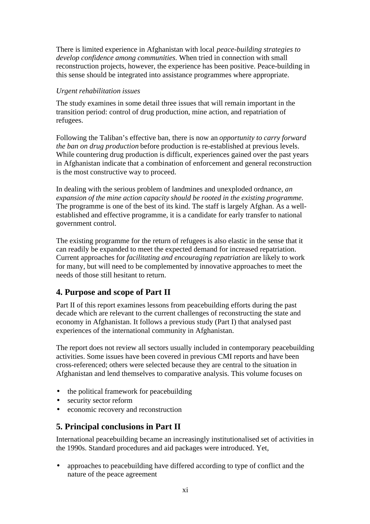There is limited experience in Afghanistan with local *peace-building strategies to develop confidence among communities.* When tried in connection with small reconstruction projects, however, the experience has been positive. Peace-building in this sense should be integrated into assistance programmes where appropriate.

### *Urgent rehabilitation issues*

The study examines in some detail three issues that will remain important in the transition period: control of drug production, mine action, and repatriation of refugees.

Following the Taliban's effective ban, there is now an *opportunity to carry forward the ban on drug production* before production is re-established at previous levels. While countering drug production is difficult, experiences gained over the past years in Afghanistan indicate that a combination of enforcement and general reconstruction is the most constructive way to proceed.

In dealing with the serious problem of landmines and unexploded ordnance, *an expansion of the mine action capacity should be rooted in the existing programme.* The programme is one of the best of its kind. The staff is largely Afghan. As a wellestablished and effective programme, it is a candidate for early transfer to national government control.

The existing programme for the return of refugees is also elastic in the sense that it can readily be expanded to meet the expected demand for increased repatriation. Current approaches for *facilitating and encouraging repatriation* are likely to work for many, but will need to be complemented by innovative approaches to meet the needs of those still hesitant to return.

### **4. Purpose and scope of Part II**

Part II of this report examines lessons from peacebuilding efforts during the past decade which are relevant to the current challenges of reconstructing the state and economy in Afghanistan. It follows a previous study (Part I) that analysed past experiences of the international community in Afghanistan.

The report does not review all sectors usually included in contemporary peacebuilding activities. Some issues have been covered in previous CMI reports and have been cross-referenced; others were selected because they are central to the situation in Afghanistan and lend themselves to comparative analysis. This volume focuses on

- the political framework for peacebuilding
- security sector reform
- economic recovery and reconstruction

### **5. Principal conclusions in Part II**

International peacebuilding became an increasingly institutionalised set of activities in the 1990s. Standard procedures and aid packages were introduced. Yet,

• approaches to peacebuilding have differed according to type of conflict and the nature of the peace agreement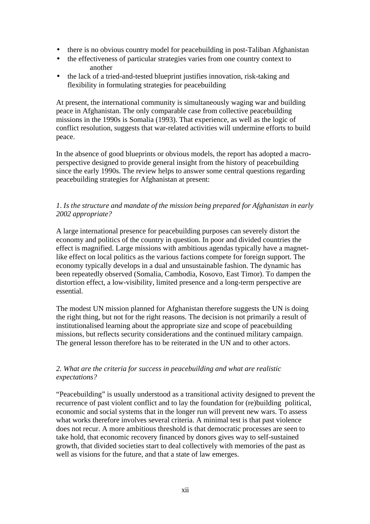- there is no obvious country model for peacebuilding in post-Taliban Afghanistan
- the effectiveness of particular strategies varies from one country context to another
- the lack of a tried-and-tested blueprint justifies innovation, risk-taking and flexibility in formulating strategies for peacebuilding

At present, the international community is simultaneously waging war and building peace in Afghanistan. The only comparable case from collective peacebuilding missions in the 1990s is Somalia (1993). That experience, as well as the logic of conflict resolution, suggests that war-related activities will undermine efforts to build peace.

In the absence of good blueprints or obvious models, the report has adopted a macroperspective designed to provide general insight from the history of peacebuilding since the early 1990s. The review helps to answer some central questions regarding peacebuilding strategies for Afghanistan at present:

### *1. Is the structure and mandate of the mission being prepared for Afghanistan in early 2002 appropriate?*

A large international presence for peacebuilding purposes can severely distort the economy and politics of the country in question. In poor and divided countries the effect is magnified. Large missions with ambitious agendas typically have a magnetlike effect on local politics as the various factions compete for foreign support. The economy typically develops in a dual and unsustainable fashion. The dynamic has been repeatedly observed (Somalia, Cambodia, Kosovo, East Timor). To dampen the distortion effect, a low-visibility, limited presence and a long-term perspective are essential.

The modest UN mission planned for Afghanistan therefore suggests the UN is doing the right thing, but not for the right reasons. The decision is not primarily a result of institutionalised learning about the appropriate size and scope of peacebuilding missions, but reflects security considerations and the continued military campaign. The general lesson therefore has to be reiterated in the UN and to other actors.

### *2. What are the criteria for success in peacebuilding and what are realistic expectations?*

"Peacebuilding" is usually understood as a transitional activity designed to prevent the recurrence of past violent conflict and to lay the foundation for (re)building political, economic and social systems that in the longer run will prevent new wars. To assess what works therefore involves several criteria. A minimal test is that past violence does not recur. A more ambitious threshold is that democratic processes are seen to take hold, that economic recovery financed by donors gives way to self-sustained growth, that divided societies start to deal collectively with memories of the past as well as visions for the future, and that a state of law emerges.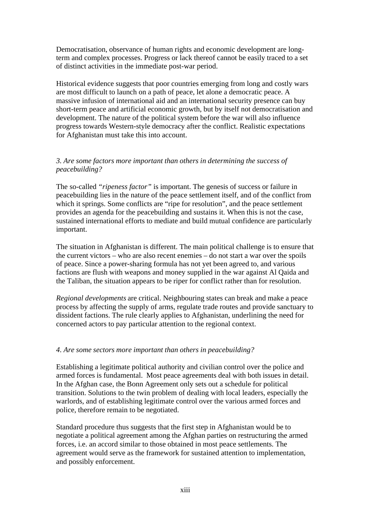Democratisation, observance of human rights and economic development are longterm and complex processes. Progress or lack thereof cannot be easily traced to a set of distinct activities in the immediate post-war period.

Historical evidence suggests that poor countries emerging from long and costly wars are most difficult to launch on a path of peace, let alone a democratic peace. A massive infusion of international aid and an international security presence can buy short-term peace and artificial economic growth, but by itself not democratisation and development. The nature of the political system before the war will also influence progress towards Western-style democracy after the conflict. Realistic expectations for Afghanistan must take this into account.

### *3. Are some factors more important than others in determining the success of peacebuilding?*

The so-called *"ripeness factor"* is important. The genesis of success or failure in peacebuilding lies in the nature of the peace settlement itself, and of the conflict from which it springs. Some conflicts are "ripe for resolution", and the peace settlement provides an agenda for the peacebuilding and sustains it. When this is not the case, sustained international efforts to mediate and build mutual confidence are particularly important.

The situation in Afghanistan is different. The main political challenge is to ensure that the current victors – who are also recent enemies – do not start a war over the spoils of peace. Since a power-sharing formula has not yet been agreed to, and various factions are flush with weapons and money supplied in the war against Al Qaida and the Taliban, the situation appears to be riper for conflict rather than for resolution.

*Regional developments* are critical. Neighbouring states can break and make a peace process by affecting the supply of arms, regulate trade routes and provide sanctuary to dissident factions. The rule clearly applies to Afghanistan, underlining the need for concerned actors to pay particular attention to the regional context.

#### *4. Are some sectors more important than others in peacebuilding?*

Establishing a legitimate political authority and civilian control over the police and armed forces is fundamental. Most peace agreements deal with both issues in detail. In the Afghan case, the Bonn Agreement only sets out a schedule for political transition. Solutions to the twin problem of dealing with local leaders, especially the warlords, and of establishing legitimate control over the various armed forces and police, therefore remain to be negotiated.

Standard procedure thus suggests that the first step in Afghanistan would be to negotiate a political agreement among the Afghan parties on restructuring the armed forces, i.e. an accord similar to those obtained in most peace settlements. The agreement would serve as the framework for sustained attention to implementation, and possibly enforcement.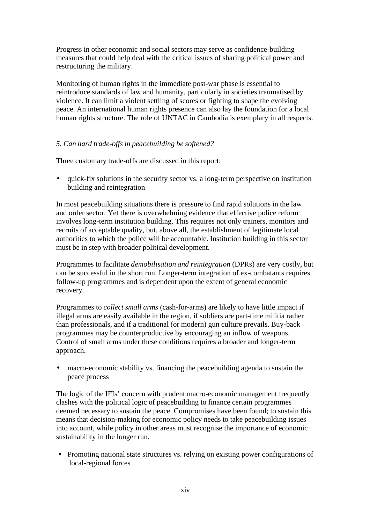Progress in other economic and social sectors may serve as confidence-building measures that could help deal with the critical issues of sharing political power and restructuring the military.

Monitoring of human rights in the immediate post-war phase is essential to reintroduce standards of law and humanity, particularly in societies traumatised by violence. It can limit a violent settling of scores or fighting to shape the evolving peace. An international human rights presence can also lay the foundation for a local human rights structure. The role of UNTAC in Cambodia is exemplary in all respects.

### *5. Can hard trade-offs in peacebuilding be softened?*

Three customary trade-offs are discussed in this report:

• quick-fix solutions in the security sector vs. a long-term perspective on institution building and reintegration

In most peacebuilding situations there is pressure to find rapid solutions in the law and order sector. Yet there is overwhelming evidence that effective police reform involves long-term institution building. This requires not only trainers, monitors and recruits of acceptable quality, but, above all, the establishment of legitimate local authorities to which the police will be accountable. Institution building in this sector must be in step with broader political development.

Programmes to facilitate *demobilisation and reintegration* (DPRs) are very costly, but can be successful in the short run. Longer-term integration of ex-combatants requires follow-up programmes and is dependent upon the extent of general economic recovery.

Programmes to *collect small arms* (cash-for-arms) are likely to have little impact if illegal arms are easily available in the region, if soldiers are part-time militia rather than professionals, and if a traditional (or modern) gun culture prevails. Buy-back programmes may be counterproductive by encouraging an inflow of weapons. Control of small arms under these conditions requires a broader and longer-term approach.

• macro-economic stability vs. financing the peacebuilding agenda to sustain the peace process

The logic of the IFIs' concern with prudent macro-economic management frequently clashes with the political logic of peacebuilding to finance certain programmes deemed necessary to sustain the peace. Compromises have been found; to sustain this means that decision-making for economic policy needs to take peacebuilding issues into account, while policy in other areas must recognise the importance of economic sustainability in the longer run.

• Promoting national state structures vs. relying on existing power configurations of local-regional forces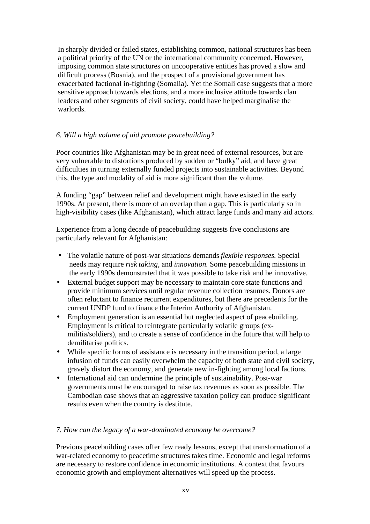In sharply divided or failed states, establishing common, national structures has been a political priority of the UN or the international community concerned. However, imposing common state structures on uncooperative entities has proved a slow and difficult process (Bosnia), and the prospect of a provisional government has exacerbated factional in-fighting (Somalia). Yet the Somali case suggests that a more sensitive approach towards elections, and a more inclusive attitude towards clan leaders and other segments of civil society, could have helped marginalise the warlords.

### *6. Will a high volume of aid promote peacebuilding?*

Poor countries like Afghanistan may be in great need of external resources, but are very vulnerable to distortions produced by sudden or "bulky" aid, and have great difficulties in turning externally funded projects into sustainable activities. Beyond this, the type and modality of aid is more significant than the volume.

A funding "gap" between relief and development might have existed in the early 1990s. At present, there is more of an overlap than a gap. This is particularly so in high-visibility cases (like Afghanistan), which attract large funds and many aid actors.

Experience from a long decade of peacebuilding suggests five conclusions are particularly relevant for Afghanistan:

- The volatile nature of post-war situations demands *flexible responses.* Special needs may require *risk taking*, and *innovation.* Some peacebuilding missions in the early 1990s demonstrated that it was possible to take risk and be innovative.
- External budget support may be necessary to maintain core state functions and provide minimum services until regular revenue collection resumes. Donors are often reluctant to finance recurrent expenditures, but there are precedents for the current UNDP fund to finance the Interim Authority of Afghanistan.
- Employment generation is an essential but neglected aspect of peacebuilding. Employment is critical to reintegrate particularly volatile groups (exmilitia/soldiers), and to create a sense of confidence in the future that will help to demilitarise politics.
- While specific forms of assistance is necessary in the transition period, a large infusion of funds can easily overwhelm the capacity of both state and civil society, gravely distort the economy, and generate new in-fighting among local factions.
- International aid can undermine the principle of sustainability. Post-war governments must be encouraged to raise tax revenues as soon as possible. The Cambodian case shows that an aggressive taxation policy can produce significant results even when the country is destitute.

### *7. How can the legacy of a war-dominated economy be overcome?*

Previous peacebuilding cases offer few ready lessons, except that transformation of a war-related economy to peacetime structures takes time. Economic and legal reforms are necessary to restore confidence in economic institutions. A context that favours economic growth and employment alternatives will speed up the process.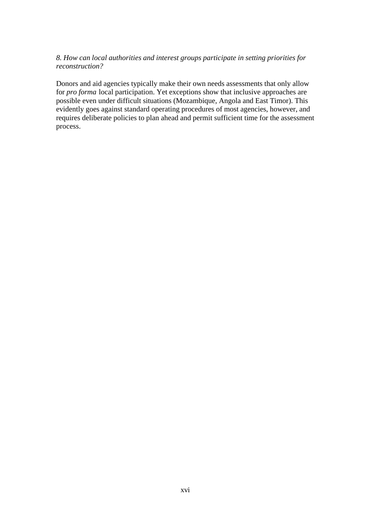### *8. How can local authorities and interest groups participate in setting priorities for reconstruction?*

Donors and aid agencies typically make their own needs assessments that only allow for *pro forma* local participation. Yet exceptions show that inclusive approaches are possible even under difficult situations (Mozambique, Angola and East Timor). This evidently goes against standard operating procedures of most agencies, however, and requires deliberate policies to plan ahead and permit sufficient time for the assessment process.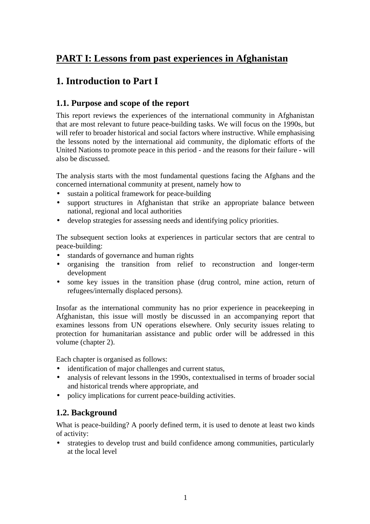### **PART I: Lessons from past experiences in Afghanistan**

### **1. Introduction to Part I**

### **1.1. Purpose and scope of the report**

This report reviews the experiences of the international community in Afghanistan that are most relevant to future peace-building tasks. We will focus on the 1990s, but will refer to broader historical and social factors where instructive. While emphasising the lessons noted by the international aid community, the diplomatic efforts of the United Nations to promote peace in this period - and the reasons for their failure - will also be discussed.

The analysis starts with the most fundamental questions facing the Afghans and the concerned international community at present*,* namely how to

- sustain a political framework for peace-building
- support structures in Afghanistan that strike an appropriate balance between national, regional and local authorities
- develop strategies for assessing needs and identifying policy priorities.

The subsequent section looks at experiences in particular sectors that are central to peace-building:

- standards of governance and human rights
- organising the transition from relief to reconstruction and longer-term development
- some key issues in the transition phase (drug control, mine action, return of refugees/internally displaced persons).

Insofar as the international community has no prior experience in peacekeeping in Afghanistan, this issue will mostly be discussed in an accompanying report that examines lessons from UN operations elsewhere. Only security issues relating to protection for humanitarian assistance and public order will be addressed in this volume (chapter 2).

Each chapter is organised as follows:

- identification of major challenges and current status,
- analysis of relevant lessons in the 1990s, contextualised in terms of broader social and historical trends where appropriate, and
- policy implications for current peace-building activities.

### **1.2. Background**

What is peace-building? A poorly defined term, it is used to denote at least two kinds of activity:

• strategies to develop trust and build confidence among communities, particularly at the local level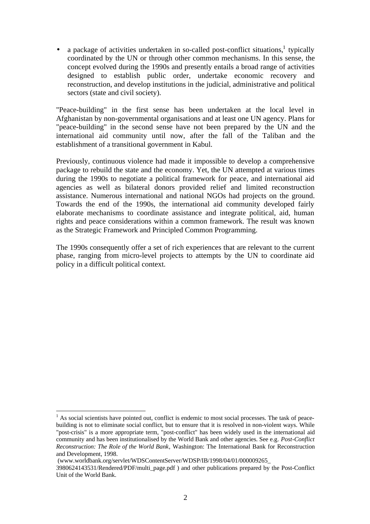• a package of activities undertaken in so-called post-conflict situations,<sup>1</sup> typically coordinated by the UN or through other common mechanisms. In this sense, the concept evolved during the 1990s and presently entails a broad range of activities designed to establish public order, undertake economic recovery and reconstruction, and develop institutions in the judicial, administrative and political sectors (state and civil society).

"Peace-building" in the first sense has been undertaken at the local level in Afghanistan by non-governmental organisations and at least one UN agency. Plans for "peace-building" in the second sense have not been prepared by the UN and the international aid community until now, after the fall of the Taliban and the establishment of a transitional government in Kabul.

Previously, continuous violence had made it impossible to develop a comprehensive package to rebuild the state and the economy. Yet, the UN attempted at various times during the 1990s to negotiate a political framework for peace, and international aid agencies as well as bilateral donors provided relief and limited reconstruction assistance. Numerous international and national NGOs had projects on the ground. Towards the end of the 1990s, the international aid community developed fairly elaborate mechanisms to coordinate assistance and integrate political, aid, human rights and peace considerations within a common framework. The result was known as the Strategic Framework and Principled Common Programming.

The 1990s consequently offer a set of rich experiences that are relevant to the current phase, ranging from micro-level projects to attempts by the UN to coordinate aid policy in a difficult political context.

 $\overline{a}$ <sup>1</sup> As social scientists have pointed out, conflict is endemic to most social processes. The task of peacebuilding is not to eliminate social conflict, but to ensure that it is resolved in non-violent ways. While "post-crisis" is a more appropriate term, "post-conflict" has been widely used in the international aid community and has been institutionalised by the World Bank and other agencies. See e.g*. Post-Conflict Reconstruction: The Role of the World Bank*, Washington: The International Bank for Reconstruction and Development, 1998.

 <sup>(</sup>www.worldbank.org/servlet/WDSContentServer/WDSP/IB/1998/04/01/000009265\_

<sup>3980624143531/</sup>Rendered/PDF/multi\_page.pdf ) and other publications prepared by the Post-Conflict Unit of the World Bank.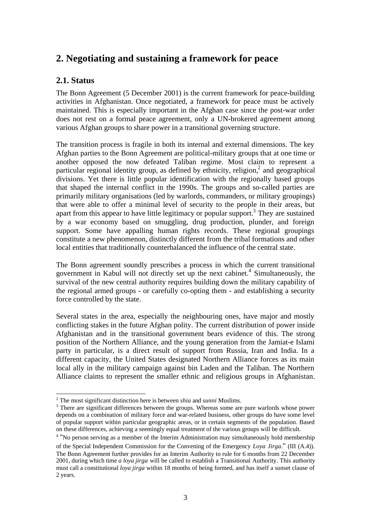### **2. Negotiating and sustaining a framework for peace**

### **2.1. Status**

The Bonn Agreement (5 December 2001) is the current framework for peace-building activities in Afghanistan. Once negotiated, a framework for peace must be actively maintained. This is especially important in the Afghan case since the post-war order does not rest on a formal peace agreement, only a UN-brokered agreement among various Afghan groups to share power in a transitional governing structure.

The transition process is fragile in both its internal and external dimensions. The key Afghan parties to the Bonn Agreement are political-military groups that at one time or another opposed the now defeated Taliban regime. Most claim to represent a particular regional identity group, as defined by ethnicity, religion,<sup>2</sup> and geographical divisions. Yet there is little popular identification with the regionally based groups that shaped the internal conflict in the 1990s. The groups and so-called parties are primarily military organisations (led by warlords, commanders, or military groupings) that were able to offer a minimal level of security to the people in their areas, but apart from this appear to have little legitimacy or popular support.<sup>3</sup> They are sustained by a war economy based on smuggling, drug production, plunder, and foreign support. Some have appalling human rights records. These regional groupings constitute a new phenomenon, distinctly different from the tribal formations and other local entities that traditionally counterbalanced the influence of the central state.

The Bonn agreement soundly prescribes a process in which the current transitional government in Kabul will not directly set up the next cabinet.<sup>4</sup> Simultaneously, the survival of the new central authority requires building down the military capability of the regional armed groups - or carefully co-opting them - and establishing a security force controlled by the state.

Several states in the area, especially the neighbouring ones, have major and mostly conflicting stakes in the future Afghan polity. The current distribution of power inside Afghanistan and in the transitional government bears evidence of this. The strong position of the Northern Alliance, and the young generation from the Jamiat-e Islami party in particular, is a direct result of support from Russia, Iran and India. In a different capacity, the United States designated Northern Alliance forces as its main local ally in the military campaign against bin Laden and the Taliban. The Northern Alliance claims to represent the smaller ethnic and religious groups in Afghanistan.

<sup>4</sup> "No person serving as a member of the Interim Administration may simultaneously hold membership

 2 The most significant distinction here is between *shia* and *sunni* Muslims.

 $3$  There are significant differences between the groups. Whereas some are pure warlords whose power depends on a combination of military force and war-related business, other groups do have some level of popular support within particular geographic areas, or in certain segments of the population. Based on these differences, achieving a seemingly equal treatment of the various groups will be difficult.

of the Special Independent Commission for the Convening of the Emergency *Loya Jirga*." (III (A.4)). The Bonn Agreement further provides for an Interim Authority to rule for 6 months from 22 December 2001, during which time *a loya jirga* will be called to establish a Transitional Authority. This authority must call a constitutional *loya jirga* within 18 months of being formed, and has itself a sunset clause of 2 years.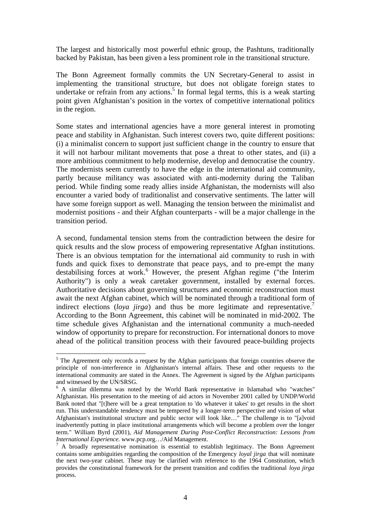The largest and historically most powerful ethnic group, the Pashtuns, traditionally backed by Pakistan, has been given a less prominent role in the transitional structure.

The Bonn Agreement formally commits the UN Secretary-General to assist in implementing the transitional structure, but does not obligate foreign states to undertake or refrain from any actions.<sup>5</sup> In formal legal terms, this is a weak starting point given Afghanistan's position in the vortex of competitive international politics in the region.

Some states and international agencies have a more general interest in promoting peace and stability in Afghanistan. Such interest covers two, quite different positions: (i) a minimalist concern to support just sufficient change in the country to ensure that it will not harbour militant movements that pose a threat to other states, and (ii) a more ambitious commitment to help modernise, develop and democratise the country. The modernists seem currently to have the edge in the international aid community, partly because militancy was associated with anti-modernity during the Taliban period. While finding some ready allies inside Afghanistan, the modernists will also encounter a varied body of traditionalist and conservative sentiments. The latter will have some foreign support as well. Managing the tension between the minimalist and modernist positions - and their Afghan counterparts - will be a major challenge in the transition period.

A second, fundamental tension stems from the contradiction between the desire for quick results and the slow process of empowering representative Afghan institutions. There is an obvious temptation for the international aid community to rush in with funds and quick fixes to demonstrate that peace pays, and to pre-empt the many destabilising forces at work.<sup>6</sup> However, the present Afghan regime ("the Interim Authority") is only a weak caretaker government, installed by external forces. Authoritative decisions about governing structures and economic reconstruction must await the next Afghan cabinet, which will be nominated through a traditional form of indirect elections (*loya jirga*) and thus be more legitimate and representative.<sup>7</sup> According to the Bonn Agreement, this cabinet will be nominated in mid-2002. The time schedule gives Afghanistan and the international community a much-needed window of opportunity to prepare for reconstruction. For international donors to move ahead of the political transition process with their favoured peace-building projects

<sup>&</sup>lt;sup>5</sup> The Agreement only records a request by the Afghan participants that foreign countries observe the principle of non-interference in Afghanistan's internal affairs. These and other requests to the international community are stated in the Annex. The Agreement is signed by the Afghan participants and witnessed by the UN/SRSG.

<sup>&</sup>lt;sup>6</sup> A similar dilemma was noted by the World Bank representative in Islamabad who "watches" Afghanistan. His presentation to the meeting of aid actors in November 2001 called by UNDP/World Bank noted that "[t]here will be a great temptation to 'do whatever it takes' to get results in the short run. This understandable tendency must be tempered by a longer-term perspective and vision of what Afghanistan's institutional structure and public sector will look like…" The challenge is to "[a]void inadvertently putting in place institutional arrangements which will become a problem over the longer term." William Byrd (2001), *Aid Management During Post-Conflict Reconstruction: Lessons from International Experience.* www.pcp.org…/Aid Management.

<sup>&</sup>lt;sup>7</sup> A broadly representative nomination is essential to establish legitimacy. The Bonn Agreement contains some ambiguities regarding the composition of the Emergency *loyal jirga* that will nominate the next two-year cabinet. These may be clarified with reference to the 1964 Constitution, which provides the constitutional framework for the present transition and codifies the traditional *loya jirga* process.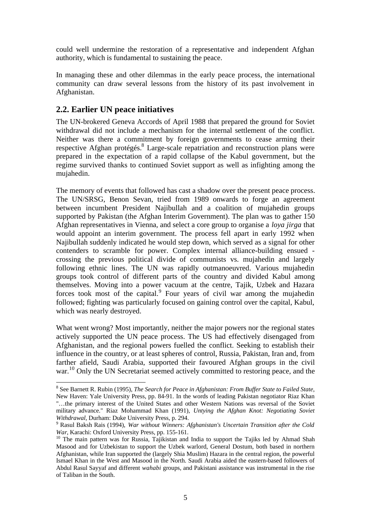could well undermine the restoration of a representative and independent Afghan authority, which is fundamental to sustaining the peace.

In managing these and other dilemmas in the early peace process, the international community can draw several lessons from the history of its past involvement in Afghanistan.

### **2.2. Earlier UN peace initiatives**

 $\overline{a}$ 

The UN-brokered Geneva Accords of April 1988 that prepared the ground for Soviet withdrawal did not include a mechanism for the internal settlement of the conflict. Neither was there a commitment by foreign governments to cease arming their respective Afghan protégés.<sup>8</sup> Large-scale repatriation and reconstruction plans were prepared in the expectation of a rapid collapse of the Kabul government, but the regime survived thanks to continued Soviet support as well as infighting among the mujahedin.

The memory of events that followed has cast a shadow over the present peace process. The UN/SRSG, Benon Sevan, tried from 1989 onwards to forge an agreement between incumbent President Najibullah and a coalition of mujahedin groups supported by Pakistan (the Afghan Interim Government). The plan was to gather 150 Afghan representatives in Vienna, and select a core group to organise a *loya jirga* that would appoint an interim government. The process fell apart in early 1992 when Najibullah suddenly indicated he would step down, which served as a signal for other contenders to scramble for power. Complex internal alliance-building ensued crossing the previous political divide of communists vs. mujahedin and largely following ethnic lines. The UN was rapidly outmanoeuvred. Various mujahedin groups took control of different parts of the country and divided Kabul among themselves. Moving into a power vacuum at the centre, Tajik, Uzbek and Hazara forces took most of the capital.<sup>9</sup> Four years of civil war among the mujahedin followed; fighting was particularly focused on gaining control over the capital, Kabul, which was nearly destroyed.

What went wrong? Most importantly, neither the major powers nor the regional states actively supported the UN peace process. The US had effectively disengaged from Afghanistan, and the regional powers fuelled the conflict. Seeking to establish their influence in the country, or at least spheres of control, Russia, Pakistan, Iran and, from farther afield, Saudi Arabia, supported their favoured Afghan groups in the civil war.<sup>10</sup> Only the UN Secretariat seemed actively committed to restoring peace, and the

<sup>8</sup> See Barnett R. Rubin (1995), *The Search for Peace in Afghanistan: From Buffer State to Failed State*, New Haven: Yale University Press, pp. 84-91. In the words of leading Pakistan negotiator Riaz Khan "…the primary interest of the United States and other Western Nations was reversal of the Soviet military advance." Riaz Mohammad Khan (1991), *Untying the Afghan Knot: Negotiating Soviet Withdrawal,* Durham: Duke University Press, p. 294.

<sup>9</sup> Rasul Baksh Rais (1994), *War without Winners: Afghanistan's Uncertain Transition after the Cold War*, Karachi: Oxford University Press, pp. 155-161.

<sup>&</sup>lt;sup>10</sup> The main pattern was for Russia, Tajikistan and India to support the Tajiks led by Ahmad Shah Masood and for Uzbekistan to support the Uzbek warlord, General Dostum, both based in northern Afghanistan, while Iran supported the (largely Shia Muslim) Hazara in the central region, the powerful Ismael Khan in the West and Masood in the North. Saudi Arabia aided the eastern-based followers of Abdul Rasul Sayyaf and different *wahabi* groups, and Pakistani assistance was instrumental in the rise of Taliban in the South.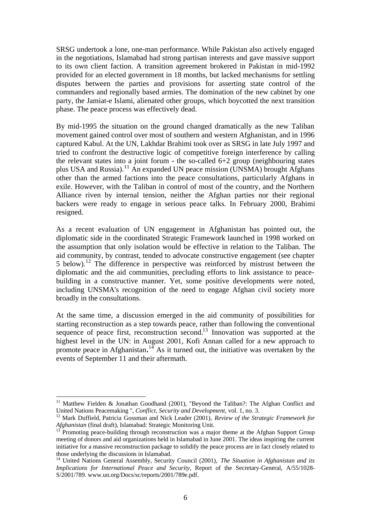SRSG undertook a lone, one-man performance. While Pakistan also actively engaged in the negotiations, Islamabad had strong partisan interests and gave massive support to its own client faction. A transition agreement brokered in Pakistan in mid-1992 provided for an elected government in 18 months, but lacked mechanisms for settling disputes between the parties and provisions for asserting state control of the commanders and regionally based armies. The domination of the new cabinet by one party, the Jamiat-e Islami, alienated other groups, which boycotted the next transition phase. The peace process was effectively dead.

By mid-1995 the situation on the ground changed dramatically as the new Taliban movement gained control over most of southern and western Afghanistan, and in 1996 captured Kabul. At the UN, Lakhdar Brahimi took over as SRSG in late July 1997 and tried to confront the destructive logic of competitive foreign interference by calling the relevant states into a joint forum - the so-called 6+2 group (neighbouring states plus USA and Russia).<sup>11</sup> An expanded UN peace mission (UNSMA) brought Afghans other than the armed factions into the peace consultations, particularly Afghans in exile. However, with the Taliban in control of most of the country, and the Northern Alliance riven by internal tension, neither the Afghan parties nor their regional backers were ready to engage in serious peace talks. In February 2000, Brahimi resigned.

As a recent evaluation of UN engagement in Afghanistan has pointed out, the diplomatic side in the coordinated Strategic Framework launched in 1998 worked on the assumption that only isolation would be effective in relation to the Taliban. The aid community, by contrast, tended to advocate constructive engagement (see chapter 5 below).<sup>12</sup> The difference in perspective was reinforced by mistrust between the diplomatic and the aid communities, precluding efforts to link assistance to peacebuilding in a constructive manner. Yet, some positive developments were noted, including UNSMA's recognition of the need to engage Afghan civil society more broadly in the consultations.

At the same time, a discussion emerged in the aid community of possibilities for starting reconstruction as a step towards peace, rather than following the conventional sequence of peace first, reconstruction second.<sup>13</sup> Innovation was supported at the highest level in the UN: in August 2001, Kofi Annan called for a new approach to promote peace in Afghanistan.<sup>14</sup> As it turned out, the initiative was overtaken by the events of September 11 and their aftermath.

<sup>&</sup>lt;sup>11</sup> Matthew Fielden & Jonathan Goodhand (2001), "Beyond the Taliban?: The Afghan Conflict and United Nations Peacemaking ", *Conflict, Security and Development*, vol. 1, no. 3.

<sup>12</sup> Mark Duffield, Patricia Gossman and Nick Leader (2001), *Review of the Strategic Framework for Afghanistan (final draft)*, Islamabad: Strategic Monitoring Unit.<br><sup>13</sup> December 1976

Promoting peace-building through reconstruction was a major theme at the Afghan Support Group meeting of donors and aid organizations held in Islamabad in June 2001. The ideas inspiring the current initiative for a massive reconstruction package to solidify the peace process are in fact closely related to those underlying the discussions in Islamabad.

<sup>14</sup> United Nations General Assembly, Security Council (2001), *The Situation in Afghanistan and its Implications for International Peace and Security*, Report of the Secretary-General, A/55/1028- S/2001/789. www.un.org/Docs/sc/reports/2001/789e.pdf.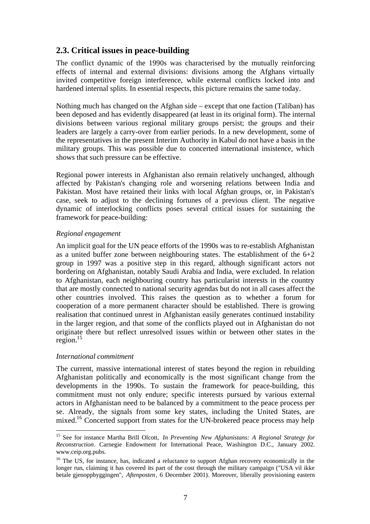### **2.3. Critical issues in peace-building**

The conflict dynamic of the 1990s was characterised by the mutually reinforcing effects of internal and external divisions: divisions among the Afghans virtually invited competitive foreign interference, while external conflicts locked into and hardened internal splits. In essential respects, this picture remains the same today.

Nothing much has changed on the Afghan side – except that one faction (Taliban) has been deposed and has evidently disappeared (at least in its original form). The internal divisions between various regional military groups persist; the groups and their leaders are largely a carry-over from earlier periods. In a new development, some of the representatives in the present Interim Authority in Kabul do not have a basis in the military groups. This was possible due to concerted international insistence, which shows that such pressure can be effective.

Regional power interests in Afghanistan also remain relatively unchanged, although affected by Pakistan's changing role and worsening relations between India and Pakistan. Most have retained their links with local Afghan groups, or, in Pakistan's case, seek to adjust to the declining fortunes of a previous client. The negative dynamic of interlocking conflicts poses several critical issues for sustaining the framework for peace-building:

### *Regional engagement*

An implicit goal for the UN peace efforts of the 1990s was to re-establish Afghanistan as a united buffer zone between neighbouring states. The establishment of the  $6+2$ group in 1997 was a positive step in this regard, although significant actors not bordering on Afghanistan, notably Saudi Arabia and India, were excluded. In relation to Afghanistan, each neighbouring country has particularist interests in the country that are mostly connected to national security agendas but do not in all cases affect the other countries involved. This raises the question as to whether a forum for cooperation of a more permanent character should be established. There is growing realisation that continued unrest in Afghanistan easily generates continued instability in the larger region, and that some of the conflicts played out in Afghanistan do not originate there but reflect unresolved issues within or between other states in the region.<sup>15</sup>

#### *International commitment*

 $\overline{a}$ 

The current, massive international interest of states beyond the region in rebuilding Afghanistan politically and economically is the most significant change from the developments in the 1990s. To sustain the framework for peace-building, this commitment must not only endure; specific interests pursued by various external actors in Afghanistan need to be balanced by a commitment to the peace process per se. Already, the signals from some key states, including the United States, are mixed.<sup>16</sup> Concerted support from states for the UN-brokered peace process may help

<sup>15</sup> See for instance Martha Brill Olcott, *In Preventing New Afghanistans: A Regional Strategy for Reconstruction*. Carnegie Endowment for International Peace, Washington D.C., January 2002. www.ceip.org.pubs.

<sup>&</sup>lt;sup>16</sup> The US, for instance, has, indicated a reluctance to support Afghan recovery economically in the longer run, claiming it has covered its part of the cost through the military campaign ("USA vil ikke betale gjenoppbyggingen", *Aftenposten*, 6 December 2001). Moreover, liberally provisioning eastern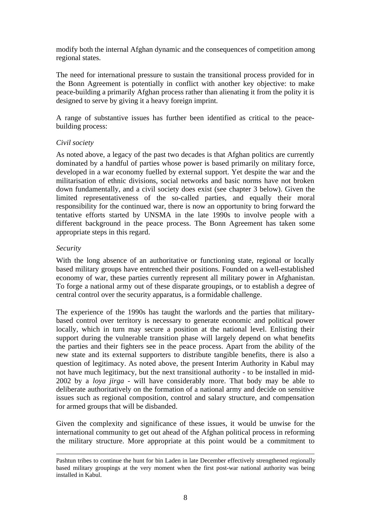modify both the internal Afghan dynamic and the consequences of competition among regional states.

The need for international pressure to sustain the transitional process provided for in the Bonn Agreement is potentially in conflict with another key objective: to make peace-building a primarily Afghan process rather than alienating it from the polity it is designed to serve by giving it a heavy foreign imprint.

A range of substantive issues has further been identified as critical to the peacebuilding process:

#### *Civil society*

As noted above, a legacy of the past two decades is that Afghan politics are currently dominated by a handful of parties whose power is based primarily on military force, developed in a war economy fuelled by external support. Yet despite the war and the militarisation of ethnic divisions, social networks and basic norms have not broken down fundamentally, and a civil society does exist (see chapter 3 below). Given the limited representativeness of the so-called parties, and equally their moral responsibility for the continued war, there is now an opportunity to bring forward the tentative efforts started by UNSMA in the late 1990s to involve people with a different background in the peace process. The Bonn Agreement has taken some appropriate steps in this regard.

#### *Security*

1

With the long absence of an authoritative or functioning state, regional or locally based military groups have entrenched their positions. Founded on a well-established economy of war, these parties currently represent all military power in Afghanistan. To forge a national army out of these disparate groupings, or to establish a degree of central control over the security apparatus, is a formidable challenge.

The experience of the 1990s has taught the warlords and the parties that militarybased control over territory is necessary to generate economic and political power locally, which in turn may secure a position at the national level. Enlisting their support during the vulnerable transition phase will largely depend on what benefits the parties and their fighters see in the peace process. Apart from the ability of the new state and its external supporters to distribute tangible benefits, there is also a question of legitimacy. As noted above, the present Interim Authority in Kabul may not have much legitimacy, but the next transitional authority - to be installed in mid-2002 by a *loya jirga* - will have considerably more. That body may be able to deliberate authoritatively on the formation of a national army and decide on sensitive issues such as regional composition, control and salary structure, and compensation for armed groups that will be disbanded.

Given the complexity and significance of these issues, it would be unwise for the international community to get out ahead of the Afghan political process in reforming the military structure. More appropriate at this point would be a commitment to

Pashtun tribes to continue the hunt for bin Laden in late December effectively strengthened regionally based military groupings at the very moment when the first post-war national authority was being installed in Kabul.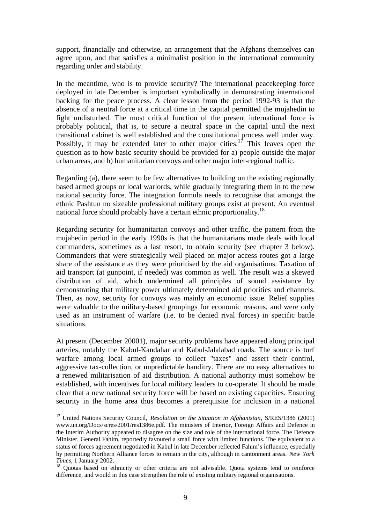support, financially and otherwise, an arrangement that the Afghans themselves can agree upon, and that satisfies a minimalist position in the international community regarding order and stability.

In the meantime, who is to provide security? The international peacekeeping force deployed in late December is important symbolically in demonstrating international backing for the peace process. A clear lesson from the period 1992-93 is that the absence of a neutral force at a critical time in the capital permitted the mujahedin to fight undisturbed. The most critical function of the present international force is probably political, that is, to secure a neutral space in the capital until the next transitional cabinet is well established and the constitutional process well under way. Possibly, it may be extended later to other major cities.<sup>17</sup> This leaves open the question as to how basic security should be provided for a) people outside the major urban areas, and b) humanitarian convoys and other major inter-regional traffic.

Regarding (a), there seem to be few alternatives to building on the existing regionally based armed groups or local warlords, while gradually integrating them in to the new national security force. The integration formula needs to recognise that amongst the ethnic Pashtun no sizeable professional military groups exist at present. An eventual national force should probably have a certain ethnic proportionality.<sup>18</sup>

Regarding security for humanitarian convoys and other traffic, the pattern from the mujahedin period in the early 1990s is that the humanitarians made deals with local commanders, sometimes as a last resort, to obtain security (see chapter 3 below). Commanders that were strategically well placed on major access routes got a large share of the assistance as they were prioritised by the aid organisations. Taxation of aid transport (at gunpoint, if needed) was common as well. The result was a skewed distribution of aid, which undermined all principles of sound assistance by demonstrating that military power ultimately determined aid priorities and channels. Then, as now, security for convoys was mainly an economic issue. Relief supplies were valuable to the military-based groupings for economic reasons, and were only used as an instrument of warfare (i.e. to be denied rival forces) in specific battle situations.

At present (December 20001), major security problems have appeared along principal arteries, notably the Kabul-Kandahar and Kabul-Jalalabad roads. The source is turf warfare among local armed groups to collect "taxes" and assert their control, aggressive tax-collection, or unpredictable banditry. There are no easy alternatives to a renewed militarisation of aid distribution. A national authority must somehow be established, with incentives for local military leaders to co-operate. It should be made clear that a new national security force will be based on existing capacities. Ensuring security in the home area thus becomes a prerequisite for inclusion in a national

<sup>17</sup> United Nations Security Council, *Resolution on the Situation in Afghanistan*, S/RES/1386 (2001) www.un.org/Docs/scres/2001/res1386e.pdf. The ministers of Interior, Foreign Affairs and Defence in the Interim Authority appeared to disagree on the size and role of the international force. The Defence Minister, General Fahim, reportedly favoured a small force with limited functions. The equivalent to a status of forces agreement negotiated in Kabul in late December reflected Fahim's influence, especially by permitting Northern Alliance forces to remain in the city, although in cantonment areas. *New York Times*, 1 January 2002.

<sup>&</sup>lt;sup>18</sup> Quotas based on ethnicity or other criteria are not advisable. Quota systems tend to reinforce difference, and would in this case strengthen the role of existing military regional organisations.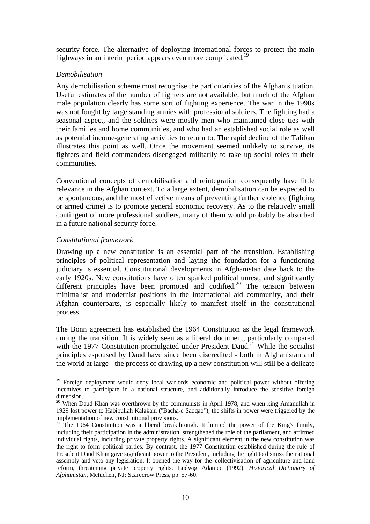security force. The alternative of deploying international forces to protect the main highways in an interim period appears even more complicated.<sup>19</sup>

#### *Demobilisation*

Any demobilisation scheme must recognise the particularities of the Afghan situation. Useful estimates of the number of fighters are not available, but much of the Afghan male population clearly has some sort of fighting experience. The war in the 1990s was not fought by large standing armies with professional soldiers. The fighting had a seasonal aspect, and the soldiers were mostly men who maintained close ties with their families and home communities, and who had an established social role as well as potential income-generating activities to return to. The rapid decline of the Taliban illustrates this point as well. Once the movement seemed unlikely to survive, its fighters and field commanders disengaged militarily to take up social roles in their communities.

Conventional concepts of demobilisation and reintegration consequently have little relevance in the Afghan context. To a large extent, demobilisation can be expected to be spontaneous, and the most effective means of preventing further violence (fighting or armed crime) is to promote general economic recovery. As to the relatively small contingent of more professional soldiers, many of them would probably be absorbed in a future national security force.

### *Constitutional framework*

 $\overline{a}$ 

Drawing up a new constitution is an essential part of the transition. Establishing principles of political representation and laying the foundation for a functioning judiciary is essential. Constitutional developments in Afghanistan date back to the early 1920s. New constitutions have often sparked political unrest, and significantly different principles have been promoted and codified.<sup>20</sup> The tension between minimalist and modernist positions in the international aid community, and their Afghan counterparts, is especially likely to manifest itself in the constitutional process.

The Bonn agreement has established the 1964 Constitution as the legal framework during the transition. It is widely seen as a liberal document, particularly compared with the 1977 Constitution promulgated under President Daud.<sup>21</sup> While the socialist principles espoused by Daud have since been discredited - both in Afghanistan and the world at large - the process of drawing up a new constitution will still be a delicate

<sup>&</sup>lt;sup>19</sup> Foreign deployment would deny local warlords economic and political power without offering incentives to participate in a national structure, and additionally introduce the sensitive foreign dimension.

 $20$  When Daud Khan was overthrown by the communists in April 1978, and when king Amanullah in 1929 lost power to Habibullah Kalakani ("Bacha-e Saqqao"), the shifts in power were triggered by the implementation of new constitutional provisions.

<sup>&</sup>lt;sup>21</sup> The 1964 Constitution was a liberal breakthrough. It limited the power of the King's family, including their participation in the administration, strengthened the role of the parliament, and affirmed individual rights, including private property rights. A significant element in the new constitution was the right to form political parties. By contrast, the 1977 Constitution established during the rule of President Daud Khan gave significant power to the President, including the right to dismiss the national assembly and veto any legislation. It opened the way for the collectivisation of agriculture and land reform, threatening private property rights. Ludwig Adamec (1992), *Historical Dictionary of Afghanistan,* Metuchen, NJ: Scarecrow Press, pp. 57-60.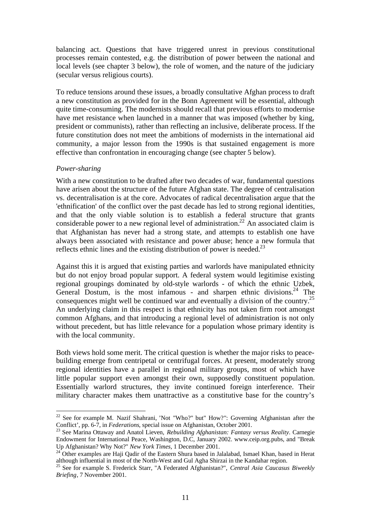balancing act. Questions that have triggered unrest in previous constitutional processes remain contested, e.g. the distribution of power between the national and local levels (see chapter 3 below), the role of women, and the nature of the judiciary (secular versus religious courts).

To reduce tensions around these issues, a broadly consultative Afghan process to draft a new constitution as provided for in the Bonn Agreement will be essential, although quite time-consuming. The modernists should recall that previous efforts to modernise have met resistance when launched in a manner that was imposed (whether by king, president or communists), rather than reflecting an inclusive, deliberate process. If the future constitution does not meet the ambitions of modernists in the international aid community, a major lesson from the 1990s is that sustained engagement is more effective than confrontation in encouraging change (see chapter 5 below).

#### *Power-sharing*

 $\overline{a}$ 

With a new constitution to be drafted after two decades of war, fundamental questions have arisen about the structure of the future Afghan state. The degree of centralisation vs. decentralisation is at the core. Advocates of radical decentralisation argue that the 'ethnification' of the conflict over the past decade has led to strong regional identities, and that the only viable solution is to establish a federal structure that grants considerable power to a new regional level of administration.<sup>22</sup> An associated claim is that Afghanistan has never had a strong state, and attempts to establish one have always been associated with resistance and power abuse; hence a new formula that reflects ethnic lines and the existing distribution of power is needed.<sup>23</sup>

Against this it is argued that existing parties and warlords have manipulated ethnicity but do not enjoy broad popular support. A federal system would legitimise existing regional groupings dominated by old-style warlords - of which the ethnic Uzbek, General Dostum, is the most infamous - and sharpen ethnic divisions.<sup>24</sup> The consequences might well be continued war and eventually a division of the country.<sup>25</sup> An underlying claim in this respect is that ethnicity has not taken firm root amongst common Afghans, and that introducing a regional level of administration is not only without precedent, but has little relevance for a population whose primary identity is with the local community.

Both views hold some merit. The critical question is whether the major risks to peacebuilding emerge from centripetal or centrifugal forces. At present, moderately strong regional identities have a parallel in regional military groups, most of which have little popular support even amongst their own, supposedly constituent population. Essentially warlord structures, they invite continued foreign interference. Their military character makes them unattractive as a constitutive base for the country's

<sup>&</sup>lt;sup>22</sup> See for example M. Nazif Shahrani, 'Not "Who?" but" How?": Governing Afghanistan after the Conflict', pp. 6-7, in *Federations*, special issue on Afghanistan, October 2001.

<sup>23</sup> See Marina Ottaway and Anatol Lieven, *Rebuilding Afghanistan: Fantasy versus Reality*. Carnegie Endowment for International Peace, Washington, D.C, January 2002. www.ceip.org.pubs, and "Break Up Afghanistan? Why Not?" *New York Times,* 1 December 2001.

<sup>&</sup>lt;sup>24</sup> Other examples are Haji Qadir of the Eastern Shura based in Jalalabad, Ismael Khan, based in Herat although influential in most of the North-West and Gul Agha Shirzai in the Kandahar region.

<sup>25</sup> See for example S. Frederick Starr, "A Federated Afghanistan?", *Central Asia Caucasus Biweekly Briefing*, 7 November 2001.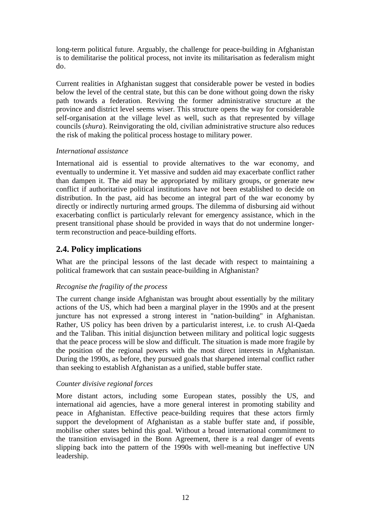long-term political future. Arguably, the challenge for peace-building in Afghanistan is to demilitarise the political process, not invite its militarisation as federalism might do.

Current realities in Afghanistan suggest that considerable power be vested in bodies below the level of the central state, but this can be done without going down the risky path towards a federation. Reviving the former administrative structure at the province and district level seems wiser. This structure opens the way for considerable self-organisation at the village level as well, such as that represented by village councils (*shura*). Reinvigorating the old, civilian administrative structure also reduces the risk of making the political process hostage to military power.

### *International assistance*

International aid is essential to provide alternatives to the war economy, and eventually to undermine it. Yet massive and sudden aid may exacerbate conflict rather than dampen it. The aid may be appropriated by military groups, or generate new conflict if authoritative political institutions have not been established to decide on distribution. In the past, aid has become an integral part of the war economy by directly or indirectly nurturing armed groups. The dilemma of disbursing aid without exacerbating conflict is particularly relevant for emergency assistance, which in the present transitional phase should be provided in ways that do not undermine longerterm reconstruction and peace-building efforts.

### **2.4. Policy implications**

What are the principal lessons of the last decade with respect to maintaining a political framework that can sustain peace-building in Afghanistan?

### *Recognise the fragility of the process*

The current change inside Afghanistan was brought about essentially by the military actions of the US, which had been a marginal player in the 1990s and at the present juncture has not expressed a strong interest in "nation-building" in Afghanistan. Rather, US policy has been driven by a particularist interest, i.e. to crush Al-Qaeda and the Taliban. This initial disjunction between military and political logic suggests that the peace process will be slow and difficult. The situation is made more fragile by the position of the regional powers with the most direct interests in Afghanistan. During the 1990s, as before, they pursued goals that sharpened internal conflict rather than seeking to establish Afghanistan as a unified, stable buffer state.

### *Counter divisive regional forces*

More distant actors, including some European states, possibly the US, and international aid agencies, have a more general interest in promoting stability and peace in Afghanistan. Effective peace-building requires that these actors firmly support the development of Afghanistan as a stable buffer state and, if possible, mobilise other states behind this goal. Without a broad international commitment to the transition envisaged in the Bonn Agreement, there is a real danger of events slipping back into the pattern of the 1990s with well-meaning but ineffective UN leadership.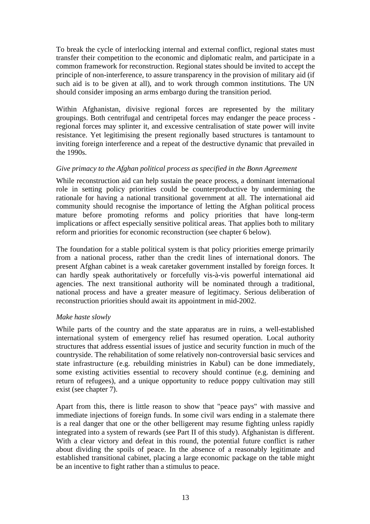To break the cycle of interlocking internal and external conflict, regional states must transfer their competition to the economic and diplomatic realm, and participate in a common framework for reconstruction. Regional states should be invited to accept the principle of non-interference, to assure transparency in the provision of military aid (if such aid is to be given at all), and to work through common institutions. The UN should consider imposing an arms embargo during the transition period.

Within Afghanistan, divisive regional forces are represented by the military groupings. Both centrifugal and centripetal forces may endanger the peace process regional forces may splinter it, and excessive centralisation of state power will invite resistance. Yet legitimising the present regionally based structures is tantamount to inviting foreign interference and a repeat of the destructive dynamic that prevailed in the 1990s.

### *Give primacy to the Afghan political process as specified in the Bonn Agreement*

While reconstruction aid can help sustain the peace process, a dominant international role in setting policy priorities could be counterproductive by undermining the rationale for having a national transitional government at all. The international aid community should recognise the importance of letting the Afghan political process mature before promoting reforms and policy priorities that have long-term implications or affect especially sensitive political areas. That applies both to military reform and priorities for economic reconstruction (see chapter 6 below).

The foundation for a stable political system is that policy priorities emerge primarily from a national process, rather than the credit lines of international donors. The present Afghan cabinet is a weak caretaker government installed by foreign forces. It can hardly speak authoritatively or forcefully vis-à-vis powerful international aid agencies. The next transitional authority will be nominated through a traditional, national process and have a greater measure of legitimacy. Serious deliberation of reconstruction priorities should await its appointment in mid-2002.

### *Make haste slowly*

While parts of the country and the state apparatus are in ruins, a well-established international system of emergency relief has resumed operation. Local authority structures that address essential issues of justice and security function in much of the countryside. The rehabilitation of some relatively non-controversial basic services and state infrastructure (e.g. rebuilding ministries in Kabul) can be done immediately, some existing activities essential to recovery should continue (e.g. demining and return of refugees), and a unique opportunity to reduce poppy cultivation may still exist (see chapter 7).

Apart from this, there is little reason to show that "peace pays" with massive and immediate injections of foreign funds. In some civil wars ending in a stalemate there is a real danger that one or the other belligerent may resume fighting unless rapidly integrated into a system of rewards (see Part II of this study). Afghanistan is different. With a clear victory and defeat in this round, the potential future conflict is rather about dividing the spoils of peace. In the absence of a reasonably legitimate and established transitional cabinet, placing a large economic package on the table might be an incentive to fight rather than a stimulus to peace.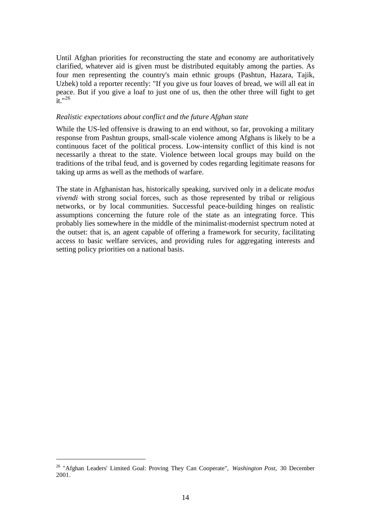Until Afghan priorities for reconstructing the state and economy are authoritatively clarified, whatever aid is given must be distributed equitably among the parties. As four men representing the country's main ethnic groups (Pashtun, Hazara, Tajik, Uzbek) told a reporter recently: "If you give us four loaves of bread, we will all eat in peace. But if you give a loaf to just one of us, then the other three will fight to get  $\frac{1}{1}$ .  $n^{26}$ 

#### *Realistic expectations about conflict and the future Afghan state*

While the US-led offensive is drawing to an end without, so far, provoking a military response from Pashtun groups, small-scale violence among Afghans is likely to be a continuous facet of the political process. Low-intensity conflict of this kind is not necessarily a threat to the state. Violence between local groups may build on the traditions of the tribal feud, and is governed by codes regarding legitimate reasons for taking up arms as well as the methods of warfare.

The state in Afghanistan has, historically speaking, survived only in a delicate *modus vivendi* with strong social forces, such as those represented by tribal or religious networks, or by local communities. Successful peace-building hinges on realistic assumptions concerning the future role of the state as an integrating force. This probably lies somewhere in the middle of the minimalist-modernist spectrum noted at the outset: that is, an agent capable of offering a framework for security, facilitating access to basic welfare services, and providing rules for aggregating interests and setting policy priorities on a national basis.

<sup>26</sup> "Afghan Leaders' Limited Goal: Proving They Can Cooperate", *Washington Post,* 30 December 2001.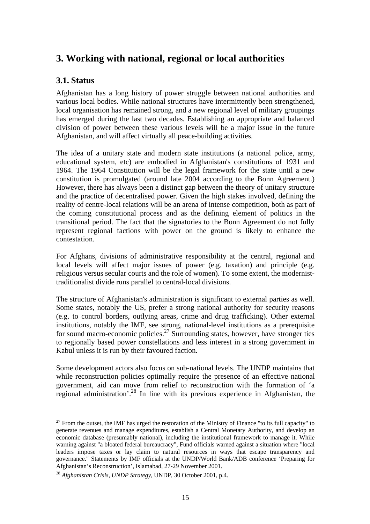### **3. Working with national, regional or local authorities**

### **3.1. Status**

 $\overline{a}$ 

Afghanistan has a long history of power struggle between national authorities and various local bodies. While national structures have intermittently been strengthened, local organisation has remained strong, and a new regional level of military groupings has emerged during the last two decades. Establishing an appropriate and balanced division of power between these various levels will be a major issue in the future Afghanistan, and will affect virtually all peace-building activities.

The idea of a unitary state and modern state institutions (a national police, army, educational system, etc) are embodied in Afghanistan's constitutions of 1931 and 1964. The 1964 Constitution will be the legal framework for the state until a new constitution is promulgated (around late 2004 according to the Bonn Agreement.) However, there has always been a distinct gap between the theory of unitary structure and the practice of decentralised power. Given the high stakes involved, defining the reality of centre-local relations will be an arena of intense competition, both as part of the coming constitutional process and as the defining element of politics in the transitional period. The fact that the signatories to the Bonn Agreement do not fully represent regional factions with power on the ground is likely to enhance the contestation.

For Afghans, divisions of administrative responsibility at the central, regional and local levels will affect major issues of power (e.g. taxation) and principle (e.g. religious versus secular courts and the role of women). To some extent, the modernisttraditionalist divide runs parallel to central-local divisions.

The structure of Afghanistan's administration is significant to external parties as well. Some states, notably the US, prefer a strong national authority for security reasons (e.g. to control borders, outlying areas, crime and drug trafficking). Other external institutions, notably the IMF, see strong, national-level institutions as a prerequisite for sound macro-economic policies.<sup>27</sup> Surrounding states, however, have stronger ties to regionally based power constellations and less interest in a strong government in Kabul unless it is run by their favoured faction.

Some development actors also focus on sub-national levels. The UNDP maintains that while reconstruction policies optimally require the presence of an effective national government, aid can move from relief to reconstruction with the formation of 'a regional administration'.<sup>28</sup> In line with its previous experience in Afghanistan, the

 $27$  From the outset, the IMF has urged the restoration of the Ministry of Finance "to its full capacity" to generate revenues and manage expenditures, establish a Central Monetary Authority, and develop an economic database (presumably national), including the institutional framework to manage it. While warning against "a bloated federal bureaucracy", Fund officials warned against a situation where "local leaders impose taxes or lay claim to natural resources in ways that escape transparency and governance." Statements by IMF officials at the UNDP/World Bank/ADB conference 'Preparing for Afghanistan's Reconstruction', Islamabad, 27-29 November 2001.

<sup>28</sup> *Afghanistan Crisis, UNDP Strategy,* UNDP, 30 October 2001, p.4.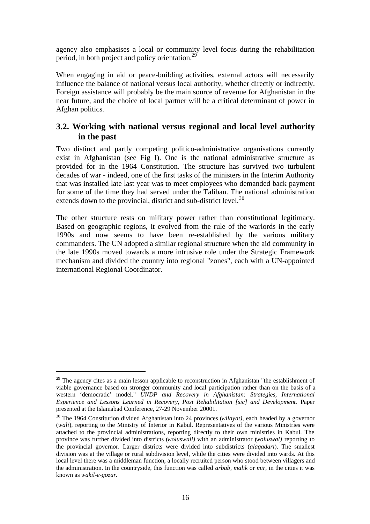agency also emphasises a local or community level focus during the rehabilitation period, in both project and policy orientation.<sup>29</sup>

When engaging in aid or peace-building activities, external actors will necessarily influence the balance of national versus local authority, whether directly or indirectly. Foreign assistance will probably be the main source of revenue for Afghanistan in the near future, and the choice of local partner will be a critical determinant of power in Afghan politics.

### **3.2. Working with national versus regional and local level authority in the past**

Two distinct and partly competing politico-administrative organisations currently exist in Afghanistan (see Fig I). One is the national administrative structure as provided for in the 1964 Constitution. The structure has survived two turbulent decades of war - indeed, one of the first tasks of the ministers in the Interim Authority that was installed late last year was to meet employees who demanded back payment for some of the time they had served under the Taliban. The national administration extends down to the provincial, district and sub-district level.<sup>30</sup>

The other structure rests on military power rather than constitutional legitimacy. Based on geographic regions, it evolved from the rule of the warlords in the early 1990s and now seems to have been re-established by the various military commanders. The UN adopted a similar regional structure when the aid community in the late 1990s moved towards a more intrusive role under the Strategic Framework mechanism and divided the country into regional "zones", each with a UN-appointed international Regional Coordinator.

 $29$  The agency cites as a main lesson applicable to reconstruction in Afghanistan "the establishment of viable governance based on stronger community and local participation rather than on the basis of a western 'democratic' model." *UNDP and Recovery in Afghanistan: Strategies, International Experience and Lessons Learned in Recovery, Post Rehabilitation [sic] and Development.* Paper presented at the Islamabad Conference, 27-29 November 20001.

<sup>30</sup> The 1964 Constitution divided Afghanistan into 24 provinces (*wilayat)*, each headed by a governor (*wali*), reporting to the Ministry of Interior in Kabul. Representatives of the various Ministries were attached to the provincial administrations, reporting directly to their own ministries in Kabul. The province was further divided into districts (*woluswali)* with an administrator (*woluswal)* reporting to the provincial governor. Larger districts were divided into subdistricts (*alaqadari*). The smallest division was at the village or rural subdivision level, while the cities were divided into wards. At this local level there was a middleman function, a locally recruited person who stood between villagers and the administration. In the countryside, this function was called *arbab, malik* or *mir*, in the cities it was known as *wakil-e-gozar.*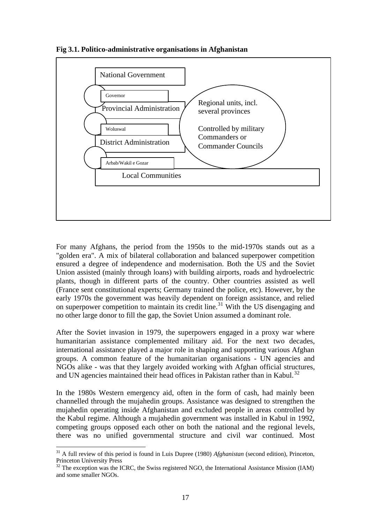**Fig 3.1. Politico-administrative organisations in Afghanistan**



For many Afghans, the period from the 1950s to the mid-1970s stands out as a "golden era". A mix of bilateral collaboration and balanced superpower competition ensured a degree of independence and modernisation. Both the US and the Soviet Union assisted (mainly through loans) with building airports, roads and hydroelectric plants, though in different parts of the country. Other countries assisted as well (France sent constitutional experts; Germany trained the police, etc). However, by the early 1970s the government was heavily dependent on foreign assistance, and relied on superpower competition to maintain its credit line.<sup>31</sup> With the US disengaging and no other large donor to fill the gap, the Soviet Union assumed a dominant role.

After the Soviet invasion in 1979, the superpowers engaged in a proxy war where humanitarian assistance complemented military aid. For the next two decades, international assistance played a major role in shaping and supporting various Afghan groups. A common feature of the humanitarian organisations - UN agencies and NGOs alike - was that they largely avoided working with Afghan official structures, and UN agencies maintained their head offices in Pakistan rather than in Kabul.<sup>32</sup>

In the 1980s Western emergency aid, often in the form of cash, had mainly been channelled through the mujahedin groups. Assistance was designed to strengthen the mujahedin operating inside Afghanistan and excluded people in areas controlled by the Kabul regime. Although a mujahedin government was installed in Kabul in 1992, competing groups opposed each other on both the national and the regional levels, there was no unified governmental structure and civil war continued. Most

<sup>31</sup> A full review of this period is found in Luis Dupree (1980) *Afghanistan* (second edition), Princeton, Princeton University Press

 $32$  The exception was the ICRC, the Swiss registered NGO, the International Assistance Mission (IAM) and some smaller NGOs.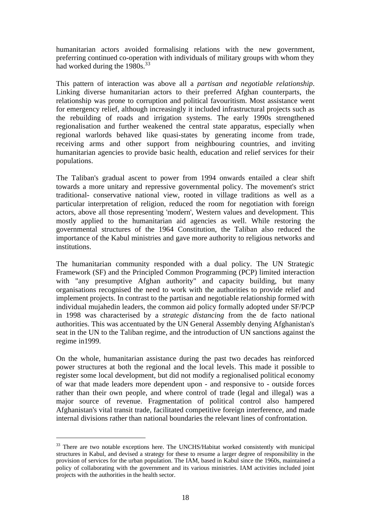humanitarian actors avoided formalising relations with the new government, preferring continued co-operation with individuals of military groups with whom they had worked during the 1980s.<sup>33</sup>

This pattern of interaction was above all a *partisan and negotiable relationship*. Linking diverse humanitarian actors to their preferred Afghan counterparts, the relationship was prone to corruption and political favouritism. Most assistance went for emergency relief, although increasingly it included infrastructural projects such as the rebuilding of roads and irrigation systems. The early 1990s strengthened regionalisation and further weakened the central state apparatus, especially when regional warlords behaved like quasi-states by generating income from trade, receiving arms and other support from neighbouring countries, and inviting humanitarian agencies to provide basic health, education and relief services for their populations.

The Taliban's gradual ascent to power from 1994 onwards entailed a clear shift towards a more unitary and repressive governmental policy. The movement's strict traditional- conservative national view, rooted in village traditions as well as a particular interpretation of religion, reduced the room for negotiation with foreign actors, above all those representing 'modern', Western values and development. This mostly applied to the humanitarian aid agencies as well. While restoring the governmental structures of the 1964 Constitution, the Taliban also reduced the importance of the Kabul ministries and gave more authority to religious networks and institutions.

The humanitarian community responded with a dual policy. The UN Strategic Framework (SF) and the Principled Common Programming (PCP) limited interaction with "any presumptive Afghan authority" and capacity building, but many organisations recognised the need to work with the authorities to provide relief and implement projects. In contrast to the partisan and negotiable relationship formed with individual mujahedin leaders, the common aid policy formally adopted under SF/PCP in 1998 was characterised by a *strategic distancing* from the de facto national authorities. This was accentuated by the UN General Assembly denying Afghanistan's seat in the UN to the Taliban regime, and the introduction of UN sanctions against the regime in1999.

On the whole, humanitarian assistance during the past two decades has reinforced power structures at both the regional and the local levels. This made it possible to register some local development, but did not modify a regionalised political economy of war that made leaders more dependent upon - and responsive to - outside forces rather than their own people, and where control of trade (legal and illegal) was a major source of revenue. Fragmentation of political control also hampered Afghanistan's vital transit trade, facilitated competitive foreign interference, and made internal divisions rather than national boundaries the relevant lines of confrontation.

<sup>&</sup>lt;sup>33</sup> There are two notable exceptions here. The UNCHS/Habitat worked consistently with municipal structures in Kabul, and devised a strategy for these to resume a larger degree of responsibility in the provision of services for the urban population. The IAM, based in Kabul since the 1960s, maintained a policy of collaborating with the government and its various ministries. IAM activities included joint projects with the authorities in the health sector.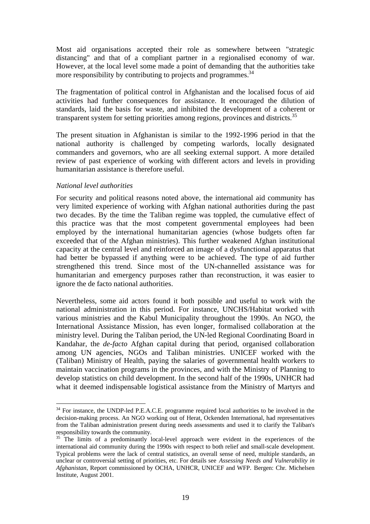Most aid organisations accepted their role as somewhere between "strategic distancing" and that of a compliant partner in a regionalised economy of war. However, at the local level some made a point of demanding that the authorities take more responsibility by contributing to projects and programmes.<sup>34</sup>

The fragmentation of political control in Afghanistan and the localised focus of aid activities had further consequences for assistance. It encouraged the dilution of standards, laid the basis for waste, and inhibited the development of a coherent or transparent system for setting priorities among regions, provinces and districts.<sup>35</sup>

The present situation in Afghanistan is similar to the 1992-1996 period in that the national authority is challenged by competing warlords, locally designated commanders and governors, who are all seeking external support. A more detailed review of past experience of working with different actors and levels in providing humanitarian assistance is therefore useful.

### *National level authorities*

 $\overline{a}$ 

For security and political reasons noted above, the international aid community has very limited experience of working with Afghan national authorities during the past two decades. By the time the Taliban regime was toppled, the cumulative effect of this practice was that the most competent governmental employees had been employed by the international humanitarian agencies (whose budgets often far exceeded that of the Afghan ministries). This further weakened Afghan institutional capacity at the central level and reinforced an image of a dysfunctional apparatus that had better be bypassed if anything were to be achieved. The type of aid further strengthened this trend. Since most of the UN-channelled assistance was for humanitarian and emergency purposes rather than reconstruction, it was easier to ignore the de facto national authorities.

Nevertheless, some aid actors found it both possible and useful to work with the national administration in this period. For instance, UNCHS/Habitat worked with various ministries and the Kabul Municipality throughout the 1990s. An NGO, the International Assistance Mission, has even longer, formalised collaboration at the ministry level. During the Taliban period, the UN-led Regional Coordinating Board in Kandahar, the *de-facto* Afghan capital during that period, organised collaboration among UN agencies, NGOs and Taliban ministries. UNICEF worked with the (Taliban) Ministry of Health, paying the salaries of governmental health workers to maintain vaccination programs in the provinces, and with the Ministry of Planning to develop statistics on child development. In the second half of the 1990s, UNHCR had what it deemed indispensable logistical assistance from the Ministry of Martyrs and

<sup>&</sup>lt;sup>34</sup> For instance, the UNDP-led P.E.A.C.E. programme required local authorities to be involved in the decision-making process. An NGO working out of Herat, Ockenden International, had representatives from the Taliban administration present during needs assessments and used it to clarify the Taliban's responsibility towards the community.

<sup>&</sup>lt;sup>35</sup> The limits of a predominantly local-level approach were evident in the experiences of the international aid community during the 1990s with respect to both relief and small-scale development. Typical problems were the lack of central statistics, an overall sense of need, multiple standards, an unclear or controversial setting of priorities, etc. For details see *Assessing Needs and Vulnerability in Afghanistan*, Report commissioned by OCHA, UNHCR, UNICEF and WFP. Bergen: Chr. Michelsen Institute, August 2001.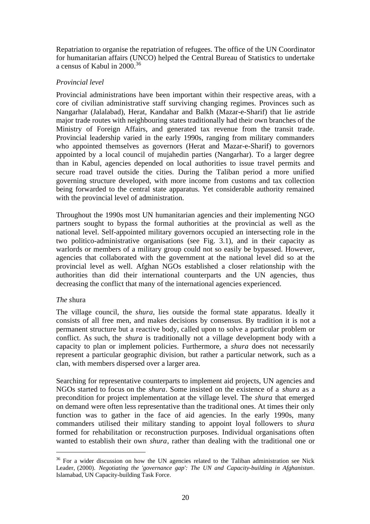Repatriation to organise the repatriation of refugees. The office of the UN Coordinator for humanitarian affairs (UNCO) helped the Central Bureau of Statistics to undertake a census of Kabul in 2000.<sup>36</sup>

## *Provincial level*

Provincial administrations have been important within their respective areas, with a core of civilian administrative staff surviving changing regimes. Provinces such as Nangarhar (Jalalabad), Herat, Kandahar and Balkh (Mazar-e-Sharif) that lie astride major trade routes with neighbouring states traditionally had their own branches of the Ministry of Foreign Affairs, and generated tax revenue from the transit trade. Provincial leadership varied in the early 1990s, ranging from military commanders who appointed themselves as governors (Herat and Mazar-e-Sharif) to governors appointed by a local council of mujahedin parties (Nangarhar). To a larger degree than in Kabul, agencies depended on local authorities to issue travel permits and secure road travel outside the cities. During the Taliban period a more unified governing structure developed, with more income from customs and tax collection being forwarded to the central state apparatus. Yet considerable authority remained with the provincial level of administration.

Throughout the 1990s most UN humanitarian agencies and their implementing NGO partners sought to bypass the formal authorities at the provincial as well as the national level. Self-appointed military governors occupied an intersecting role in the two politico-administrative organisations (see Fig. 3.1), and in their capacity as warlords or members of a military group could not so easily be bypassed. However, agencies that collaborated with the government at the national level did so at the provincial level as well. Afghan NGOs established a closer relationship with the authorities than did their international counterparts and the UN agencies, thus decreasing the conflict that many of the international agencies experienced.

### *The s*hura

 $\overline{a}$ 

The village council, the *shura,* lies outside the formal state apparatus. Ideally it consists of all free men, and makes decisions by consensus. By tradition it is not a permanent structure but a reactive body, called upon to solve a particular problem or conflict. As such, the *shura* is traditionally not a village development body with a capacity to plan or implement policies. Furthermore, a *shura* does not necessarily represent a particular geographic division, but rather a particular network, such as a clan, with members dispersed over a larger area.

Searching for representative counterparts to implement aid projects, UN agencies and NGOs started to focus on the *shura*. Some insisted on the existence of a *shura* as a precondition for project implementation at the village level. The *shura* that emerged on demand were often less representative than the traditional ones. At times their only function was to gather in the face of aid agencies. In the early 1990s, many commanders utilised their military standing to appoint loyal followers to *shura* formed for rehabilitation or reconstruction purposes. Individual organisations often wanted to establish their own *shura*, rather than dealing with the traditional one or

 $36$  For a wider discussion on how the UN agencies related to the Taliban administration see Nick Leader, (2000). *Negotiating the 'governance gap': The UN and Capacity-building in Afghanistan*. Islamabad, UN Capacity-building Task Force.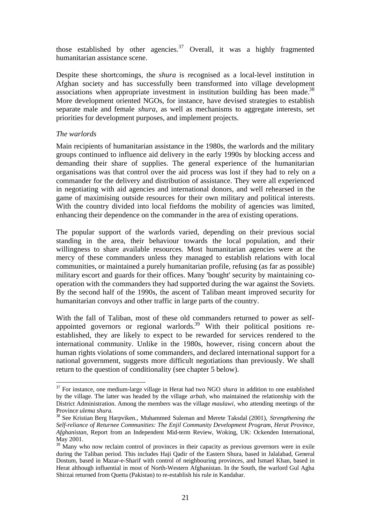those established by other agencies.<sup>37</sup> Overall, it was a highly fragmented humanitarian assistance scene.

Despite these shortcomings, the *shura* is recognised as a local-level institution in Afghan society and has successfully been transformed into village development associations when appropriate investment in institution building has been made.<sup>38</sup> More development oriented NGOs, for instance, have devised strategies to establish separate male and female *shura*, as well as mechanisms to aggregate interests, set priorities for development purposes, and implement projects.

### *The warlords*

 $\overline{a}$ 

Main recipients of humanitarian assistance in the 1980s, the warlords and the military groups continued to influence aid delivery in the early 1990s by blocking access and demanding their share of supplies. The general experience of the humanitarian organisations was that control over the aid process was lost if they had to rely on a commander for the delivery and distribution of assistance. They were all experienced in negotiating with aid agencies and international donors, and well rehearsed in the game of maximising outside resources for their own military and political interests. With the country divided into local fiefdoms the mobility of agencies was limited, enhancing their dependence on the commander in the area of existing operations.

The popular support of the warlords varied, depending on their previous social standing in the area, their behaviour towards the local population, and their willingness to share available resources. Most humanitarian agencies were at the mercy of these commanders unless they managed to establish relations with local communities, or maintained a purely humanitarian profile, refusing (as far as possible) military escort and guards for their offices. Many 'bought' security by maintaining cooperation with the commanders they had supported during the war against the Soviets. By the second half of the 1990s, the ascent of Taliban meant improved security for humanitarian convoys and other traffic in large parts of the country.

With the fall of Taliban, most of these old commanders returned to power as selfappointed governors or regional warlords.<sup>39</sup> With their political positions reestablished, they are likely to expect to be rewarded for services rendered to the international community. Unlike in the 1980s, however, rising concern about the human rights violations of some commanders, and declared international support for a national government, suggests more difficult negotiations than previously. We shall return to the question of conditionality (see chapter 5 below).

<sup>37</sup> For instance, one medium-large village in Herat had two NGO *shura* in addition to one established by the village. The latter was headed by the village *arbab,* who maintained the relationship with the District Administration. Among the members was the village *maulawi,* who attending meetings of the Province *ulema shura.*

<sup>38</sup> See Kristian Berg Harpviken., Muhammed Suleman and Merete Taksdal (2001), *Strengthening the Self-reliance of Returnee Communities: The Enjil Community Development Program, Herat Province, Afghanistan*, Report from an Independent Mid-term Review, Woking, UK: Ockenden International, May 2001.

<sup>&</sup>lt;sup>39</sup> Many who now reclaim control of provinces in their capacity as previous governors were in exile during the Taliban period. This includes Haji Qadir of the Eastern Shura, based in Jalalabad, General Dostum, based in Mazar-e-Sharif with control of neighbouring provinces, and Ismael Khan, based in Herat although influential in most of North-Western Afghanistan. In the South, the warlord Gul Agha Shirzai returned from Quetta (Pakistan) to re-establish his rule in Kandahar.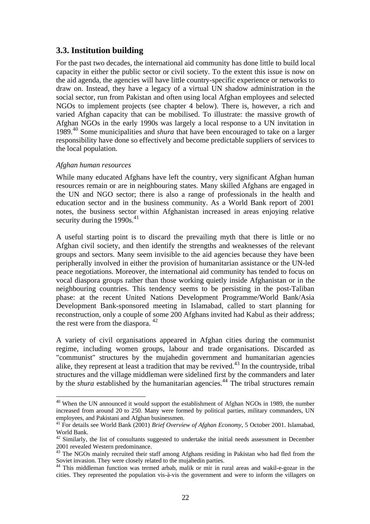## **3.3. Institution building**

For the past two decades, the international aid community has done little to build local capacity in either the public sector or civil society. To the extent this issue is now on the aid agenda, the agencies will have little country-specific experience or networks to draw on. Instead, they have a legacy of a virtual UN shadow administration in the social sector, run from Pakistan and often using local Afghan employees and selected NGOs to implement projects (see chapter 4 below). There is, however, a rich and varied Afghan capacity that can be mobilised. To illustrate: the massive growth of Afghan NGOs in the early 1990s was largely a local response to a UN invitation in 1989.<sup>40</sup> Some municipalities and *shura* that have been encouraged to take on a larger responsibility have done so effectively and become predictable suppliers of services to the local population.

### *Afghan human resources*

 $\overline{a}$ 

While many educated Afghans have left the country, very significant Afghan human resources remain or are in neighbouring states. Many skilled Afghans are engaged in the UN and NGO sector; there is also a range of professionals in the health and education sector and in the business community. As a World Bank report of 2001 notes, the business sector within Afghanistan increased in areas enjoying relative security during the  $1990s<sup>41</sup>$ 

A useful starting point is to discard the prevailing myth that there is little or no Afghan civil society, and then identify the strengths and weaknesses of the relevant groups and sectors. Many seem invisible to the aid agencies because they have been peripherally involved in either the provision of humanitarian assistance or the UN-led peace negotiations. Moreover, the international aid community has tended to focus on vocal diaspora groups rather than those working quietly inside Afghanistan or in the neighbouring countries. This tendency seems to be persisting in the post-Taliban phase: at the recent United Nations Development Programme/World Bank/Asia Development Bank-sponsored meeting in Islamabad, called to start planning for reconstruction, only a couple of some 200 Afghans invited had Kabul as their address; the rest were from the diaspora. <sup>42</sup>

A variety of civil organisations appeared in Afghan cities during the communist regime, including women groups, labour and trade organisations. Discarded as "communist" structures by the mujahedin government and humanitarian agencies alike, they represent at least a tradition that may be revived.<sup>43</sup> In the countryside, tribal structures and the village middleman were sidelined first by the commanders and later by the *shura* established by the humanitarian agencies.<sup>44</sup> The tribal structures remain

 $40$  When the UN announced it would support the establishment of Afghan NGOs in 1989, the number increased from around 20 to 250. Many were formed by political parties, military commanders, UN employees, and Pakistani and Afghan businessmen.

<sup>41</sup> For details see World Bank (2001) *Brief Overview of Afghan Economy*, 5 October 2001. Islamabad, World Bank.

 $42$  Similarly, the list of consultants suggested to undertake the initial needs assessment in December 2001 revealed Western predominance.

<sup>&</sup>lt;sup>43</sup> The NGOs mainly recruited their staff among Afghans residing in Pakistan who had fled from the Soviet invasion. They were closely related to the mujahedin parties.

<sup>&</sup>lt;sup>44</sup> This middleman function was termed arbab, malik or mir in rural areas and wakil-e-gozar in the cities. They represented the population vis-à-vis the government and were to inform the villagers on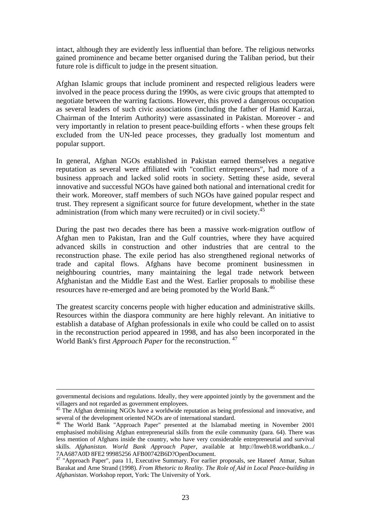intact, although they are evidently less influential than before. The religious networks gained prominence and became better organised during the Taliban period, but their future role is difficult to judge in the present situation.

Afghan Islamic groups that include prominent and respected religious leaders were involved in the peace process during the 1990s, as were civic groups that attempted to negotiate between the warring factions. However, this proved a dangerous occupation as several leaders of such civic associations (including the father of Hamid Karzai, Chairman of the Interim Authority) were assassinated in Pakistan. Moreover - and very importantly in relation to present peace-building efforts - when these groups felt excluded from the UN-led peace processes, they gradually lost momentum and popular support.

In general, Afghan NGOs established in Pakistan earned themselves a negative reputation as several were affiliated with "conflict entrepreneurs", had more of a business approach and lacked solid roots in society. Setting these aside, several innovative and successful NGOs have gained both national and international credit for their work. Moreover, staff members of such NGOs have gained popular respect and trust. They represent a significant source for future development, whether in the state administration (from which many were recruited) or in civil society.<sup>45</sup>

During the past two decades there has been a massive work-migration outflow of Afghan men to Pakistan, Iran and the Gulf countries, where they have acquired advanced skills in construction and other industries that are central to the reconstruction phase. The exile period has also strengthened regional networks of trade and capital flows. Afghans have become prominent businessmen in neighbouring countries, many maintaining the legal trade network between Afghanistan and the Middle East and the West. Earlier proposals to mobilise these resources have re-emerged and are being promoted by the World Bank.<sup>46</sup>

The greatest scarcity concerns people with higher education and administrative skills. Resources within the diaspora community are here highly relevant. An initiative to establish a database of Afghan professionals in exile who could be called on to assist in the reconstruction period appeared in 1998, and has also been incorporated in the World Bank's first *Approach Paper* for the reconstruction. <sup>47</sup>

1

governmental decisions and regulations. Ideally, they were appointed jointly by the government and the villagers and not regarded as government employees.

<sup>&</sup>lt;sup>45</sup> The Afghan demining NGOs have a worldwide reputation as being professional and innovative, and several of the development oriented NGOs are of international standard.

<sup>46</sup> The World Bank "Approach Paper" presented at the Islamabad meeting in November 2001 emphasised mobilising Afghan entrepreneurial skills from the exile community (para. 64). There was less mention of Afghans inside the country, who have very considerable entrepreneurial and survival skills. *Afghanistan. World Bank Approach Paper*, available at http://lnweb18.worldbank.o.../ 7AA687A0D 8FE2 99985256 AFB00742B6D?OpenDocument.

<sup>&</sup>lt;sup>47</sup> "Approach Paper", para 11, Executive Summary. For earlier proposals, see Haneef Atmar, Sultan Barakat and Arne Strand (1998). *From Rhetoric to Reality. The Role of Aid in Local Peace-building in Afghanistan*. Workshop report, York: The University of York.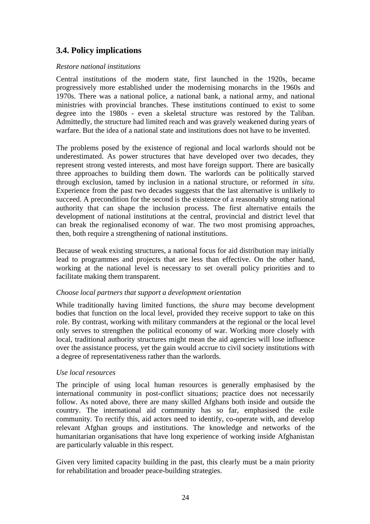## **3.4. Policy implications**

### *Restore national institutions*

Central institutions of the modern state, first launched in the 1920s, became progressively more established under the modernising monarchs in the 1960s and 1970s. There was a national police, a national bank, a national army, and national ministries with provincial branches. These institutions continued to exist to some degree into the 1980s - even a skeletal structure was restored by the Taliban. Admittedly, the structure had limited reach and was gravely weakened during years of warfare. But the idea of a national state and institutions does not have to be invented.

The problems posed by the existence of regional and local warlords should not be underestimated. As power structures that have developed over two decades, they represent strong vested interests, and most have foreign support. There are basically three approaches to building them down. The warlords can be politically starved through exclusion, tamed by inclusion in a national structure, or reformed *in situ.* Experience from the past two decades suggests that the last alternative is unlikely to succeed. A precondition for the second is the existence of a reasonably strong national authority that can shape the inclusion process. The first alternative entails the development of national institutions at the central, provincial and district level that can break the regionalised economy of war. The two most promising approaches, then, both require a strengthening of national institutions.

Because of weak existing structures, a national focus for aid distribution may initially lead to programmes and projects that are less than effective. On the other hand, working at the national level is necessary to set overall policy priorities and to facilitate making them transparent.

### *Choose local partners that support a development orientation*

While traditionally having limited functions, the *shura* may become development bodies that function on the local level, provided they receive support to take on this role. By contrast, working with military commanders at the regional or the local level only serves to strengthen the political economy of war. Working more closely with local, traditional authority structures might mean the aid agencies will lose influence over the assistance process, yet the gain would accrue to civil society institutions with a degree of representativeness rather than the warlords.

### *Use local resources*

The principle of using local human resources is generally emphasised by the international community in post-conflict situations; practice does not necessarily follow. As noted above, there are many skilled Afghans both inside and outside the country. The international aid community has so far, emphasised the exile community. To rectify this, aid actors need to identify, co-operate with, and develop relevant Afghan groups and institutions. The knowledge and networks of the humanitarian organisations that have long experience of working inside Afghanistan are particularly valuable in this respect.

Given very limited capacity building in the past, this clearly must be a main priority for rehabilitation and broader peace-building strategies.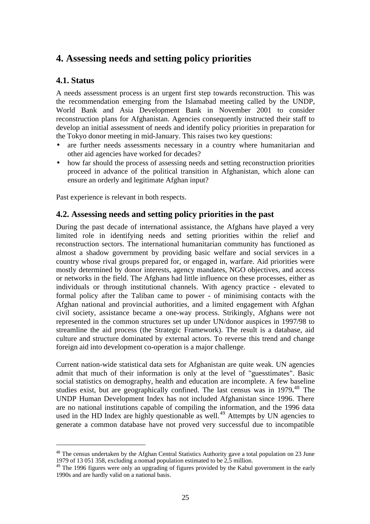# **4. Assessing needs and setting policy priorities**

## **4.1. Status**

A needs assessment process is an urgent first step towards reconstruction. This was the recommendation emerging from the Islamabad meeting called by the UNDP, World Bank and Asia Development Bank in November 2001 to consider reconstruction plans for Afghanistan. Agencies consequently instructed their staff to develop an initial assessment of needs and identify policy priorities in preparation for the Tokyo donor meeting in mid-January. This raises two key questions:

- are further needs assessments necessary in a country where humanitarian and other aid agencies have worked for decades?
- how far should the process of assessing needs and setting reconstruction priorities proceed in advance of the political transition in Afghanistan, which alone can ensure an orderly and legitimate Afghan input?

Past experience is relevant in both respects.

## **4.2. Assessing needs and setting policy priorities in the past**

During the past decade of international assistance, the Afghans have played a very limited role in identifying needs and setting priorities within the relief and reconstruction sectors. The international humanitarian community has functioned as almost a shadow government by providing basic welfare and social services in a country whose rival groups prepared for, or engaged in, warfare. Aid priorities were mostly determined by donor interests, agency mandates, NGO objectives, and access or networks in the field. The Afghans had little influence on these processes, either as individuals or through institutional channels. With agency practice - elevated to formal policy after the Taliban came to power - of minimising contacts with the Afghan national and provincial authorities, and a limited engagement with Afghan civil society, assistance became a one-way process. Strikingly, Afghans were not represented in the common structures set up under UN/donor auspices in 1997/98 to streamline the aid process (the Strategic Framework). The result is a database, aid culture and structure dominated by external actors. To reverse this trend and change foreign aid into development co-operation is a major challenge.

Current nation-wide statistical data sets for Afghanistan are quite weak. UN agencies admit that much of their information is only at the level of "guesstimates". Basic social statistics on demography, health and education are incomplete. A few baseline studies exist, but are geographically confined. The last census was in 1979**.** <sup>48</sup> The UNDP Human Development Index has not included Afghanistan since 1996. There are no national institutions capable of compiling the information, and the 1996 data used in the HD Index are highly questionable as well.<sup>49</sup> Attempts by UN agencies to generate a common database have not proved very successful due to incompatible

<sup>&</sup>lt;sup>48</sup> The census undertaken by the Afghan Central Statistics Authority gave a total population on 23 June 1979 of 13 051 358, excluding a nomad population estimated to be 2,5 million.

<sup>&</sup>lt;sup>49</sup> The 1996 figures were only an upgrading of figures provided by the Kabul government in the early 1990s and are hardly valid on a national basis.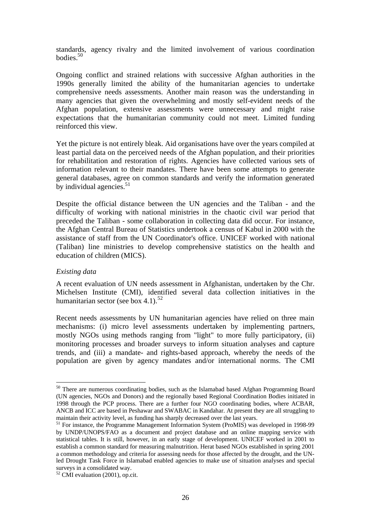standards, agency rivalry and the limited involvement of various coordination  $b$ odies.<sup>50</sup>

Ongoing conflict and strained relations with successive Afghan authorities in the 1990s generally limited the ability of the humanitarian agencies to undertake comprehensive needs assessments. Another main reason was the understanding in many agencies that given the overwhelming and mostly self-evident needs of the Afghan population, extensive assessments were unnecessary and might raise expectations that the humanitarian community could not meet. Limited funding reinforced this view.

Yet the picture is not entirely bleak. Aid organisations have over the years compiled at least partial data on the perceived needs of the Afghan population, and their priorities for rehabilitation and restoration of rights. Agencies have collected various sets of information relevant to their mandates. There have been some attempts to generate general databases, agree on common standards and verify the information generated by individual agencies. $51$ 

Despite the official distance between the UN agencies and the Taliban - and the difficulty of working with national ministries in the chaotic civil war period that preceded the Taliban - some collaboration in collecting data did occur. For instance, the Afghan Central Bureau of Statistics undertook a census of Kabul in 2000 with the assistance of staff from the UN Coordinator's office. UNICEF worked with national (Taliban) line ministries to develop comprehensive statistics on the health and education of children (MICS).

#### *Existing data*

 $\overline{a}$ 

A recent evaluation of UN needs assessment in Afghanistan, undertaken by the Chr. Michelsen Institute (CMI), identified several data collection initiatives in the humanitarian sector (see box 4.1).<sup>52</sup>

Recent needs assessments by UN humanitarian agencies have relied on three main mechanisms: (i) micro level assessments undertaken by implementing partners, mostly NGOs using methods ranging from "light" to more fully participatory, (ii) monitoring processes and broader surveys to inform situation analyses and capture trends, and (iii) a mandate- and rights-based approach, whereby the needs of the population are given by agency mandates and/or international norms. The CMI

<sup>&</sup>lt;sup>50</sup> There are numerous coordinating bodies, such as the Islamabad based Afghan Programming Board (UN agencies, NGOs and Donors) and the regionally based Regional Coordination Bodies initiated in 1998 through the PCP process. There are a further four NGO coordinating bodies, where ACBAR, ANCB and ICC are based in Peshawar and SWABAC in Kandahar. At present they are all struggling to maintain their activity level, as funding has sharply decreased over the last years.

<sup>&</sup>lt;sup>51</sup> For instance, the Programme Management Information System (ProMIS) was developed in 1998-99 by UNDP/UNOPS/FAO as a document and project database and an online mapping service with statistical tables. It is still, however, in an early stage of development. UNICEF worked in 2001 to establish a common standard for measuring malnutrition. Herat based NGOs established in spring 2001 a common methodology and criteria for assessing needs for those affected by the drought, and the UNled Drought Task Force in Islamabad enabled agencies to make use of situation analyses and special surveys in a consolidated way.

<sup>&</sup>lt;sup>52</sup> CMI evaluation (2001), op.cit.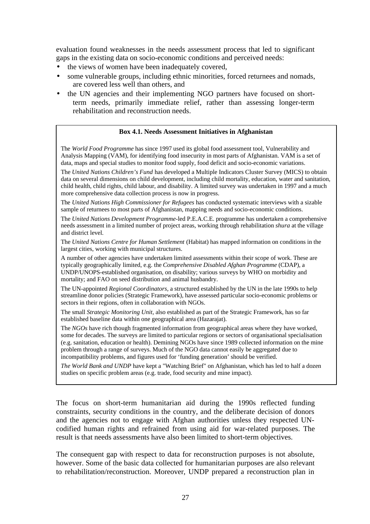evaluation found weaknesses in the needs assessment process that led to significant gaps in the existing data on socio-economic conditions and perceived needs:

- the views of women have been inadequately covered,
- some vulnerable groups, including ethnic minorities, forced returnees and nomads, are covered less well than others, and
- the UN agencies and their implementing NGO partners have focused on shortterm needs, primarily immediate relief, rather than assessing longer-term rehabilitation and reconstruction needs.

#### **Box 4.1. Needs Assessment Initiatives in Afghanistan**

The *World Food Programme* has since 1997 used its global food assessment tool, Vulnerability and Analysis Mapping (VAM), for identifying food insecurity in most parts of Afghanistan. VAM is a set of data, maps and special studies to monitor food supply, food deficit and socio-economic variations.

The *United Nations Children's Fund* has developed a Multiple Indicators Cluster Survey (MICS) to obtain data on several dimensions on child development, including child mortality, education, water and sanitation, child health, child rights, child labour, and disability. A limited survey was undertaken in 1997 and a much more comprehensive data collection process is now in progress.

The *United Nations High Commissioner for Refugees* has conducted systematic interviews with a sizable sample of returnees to most parts of Afghanistan, mapping needs and socio-economic conditions.

The *United Nations Development Programme*-led P.E.A.C.E. programme has undertaken a comprehensive needs assessment in a limited number of project areas, working through rehabilitation *shura* at the village and district level.

The *United Nations Centre for Human Settlement* (Habitat) has mapped information on conditions in the largest cities, working with municipal structures.

A number of other agencies have undertaken limited assessments within their scope of work. These are typically geographically limited, e.g. the *Comprehensive Disabled Afghan Programme* (CDAP), a UNDP/UNOPS-established organisation, on disability; various surveys by WHO on morbidity and mortality; and FAO on seed distribution and animal husbandry.

The UN-appointed *Regional Coordinators,* a structured established by the UN in the late 1990s to help streamline donor policies (Strategic Framework), have assessed particular socio-economic problems or sectors in their regions, often in collaboration with NGOs.

The small *Strategic Monitoring Unit*, also established as part of the Strategic Framework, has so far established baseline data within one geographical area (Hazarajat).

The *NGOs* have rich though fragmented information from geographical areas where they have worked, some for decades. The surveys are limited to particular regions or sectors of organisational specialisation (e.g. sanitation, education or health). Demining NGOs have since 1989 collected information on the mine problem through a range of surveys. Much of the NGO data cannot easily be aggregated due to incompatibility problems, and figures used for 'funding generation' should be verified.

*The World Bank and UNDP* have kept a "Watching Brief" on Afghanistan, which has led to half a dozen studies on specific problem areas (e.g. trade, food security and mine impact).

The focus on short-term humanitarian aid during the 1990s reflected funding constraints, security conditions in the country, and the deliberate decision of donors and the agencies not to engage with Afghan authorities unless they respected UNcodified human rights and refrained from using aid for war-related purposes. The result is that needs assessments have also been limited to short-term objectives.

The consequent gap with respect to data for reconstruction purposes is not absolute, however. Some of the basic data collected for humanitarian purposes are also relevant to rehabilitation/reconstruction. Moreover, UNDP prepared a reconstruction plan in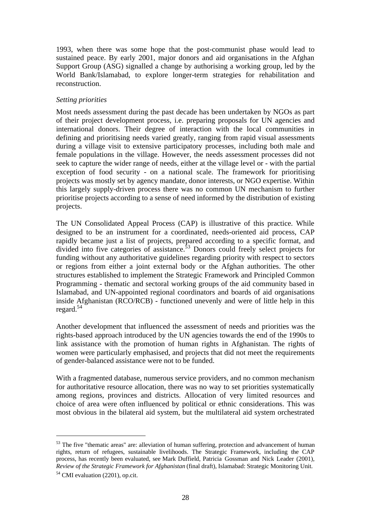1993, when there was some hope that the post-communist phase would lead to sustained peace. By early 2001, major donors and aid organisations in the Afghan Support Group (ASG) signalled a change by authorising a working group, led by the World Bank/Islamabad, to explore longer-term strategies for rehabilitation and reconstruction.

### *Setting priorities*

Most needs assessment during the past decade has been undertaken by NGOs as part of their project development process, i.e. preparing proposals for UN agencies and international donors. Their degree of interaction with the local communities in defining and prioritising needs varied greatly, ranging from rapid visual assessments during a village visit to extensive participatory processes, including both male and female populations in the village. However, the needs assessment processes did not seek to capture the wider range of needs, either at the village level or - with the partial exception of food security - on a national scale. The framework for prioritising projects was mostly set by agency mandate, donor interests, or NGO expertise. Within this largely supply-driven process there was no common UN mechanism to further prioritise projects according to a sense of need informed by the distribution of existing projects.

The UN Consolidated Appeal Process (CAP) is illustrative of this practice. While designed to be an instrument for a coordinated, needs-oriented aid process, CAP rapidly became just a list of projects, prepared according to a specific format, and divided into five categories of assistance.<sup>53</sup> Donors could freely select projects for funding without any authoritative guidelines regarding priority with respect to sectors or regions from either a joint external body or the Afghan authorities. The other structures established to implement the Strategic Framework and Principled Common Programming - thematic and sectoral working groups of the aid community based in Islamabad, and UN-appointed regional coordinators and boards of aid organisations inside Afghanistan (RCO/RCB) - functioned unevenly and were of little help in this regard.<sup>54</sup>

Another development that influenced the assessment of needs and priorities was the rights-based approach introduced by the UN agencies towards the end of the 1990s to link assistance with the promotion of human rights in Afghanistan. The rights of women were particularly emphasised, and projects that did not meet the requirements of gender-balanced assistance were not to be funded.

With a fragmented database, numerous service providers, and no common mechanism for authoritative resource allocation, there was no way to set priorities systematically among regions, provinces and districts. Allocation of very limited resources and choice of area were often influenced by political or ethnic considerations. This was most obvious in the bilateral aid system, but the multilateral aid system orchestrated

<sup>&</sup>lt;sup>53</sup> The five "thematic areas" are: alleviation of human suffering, protection and advancement of human rights, return of refugees, sustainable livelihoods. The Strategic Framework, including the CAP process, has recently been evaluated, see Mark Duffield, Patricia Gossman and Nick Leader (2001), *Review of the Strategic Framework for Afghanistan* (final draft), Islamabad: Strategic Monitoring Unit.

<sup>54</sup> CMI evaluation (2201), op.cit.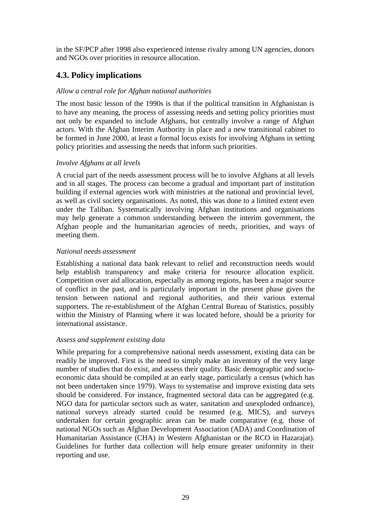in the SF/PCP after 1998 also experienced intense rivalry among UN agencies, donors and NGOs over priorities in resource allocation.

## **4.3. Policy implications**

### *Allow a central role for Afghan national authorities*

The most basic lesson of the 1990s is that if the political transition in Afghanistan is to have any meaning, the process of assessing needs and setting policy priorities must not only be expanded to include Afghans, but centrally involve a range of Afghan actors. With the Afghan Interim Authority in place and a new transitional cabinet to be formed in June 2000, at least a formal locus exists for involving Afghans in setting policy priorities and assessing the needs that inform such priorities.

### *Involve Afghans at all levels*

A crucial part of the needs assessment process will be to involve Afghans at all levels and in all stages. The process can become a gradual and important part of institution building if external agencies work with ministries at the national and provincial level, as well as civil society organisations. As noted, this was done to a limited extent even under the Taliban. Systematically involving Afghan institutions and organisations may help generate a common understanding between the interim government, the Afghan people and the humanitarian agencies of needs, priorities, and ways of meeting them.

### *National needs assessment*

Establishing a national data bank relevant to relief and reconstruction needs would help establish transparency and make criteria for resource allocation explicit. Competition over aid allocation, especially as among regions, has been a major source of conflict in the past, and is particularly important in the present phase given the tension between national and regional authorities, and their various external supporters. The re-establishment of the Afghan Central Bureau of Statistics, possibly within the Ministry of Planning where it was located before, should be a priority for international assistance.

### *Assess and supplement existing data*

While preparing for a comprehensive national needs assessment, existing data can be readily be improved. First is the need to simply make an inventory of the very large number of studies that do exist, and assess their quality. Basic demographic and socioeconomic data should be compiled at an early stage, particularly a census (which has not been undertaken since 1979). Ways to systematise and improve existing data sets should be considered. For instance, fragmented sectoral data can be aggregated (e.g. NGO data for particular sectors such as water, sanitation and unexploded ordnance), national surveys already started could be resumed (e.g. MICS), and surveys undertaken for certain geographic areas can be made comparative (e.g. those of national NGOs such as Afghan Development Association (ADA) and Coordination of Humanitarian Assistance (CHA) in Western Afghanistan or the RCO in Hazarajat). Guidelines for further data collection will help ensure greater uniformity in their reporting and use.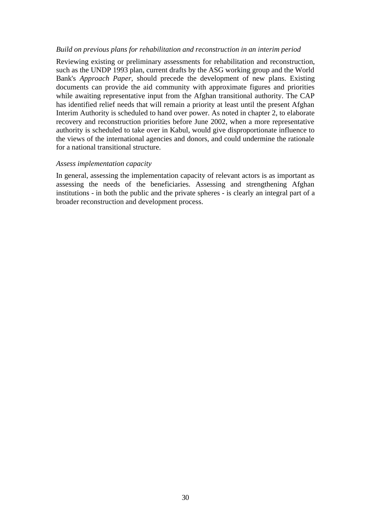#### *Build on previous plans for rehabilitation and reconstruction in an interim period*

Reviewing existing or preliminary assessments for rehabilitation and reconstruction, such as the UNDP 1993 plan, current drafts by the ASG working group and the World Bank's *Approach Paper*, should precede the development of new plans. Existing documents can provide the aid community with approximate figures and priorities while awaiting representative input from the Afghan transitional authority. The CAP has identified relief needs that will remain a priority at least until the present Afghan Interim Authority is scheduled to hand over power. As noted in chapter 2, to elaborate recovery and reconstruction priorities before June 2002, when a more representative authority is scheduled to take over in Kabul, would give disproportionate influence to the views of the international agencies and donors, and could undermine the rationale for a national transitional structure.

### *Assess implementation capacity*

In general, assessing the implementation capacity of relevant actors is as important as assessing the needs of the beneficiaries. Assessing and strengthening Afghan institutions - in both the public and the private spheres - is clearly an integral part of a broader reconstruction and development process.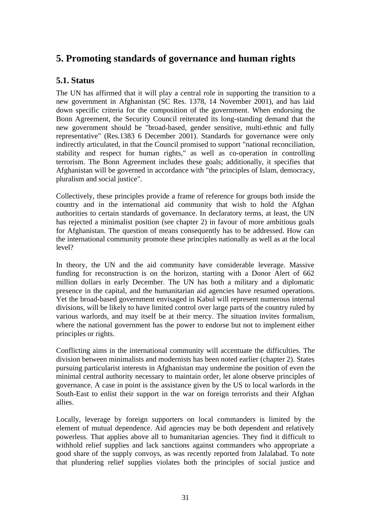# **5. Promoting standards of governance and human rights**

## **5.1. Status**

The UN has affirmed that it will play a central role in supporting the transition to a new government in Afghanistan (SC Res. 1378, 14 November 2001), and has laid down specific criteria for the composition of the government. When endorsing the Bonn Agreement, the Security Council reiterated its long-standing demand that the new government should be "broad-based, gender sensitive, multi-ethnic and fully representative" (Res.1383 6 December 2001). Standards for governance were only indirectly articulated, in that the Council promised to support "national reconciliation, stability and respect for human rights," as well as co-operation in controlling terrorism. The Bonn Agreement includes these goals; additionally, it specifies that Afghanistan will be governed in accordance with "the principles of Islam, democracy, pluralism and social justice".

Collectively, these principles provide a frame of reference for groups both inside the country and in the international aid community that wish to hold the Afghan authorities to certain standards of governance. In declaratory terms, at least, the UN has rejected a minimalist position (see chapter 2) in favour of more ambitious goals for Afghanistan. The question of means consequently has to be addressed. How can the international community promote these principles nationally as well as at the local level?

In theory, the UN and the aid community have considerable leverage. Massive funding for reconstruction is on the horizon, starting with a Donor Alert of 662 million dollars in early December. The UN has both a military and a diplomatic presence in the capital, and the humanitarian aid agencies have resumed operations. Yet the broad-based government envisaged in Kabul will represent numerous internal divisions, will be likely to have limited control over large parts of the country ruled by various warlords, and may itself be at their mercy. The situation invites formalism, where the national government has the power to endorse but not to implement either principles or rights.

Conflicting aims in the international community will accentuate the difficulties. The division between minimalists and modernists has been noted earlier (chapter 2). States pursuing particularist interests in Afghanistan may undermine the position of even the minimal central authority necessary to maintain order, let alone observe principles of governance. A case in point is the assistance given by the US to local warlords in the South-East to enlist their support in the war on foreign terrorists and their Afghan allies.

Locally, leverage by foreign supporters on local commanders is limited by the element of mutual dependence. Aid agencies may be both dependent and relatively powerless. That applies above all to humanitarian agencies. They find it difficult to withhold relief supplies and lack sanctions against commanders who appropriate a good share of the supply convoys, as was recently reported from Jalalabad. To note that plundering relief supplies violates both the principles of social justice and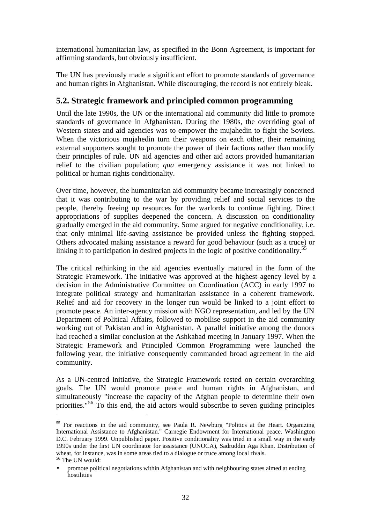international humanitarian law, as specified in the Bonn Agreement, is important for affirming standards, but obviously insufficient.

The UN has previously made a significant effort to promote standards of governance and human rights in Afghanistan. While discouraging, the record is not entirely bleak.

## **5.2. Strategic framework and principled common programming**

Until the late 1990s, the UN or the international aid community did little to promote standards of governance in Afghanistan. During the 1980s, the overriding goal of Western states and aid agencies was to empower the mujahedin to fight the Soviets. When the victorious mujahedin turn their weapons on each other, their remaining external supporters sought to promote the power of their factions rather than modify their principles of rule. UN aid agencies and other aid actors provided humanitarian relief to the civilian population; *qua* emergency assistance it was not linked to political or human rights conditionality.

Over time, however, the humanitarian aid community became increasingly concerned that it was contributing to the war by providing relief and social services to the people, thereby freeing up resources for the warlords to continue fighting. Direct appropriations of supplies deepened the concern. A discussion on conditionality gradually emerged in the aid community. Some argued for negative conditionality, i.e. that only minimal life-saving assistance be provided unless the fighting stopped. Others advocated making assistance a reward for good behaviour (such as a truce) or linking it to participation in desired projects in the logic of positive conditionality.<sup>55</sup>

The critical rethinking in the aid agencies eventually matured in the form of the Strategic Framework. The initiative was approved at the highest agency level by a decision in the Administrative Committee on Coordination (ACC) in early 1997 to integrate political strategy and humanitarian assistance in a coherent framework. Relief and aid for recovery in the longer run would be linked to a joint effort to promote peace. An inter-agency mission with NGO representation, and led by the UN Department of Political Affairs, followed to mobilise support in the aid community working out of Pakistan and in Afghanistan. A parallel initiative among the donors had reached a similar conclusion at the Ashkabad meeting in January 1997. When the Strategic Framework and Principled Common Programming were launched the following year, the initiative consequently commanded broad agreement in the aid community.

As a UN-centred initiative, the Strategic Framework rested on certain overarching goals. The UN would promote peace and human rights in Afghanistan, and simultaneously "increase the capacity of the Afghan people to determine their own priorities."<sup>56</sup> To this end, the aid actors would subscribe to seven guiding principles

<sup>&</sup>lt;sup>55</sup> For reactions in the aid community, see Paula R. Newburg "Politics at the Heart. Organizing International Assistance to Afghanistan." Carnegie Endowment for International peace. Washington D.C. February 1999. Unpublished paper. Positive conditionality was tried in a small way in the early 1990s under the first UN coordinator for assistance (UNOCA), Sadruddin Aga Khan. Distribution of wheat, for instance, was in some areas tied to a dialogue or truce among local rivals. <sup>56</sup> The UN would:

<sup>•</sup> promote political negotiations within Afghanistan and with neighbouring states aimed at ending hostilities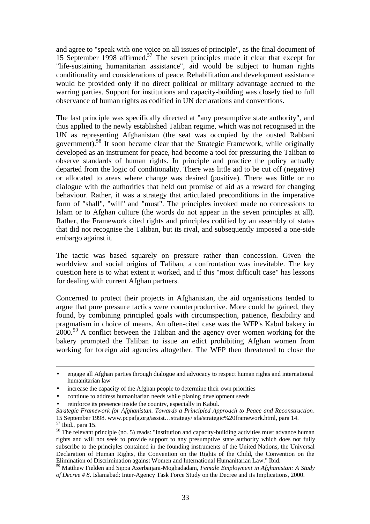and agree to "speak with one voice on all issues of principle", as the final document of 15 September 1998 affirmed.<sup>57</sup> The seven principles made it clear that except for "life-sustaining humanitarian assistance", aid would be subject to human rights conditionality and considerations of peace. Rehabilitation and development assistance would be provided only if no direct political or military advantage accrued to the warring parties. Support for institutions and capacity-building was closely tied to full observance of human rights as codified in UN declarations and conventions.

The last principle was specifically directed at "any presumptive state authority", and thus applied to the newly established Taliban regime, which was not recognised in the UN as representing Afghanistan (the seat was occupied by the ousted Rabbani government).<sup>58</sup> It soon became clear that the Strategic Framework, while originally developed as an instrument for peace, had become a tool for pressuring the Taliban to observe standards of human rights. In principle and practice the policy actually departed from the logic of conditionality. There was little aid to be cut off (negative) or allocated to areas where change was desired (positive). There was little or no dialogue with the authorities that held out promise of aid as a reward for changing behaviour. Rather, it was a strategy that articulated preconditions in the imperative form of "shall", "will" and "must". The principles invoked made no concessions to Islam or to Afghan culture (the words do not appear in the seven principles at all). Rather, the Framework cited rights and principles codified by an assembly of states that did not recognise the Taliban, but its rival, and subsequently imposed a one-side embargo against it.

The tactic was based squarely on pressure rather than concession. Given the worldview and social origins of Taliban, a confrontation was inevitable. The key question here is to what extent it worked, and if this "most difficult case" has lessons for dealing with current Afghan partners.

Concerned to protect their projects in Afghanistan, the aid organisations tended to argue that pure pressure tactics were counterproductive. More could be gained, they found, by combining principled goals with circumspection, patience, flexibility and pragmatism in choice of means. An often-cited case was the WFP's Kabul bakery in  $2000$ <sup>59</sup> A conflict between the Taliban and the agency over women working for the bakery prompted the Taliban to issue an edict prohibiting Afghan women from working for foreign aid agencies altogether. The WFP then threatened to close the

1

<sup>•</sup> engage all Afghan parties through dialogue and advocacy to respect human rights and international humanitarian law

<sup>•</sup> increase the capacity of the Afghan people to determine their own priorities

<sup>•</sup> continue to address humanitarian needs while planing development seeds

reinforce its presence inside the country, especially in Kabul.

*Strategic Framework for Afghanistan. Towards a Principled Approach to Peace and Reconstruction*. 15 September 1998. www.pcpafg.org/assist…strategy/ sfa/strategic%20framework.html, para 14. <sup>57</sup> Ibid., para 15.

<sup>&</sup>lt;sup>58</sup> The relevant principle (no. 5) reads: "Institution and capacity-building activities must advance human rights and will not seek to provide support to any presumptive state authority which does not fully subscribe to the principles contained in the founding instruments of the United Nations, the Universal Declaration of Human Rights, the Convention on the Rights of the Child, the Convention on the Elimination of Discrimination against Women and International Humanitarian Law." Ibid.

<sup>59</sup> Matthew Fielden and Sippa Azerbaijani-Moghadadam, *Female Employment in Afghanistan: A Study of Decree # 8*. Islamabad: Inter-Agency Task Force Study on the Decree and its Implications, 2000.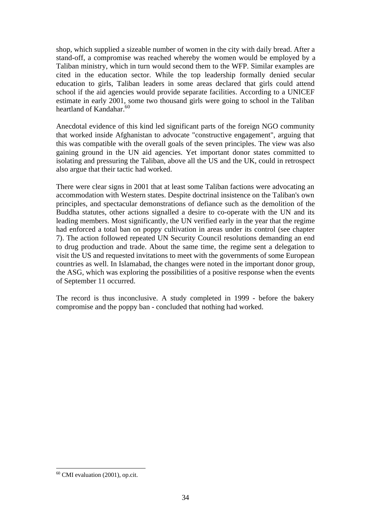shop, which supplied a sizeable number of women in the city with daily bread. After a stand-off, a compromise was reached whereby the women would be employed by a Taliban ministry, which in turn would second them to the WFP. Similar examples are cited in the education sector. While the top leadership formally denied secular education to girls, Taliban leaders in some areas declared that girls could attend school if the aid agencies would provide separate facilities. According to a UNICEF estimate in early 2001, some two thousand girls were going to school in the Taliban heartland of Kandahar.<sup>60</sup>

Anecdotal evidence of this kind led significant parts of the foreign NGO community that worked inside Afghanistan to advocate "constructive engagement", arguing that this was compatible with the overall goals of the seven principles. The view was also gaining ground in the UN aid agencies. Yet important donor states committed to isolating and pressuring the Taliban, above all the US and the UK, could in retrospect also argue that their tactic had worked.

There were clear signs in 2001 that at least some Taliban factions were advocating an accommodation with Western states. Despite doctrinal insistence on the Taliban's own principles, and spectacular demonstrations of defiance such as the demolition of the Buddha statutes, other actions signalled a desire to co-operate with the UN and its leading members. Most significantly, the UN verified early in the year that the regime had enforced a total ban on poppy cultivation in areas under its control (see chapter 7). The action followed repeated UN Security Council resolutions demanding an end to drug production and trade. About the same time, the regime sent a delegation to visit the US and requested invitations to meet with the governments of some European countries as well. In Islamabad, the changes were noted in the important donor group, the ASG, which was exploring the possibilities of a positive response when the events of September 11 occurred.

The record is thus inconclusive. A study completed in 1999 - before the bakery compromise and the poppy ban - concluded that nothing had worked.

 $60$  CMI evaluation (2001), op.cit.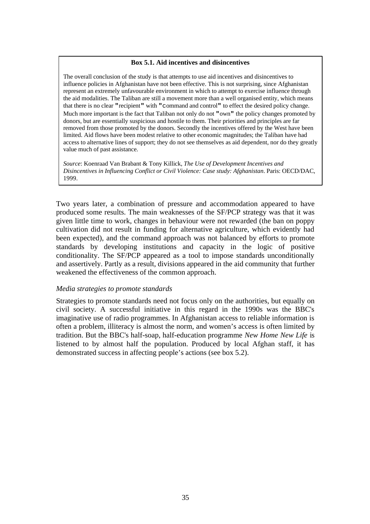#### **Box 5.1. Aid incentives and disincentives**

The overall conclusion of the study is that attempts to use aid incentives and disincentives to influence policies in Afghanistan have not been effective. This is not surprising, since Afghanistan represent an extremely unfavourable environment in which to attempt to exercise influence through the aid modalities. The Taliban are still a movement more than a well organised entity, which means that there is no clear **"**recipient**"** with **"**command and control**"** to effect the desired policy change. Much more important is the fact that Taliban not only do not **"**own**"** the policy changes promoted by donors, but are essentially suspicious and hostile to them. Their priorities and principles are far removed from those promoted by the donors. Secondly the incentives offered by the West have been limited. Aid flows have been modest relative to other economic magnitudes; the Taliban have had access to alternative lines of support; they do not see themselves as aid dependent, nor do they greatly value much of past assistance.

*Source*: Koenraad Van Brabant & Tony Killick, *The Use of Development Incentives and Disincentives in Influencing Conflict or Civil Violence: Case study: Afghanistan*. Paris: OECD/DAC, 1999.

Two years later, a combination of pressure and accommodation appeared to have produced some results. The main weaknesses of the SF/PCP strategy was that it was given little time to work, changes in behaviour were not rewarded (the ban on poppy cultivation did not result in funding for alternative agriculture, which evidently had been expected), and the command approach was not balanced by efforts to promote standards by developing institutions and capacity in the logic of positive conditionality. The SF/PCP appeared as a tool to impose standards unconditionally and assertively. Partly as a result, divisions appeared in the aid community that further weakened the effectiveness of the common approach.

### *Media strategies to promote standards*

Strategies to promote standards need not focus only on the authorities, but equally on civil society. A successful initiative in this regard in the 1990s was the BBC's imaginative use of radio programmes. In Afghanistan access to reliable information is often a problem, illiteracy is almost the norm, and women's access is often limited by tradition. But the BBC's half-soap, half-education programme *New Home New Life* is listened to by almost half the population. Produced by local Afghan staff, it has demonstrated success in affecting people's actions (see box 5.2).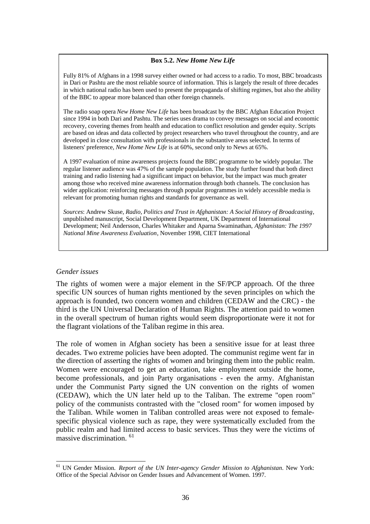### **Box 5.2.** *New Home New Life*

Fully 81% of Afghans in a 1998 survey either owned or had access to a radio. To most, BBC broadcasts in Dari or Pashtu are the most reliable source of information. This is largely the result of three decades in which national radio has been used to present the propaganda of shifting regimes, but also the ability of the BBC to appear more balanced than other foreign channels.

The radio soap opera *New Home New Life* has been broadcast by the BBC Afghan Education Project since 1994 in both Dari and Pashtu. The series uses drama to convey messages on social and economic recovery, covering themes from health and education to conflict resolution and gender equity. Scripts are based on ideas and data collected by project researchers who travel throughout the country, and are developed in close consultation with professionals in the substantive areas selected. In terms of listeners' preference, *New Home New Life* is at 60%, second only to News at 65%.

A 1997 evaluation of mine awareness projects found the BBC programme to be widely popular. The regular listener audience was 47% of the sample population. The study further found that both direct training and radio listening had a significant impact on behavior, but the impact was much greater among those who received mine awareness information through both channels. The conclusion has wider application: reinforcing messages through popular programmes in widely accessible media is relevant for promoting human rights and standards for governance as well.

*Sources*: Andrew Skuse, *Radio, Politics and Trust in Afghanistan: A Social History of Broadcasting*, unpublished manuscript, Social Development Department, UK Department of International Development; Neil Andersson, Charles Whitaker and Aparna Swaminathan, *Afghanistan: The 1997 National Mine Awareness Evaluation*, November 1998, CIET International

#### *Gender issues*

The rights of women were a major element in the SF/PCP approach. Of the three specific UN sources of human rights mentioned by the seven principles on which the approach is founded, two concern women and children (CEDAW and the CRC) - the third is the UN Universal Declaration of Human Rights. The attention paid to women in the overall spectrum of human rights would seem disproportionate were it not for the flagrant violations of the Taliban regime in this area.

The role of women in Afghan society has been a sensitive issue for at least three decades. Two extreme policies have been adopted. The communist regime went far in the direction of asserting the rights of women and bringing them into the public realm. Women were encouraged to get an education, take employment outside the home, become professionals, and join Party organisations - even the army. Afghanistan under the Communist Party signed the UN convention on the rights of women (CEDAW), which the UN later held up to the Taliban. The extreme "open room" policy of the communists contrasted with the "closed room" for women imposed by the Taliban. While women in Taliban controlled areas were not exposed to femalespecific physical violence such as rape, they were systematically excluded from the public realm and had limited access to basic services. Thus they were the victims of massive discrimination. <sup>61</sup>

 $\overline{a}$ <sup>61</sup> UN Gender Mission. *Report of the UN Inter-agency Gender Mission to Afghanistan*. New York: Office of the Special Advisor on Gender Issues and Advancement of Women. 1997.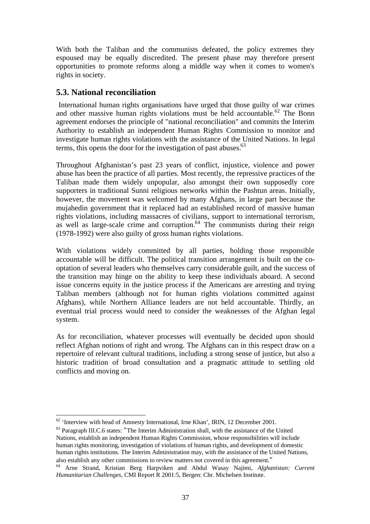With both the Taliban and the communists defeated, the policy extremes they espoused may be equally discredited. The present phase may therefore present opportunities to promote reforms along a middle way when it comes to women's rights in society.

## **5.3. National reconciliation**

 International human rights organisations have urged that those guilty of war crimes and other massive human rights violations must be held accountable.<sup>62</sup> The Bonn agreement endorses the principle of "national reconciliation" and commits the Interim Authority to establish an independent Human Rights Commission to monitor and investigate human rights violations with the assistance of the United Nations. In legal terms, this opens the door for the investigation of past abuses. $63$ 

Throughout Afghanistan's past 23 years of conflict, injustice, violence and power abuse has been the practice of all parties. Most recently, the repressive practices of the Taliban made them widely unpopular, also amongst their own supposedly core supporters in traditional Sunni religious networks within the Pashtun areas. Initially, however, the movement was welcomed by many Afghans, in large part because the mujahedin government that it replaced had an established record of massive human rights violations, including massacres of civilians, support to international terrorism, as well as large-scale crime and corruption. $64$  The communists during their reign (1978-1992) were also guilty of gross human rights violations.

With violations widely committed by all parties, holding those responsible accountable will be difficult. The political transition arrangement is built on the cooptation of several leaders who themselves carry considerable guilt, and the success of the transition may hinge on the ability to keep these individuals aboard. A second issue concerns equity in the justice process if the Americans are arresting and trying Taliban members (although not for human rights violations committed against Afghans), while Northern Alliance leaders are not held accountable. Thirdly, an eventual trial process would need to consider the weaknesses of the Afghan legal system.

As for reconciliation, whatever processes will eventually be decided upon should reflect Afghan notions of right and wrong. The Afghans can in this respect draw on a repertoire of relevant cultural traditions, including a strong sense of justice, but also a historic tradition of broad consultation and a pragmatic attitude to settling old conflicts and moving on.

 $62$  'Interview with head of Amnesty International, Irne Khan', IRIN, 12 December 2001.

<sup>63</sup> Paragraph III.C.6 states: "The Interim Administration shall, with the assistance of the United Nations, establish an independent Human Rights Commission, whose responsibilities will include human rights monitoring, investigation of violations of human rights, and development of domestic human rights institutions. The Interim Administration may, with the assistance of the United Nations, also establish any other commissions to review matters not covered in this agreement."

<sup>64</sup> Arne Strand, Kristian Berg Harpviken and Abdul Wasay Najimi, *Afghanistan: Current Humanitarian Challenges*, CMI Report R 2001:5, Bergen: Chr. Michelsen Institute.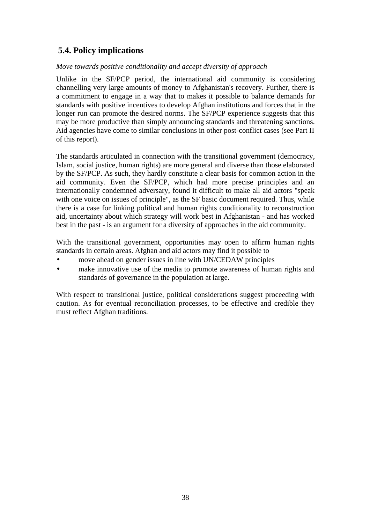# **5.4. Policy implications**

### *Move towards positive conditionality and accept diversity of approach*

Unlike in the SF/PCP period, the international aid community is considering channelling very large amounts of money to Afghanistan's recovery. Further, there is a commitment to engage in a way that to makes it possible to balance demands for standards with positive incentives to develop Afghan institutions and forces that in the longer run can promote the desired norms. The SF/PCP experience suggests that this may be more productive than simply announcing standards and threatening sanctions. Aid agencies have come to similar conclusions in other post-conflict cases (see Part II of this report).

The standards articulated in connection with the transitional government (democracy, Islam, social justice, human rights) are more general and diverse than those elaborated by the SF/PCP. As such, they hardly constitute a clear basis for common action in the aid community. Even the SF/PCP, which had more precise principles and an internationally condemned adversary, found it difficult to make all aid actors "speak with one voice on issues of principle", as the SF basic document required. Thus, while there is a case for linking political and human rights conditionality to reconstruction aid, uncertainty about which strategy will work best in Afghanistan - and has worked best in the past - is an argument for a diversity of approaches in the aid community.

With the transitional government, opportunities may open to affirm human rights standards in certain areas. Afghan and aid actors may find it possible to

- move ahead on gender issues in line with UN/CEDAW principles
- make innovative use of the media to promote awareness of human rights and standards of governance in the population at large.

With respect to transitional justice, political considerations suggest proceeding with caution. As for eventual reconciliation processes, to be effective and credible they must reflect Afghan traditions.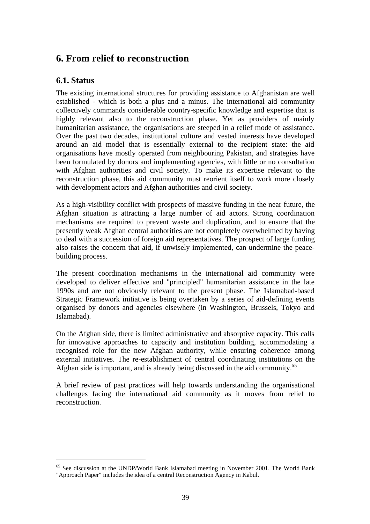# **6. From relief to reconstruction**

## **6.1. Status**

 $\overline{a}$ 

The existing international structures for providing assistance to Afghanistan are well established - which is both a plus and a minus. The international aid community collectively commands considerable country-specific knowledge and expertise that is highly relevant also to the reconstruction phase. Yet as providers of mainly humanitarian assistance, the organisations are steeped in a relief mode of assistance. Over the past two decades, institutional culture and vested interests have developed around an aid model that is essentially external to the recipient state: the aid organisations have mostly operated from neighbouring Pakistan, and strategies have been formulated by donors and implementing agencies, with little or no consultation with Afghan authorities and civil society. To make its expertise relevant to the reconstruction phase, this aid community must reorient itself to work more closely with development actors and Afghan authorities and civil society.

As a high-visibility conflict with prospects of massive funding in the near future, the Afghan situation is attracting a large number of aid actors. Strong coordination mechanisms are required to prevent waste and duplication, and to ensure that the presently weak Afghan central authorities are not completely overwhelmed by having to deal with a succession of foreign aid representatives. The prospect of large funding also raises the concern that aid, if unwisely implemented, can undermine the peacebuilding process.

The present coordination mechanisms in the international aid community were developed to deliver effective and "principled" humanitarian assistance in the late 1990s and are not obviously relevant to the present phase. The Islamabad-based Strategic Framework initiative is being overtaken by a series of aid-defining events organised by donors and agencies elsewhere (in Washington, Brussels, Tokyo and Islamabad).

On the Afghan side, there is limited administrative and absorptive capacity. This calls for innovative approaches to capacity and institution building, accommodating a recognised role for the new Afghan authority, while ensuring coherence among external initiatives. The re-establishment of central coordinating institutions on the Afghan side is important, and is already being discussed in the aid community.<sup>65</sup>

A brief review of past practices will help towards understanding the organisational challenges facing the international aid community as it moves from relief to reconstruction.

<sup>65</sup> See discussion at the UNDP/World Bank Islamabad meeting in November 2001. The World Bank "Approach Paper" includes the idea of a central Reconstruction Agency in Kabul.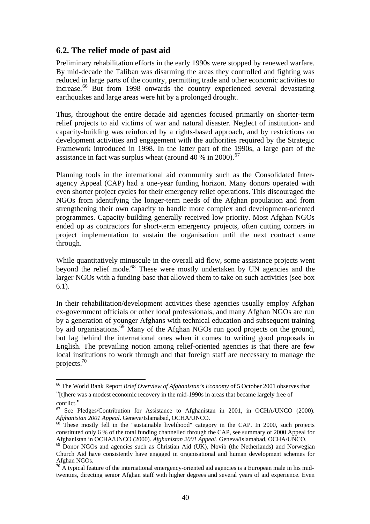## **6.2. The relief mode of past aid**

Preliminary rehabilitation efforts in the early 1990s were stopped by renewed warfare. By mid-decade the Taliban was disarming the areas they controlled and fighting was reduced in large parts of the country, permitting trade and other economic activities to increase.<sup>66</sup> But from 1998 onwards the country experienced several devastating earthquakes and large areas were hit by a prolonged drought.

Thus, throughout the entire decade aid agencies focused primarily on shorter-term relief projects to aid victims of war and natural disaster. Neglect of institution- and capacity-building was reinforced by a rights-based approach, and by restrictions on development activities and engagement with the authorities required by the Strategic Framework introduced in 1998. In the latter part of the 1990s, a large part of the assistance in fact was surplus wheat (around 40  $\%$  in 2000).<sup>67</sup>

Planning tools in the international aid community such as the Consolidated Interagency Appeal (CAP) had a one-year funding horizon. Many donors operated with even shorter project cycles for their emergency relief operations. This discouraged the NGOs from identifying the longer-term needs of the Afghan population and from strengthening their own capacity to handle more complex and development-oriented programmes. Capacity-building generally received low priority. Most Afghan NGOs ended up as contractors for short-term emergency projects, often cutting corners in project implementation to sustain the organisation until the next contract came through.

While quantitatively minuscule in the overall aid flow, some assistance projects went beyond the relief mode.<sup>68</sup> These were mostly undertaken by UN agencies and the larger NGOs with a funding base that allowed them to take on such activities (see box 6.1).

In their rehabilitation/development activities these agencies usually employ Afghan ex-government officials or other local professionals, and many Afghan NGOs are run by a generation of younger Afghans with technical education and subsequent training by aid organisations.<sup>69</sup> Many of the Afghan NGOs run good projects on the ground, but lag behind the international ones when it comes to writing good proposals in English. The prevailing notion among relief-oriented agencies is that there are few local institutions to work through and that foreign staff are necessary to manage the projects.<sup>70</sup>

<sup>66</sup> The World Bank Report *Brief Overview of Afghanistan's Economy* of 5 October 2001 observes that

<sup>&</sup>quot;[t]here was a modest economic recovery in the mid-1990s in areas that became largely free of conflict."

 $67$  See Pledges/Contribution for Assistance to Afghanistan in 2001, in OCHA/UNCO (2000). *Afghanistan 2001 Appeal*. Geneva/Islamabad, OCHA/UNCO.

 $68$  These mostly fell in the "sustainable livelihood" category in the CAP. In 2000, such projects constituted only 6 % of the total funding channelled through the CAP, see summary of 2000 Appeal for Afghanistan in OCHA/UNCO (2000). *Afghanistan 2001 Appeal*. Geneva/Islamabad, OCHA/UNCO.

 $69$  Donor NGOs and agencies such as Christian Aid (UK), Novib (the Netherlands) and Norwegian Church Aid have consistently have engaged in organisational and human development schemes for Afghan NGOs.

 $70$  A typical feature of the international emergency-oriented aid agencies is a European male in his midtwenties, directing senior Afghan staff with higher degrees and several years of aid experience. Even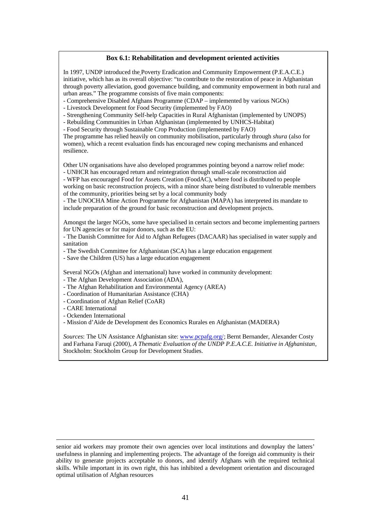#### **Box 6.1: Rehabilitation and development oriented activities**

In 1997, UNDP introduced the Poverty Eradication and Community Empowerment (P.E.A.C.E.) initiative, which has as its overall objective: "to contribute to the restoration of peace in Afghanistan through poverty alleviation, good governance building, and community empowerment in both rural and urban areas." The programme consists of five main components:

- Comprehensive Disabled Afghans Programme (CDAP – implemented by various NGOs)

- Livestock Development for Food Security (implemented by FAO)

- Strengthening Community Self-help Capacities in Rural Afghanistan (implemented by UNOPS)

- Rebuilding Communities in Urban Afghanistan (implemented by UNHCS-Habitat)

- Food Security through Sustainable Crop Production (implemented by FAO)

The programme has relied heavily on community mobilisation, particularly through *shura* (also for women), which a recent evaluation finds has encouraged new coping mechanisms and enhanced resilience.

Other UN organisations have also developed programmes pointing beyond a narrow relief mode: - UNHCR has encouraged return and reintegration through small-scale reconstruction aid

- WFP has encouraged Food for Assets Creation (FoodAC), where food is distributed to people working on basic reconstruction projects, with a minor share being distributed to vulnerable members of the community, priorities being set by a local community body

- The UNOCHA Mine Action Programme for Afghanistan (MAPA) has interpreted its mandate to include preparation of the ground for basic reconstruction and development projects.

Amongst the larger NGOs, some have specialised in certain sectors and become implementing partners for UN agencies or for major donors, such as the EU:

- The Danish Committee for Aid to Afghan Refugees (DACAAR) has specialised in water supply and sanitation

- The Swedish Committee for Afghanistan (SCA) has a large education engagement

- Save the Children (US) has a large education engagement

Several NGOs (Afghan and international) have worked in community development:

- The Afghan Development Association (ADA),

- The Afghan Rehabilitation and Environmental Agency (AREA)

- Coordination of Humanitarian Assistance (CHA)
- Coordination of Afghan Relief (CoAR)
- CARE International

1

- Ockenden International

- Mission d'Aide de Development des Economics Rurales en Afghanistan (MADERA)

*Sources*: The UN Assistance Afghanistan site: www.pcpafg.org/; Bernt Bernander, Alexander Costy and Farhana Faruqi (2000), *A Thematic Evaluation of the UNDP P.E.A.C.E. Initiative in Afghanistan*, Stockholm: Stockholm Group for Development Studies.

senior aid workers may promote their own agencies over local institutions and downplay the latters' usefulness in planning and implementing projects. The advantage of the foreign aid community is their ability to generate projects acceptable to donors, and identify Afghans with the required technical skills. While important in its own right, this has inhibited a development orientation and discouraged optimal utilisation of Afghan resources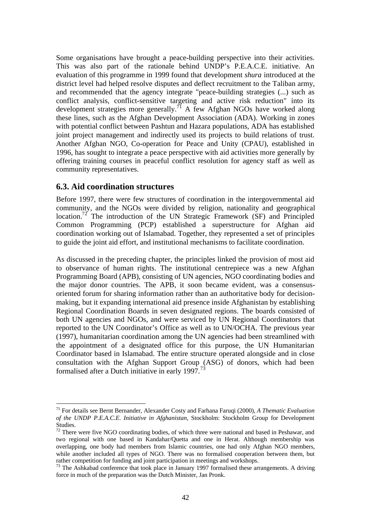Some organisations have brought a peace-building perspective into their activities. This was also part of the rationale behind UNDP's P.E.A.C.E. initiative. An evaluation of this programme in 1999 found that development *shura* introduced at the district level had helped resolve disputes and deflect recruitment to the Taliban army, and recommended that the agency integrate "peace-building strategies (...) such as conflict analysis, conflict-sensitive targeting and active risk reduction" into its development strategies more generally.<sup>71</sup> A few Afghan NGOs have worked along these lines, such as the Afghan Development Association (ADA). Working in zones with potential conflict between Pashtun and Hazara populations, ADA has established joint project management and indirectly used its projects to build relations of trust. Another Afghan NGO, Co-operation for Peace and Unity (CPAU), established in 1996, has sought to integrate a peace perspective with aid activities more generally by offering training courses in peaceful conflict resolution for agency staff as well as community representatives.

## **6.3. Aid coordination structures**

 $\overline{a}$ 

Before 1997, there were few structures of coordination in the intergovernmental aid community, and the NGOs were divided by religion, nationality and geographical location.<sup>72</sup> The introduction of the UN Strategic Framework (SF) and Principled Common Programming (PCP) established a superstructure for Afghan aid coordination working out of Islamabad. Together, they represented a set of principles to guide the joint aid effort, and institutional mechanisms to facilitate coordination.

As discussed in the preceding chapter, the principles linked the provision of most aid to observance of human rights. The institutional centrepiece was a new Afghan Programming Board (APB), consisting of UN agencies, NGO coordinating bodies and the major donor countries. The APB, it soon became evident, was a consensusoriented forum for sharing information rather than an authoritative body for decisionmaking, but it expanding international aid presence inside Afghanistan by establishing Regional Coordination Boards in seven designated regions. The boards consisted of both UN agencies and NGOs, and were serviced by UN Regional Coordinators that reported to the UN Coordinator's Office as well as to UN/OCHA. The previous year (1997), humanitarian coordination among the UN agencies had been streamlined with the appointment of a designated office for this purpose, the UN Humanitarian Coordinator based in Islamabad. The entire structure operated alongside and in close consultation with the Afghan Support Group (ASG) of donors, which had been formalised after a Dutch initiative in early 1997.<sup>73</sup>

<sup>71</sup> For details see Bernt Bernander, Alexander Costy and Farhana Faruqi (2000), *A Thematic Evaluation of the UNDP P.E.A.C.E. Initiative in Afghanistan*, Stockholm: Stockholm Group for Development Studies.

 $72$  There were five NGO coordinating bodies, of which three were national and based in Peshawar, and two regional with one based in Kandahar/Quetta and one in Herat. Although membership was overlapping, one body had members from Islamic countries, one had only Afghan NGO members, while another included all types of NGO. There was no formalised cooperation between them, but rather competition for funding and joint participation in meetings and workshops.

<sup>&</sup>lt;sup>73</sup> The Ashkabad conference that took place in January 1997 formalised these arrangements. A driving force in much of the preparation was the Dutch Minister, Jan Pronk.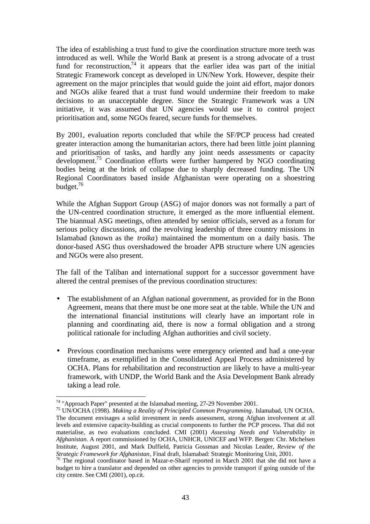The idea of establishing a trust fund to give the coordination structure more teeth was introduced as well. While the World Bank at present is a strong advocate of a trust fund for reconstruction,<sup>74</sup> it appears that the earlier idea was part of the initial Strategic Framework concept as developed in UN/New York. However, despite their agreement on the major principles that would guide the joint aid effort, major donors and NGOs alike feared that a trust fund would undermine their freedom to make decisions to an unacceptable degree. Since the Strategic Framework was a UN initiative, it was assumed that UN agencies would use it to control project prioritisation and, some NGOs feared, secure funds for themselves.

By 2001, evaluation reports concluded that while the SF/PCP process had created greater interaction among the humanitarian actors, there had been little joint planning and prioritisation of tasks, and hardly any joint needs assessments or capacity development.<sup>75</sup> Coordination efforts were further hampered by NGO coordinating bodies being at the brink of collapse due to sharply decreased funding. The UN Regional Coordinators based inside Afghanistan were operating on a shoestring budget.<sup>76</sup>

While the Afghan Support Group (ASG) of major donors was not formally a part of the UN-centred coordination structure, it emerged as the more influential element. The biannual ASG meetings, often attended by senior officials, served as a forum for serious policy discussions, and the revolving leadership of three country missions in Islamabad (known as the *troika*) maintained the momentum on a daily basis. The donor-based ASG thus overshadowed the broader APB structure where UN agencies and NGOs were also present.

The fall of the Taliban and international support for a successor government have altered the central premises of the previous coordination structures:

- The establishment of an Afghan national government, as provided for in the Bonn Agreement, means that there must be one more seat at the table. While the UN and the international financial institutions will clearly have an important role in planning and coordinating aid, there is now a formal obligation and a strong political rationale for including Afghan authorities and civil society.
- Previous coordination mechanisms were emergency oriented and had a one-year timeframe, as exemplified in the Consolidated Appeal Process administered by OCHA. Plans for rehabilitation and reconstruction are likely to have a multi-year framework, with UNDP, the World Bank and the Asia Development Bank already taking a lead role.

 $\overline{a}$ <sup>74</sup> "Approach Paper" presented at the Islamabad meeting, 27-29 November 2001.

<sup>75</sup> UN/OCHA (1998). *Making a Reality of Principled Common Programming*. Islamabad, UN OCHA. The document envisages a solid investment in needs assessment, strong Afghan involvement at all levels and extensive capacity-building as crucial components to further the PCP process. That did not materialise, as two evaluations concluded. CMI (2001) *Assessing Needs and Vulnerability in Afghanistan*. A report commissioned by OCHA, UNHCR, UNICEF and WFP. Bergen: Chr. Michelsen Institute, August 2001, and Mark Duffield, Patricia Gossman and Nicolas Leader, *Review of the Strategic Framework for Afghanistan*, Final draft, Islamabad: Strategic Monitoring Unit, 2001.

<sup>&</sup>lt;sup>76</sup> The regional coordinator based in Mazar-e-Sharif reported in March 2001 that she did not have a budget to hire a translator and depended on other agencies to provide transport if going outside of the city centre. See CMI (2001), op.cit.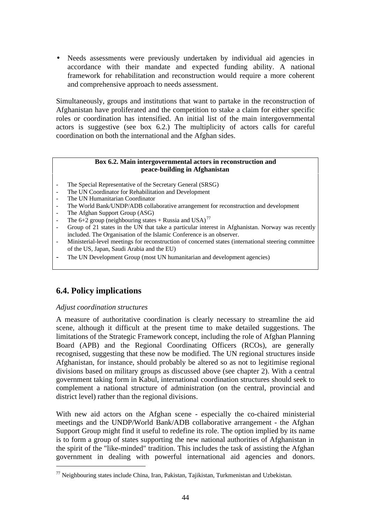• Needs assessments were previously undertaken by individual aid agencies in accordance with their mandate and expected funding ability. A national framework for rehabilitation and reconstruction would require a more coherent and comprehensive approach to needs assessment.

Simultaneously, groups and institutions that want to partake in the reconstruction of Afghanistan have proliferated and the competition to stake a claim for either specific roles or coordination has intensified. An initial list of the main intergovernmental actors is suggestive (see box 6.2.) The multiplicity of actors calls for careful coordination on both the international and the Afghan sides.

#### **Box 6.2. Main intergovernmental actors in reconstruction and peace-building in Afghanistan**

- The Special Representative of the Secretary General (SRSG)
- The UN Coordinator for Rehabilitation and Development
- The UN Humanitarian Coordinator
- The World Bank/UNDP/ADB collaborative arrangement for reconstruction and development
- The Afghan Support Group (ASG)
- The 6+2 group (neighbouring states + Russia and USA)<sup>77</sup>
- Group of 21 states in the UN that take a particular interest in Afghanistan. Norway was recently included. The Organisation of the Islamic Conference is an observer.
- Ministerial-level meetings for reconstruction of concerned states (international steering committee of the US, Japan, Saudi Arabia and the EU)
- The UN Development Group (most UN humanitarian and development agencies)

## **6.4. Policy implications**

### *Adjust coordination structures*

 $\overline{a}$ 

A measure of authoritative coordination is clearly necessary to streamline the aid scene, although it difficult at the present time to make detailed suggestions. The limitations of the Strategic Framework concept, including the role of Afghan Planning Board (APB) and the Regional Coordinating Officers (RCOs), are generally recognised, suggesting that these now be modified. The UN regional structures inside Afghanistan, for instance, should probably be altered so as not to legitimise regional divisions based on military groups as discussed above (see chapter 2). With a central government taking form in Kabul, international coordination structures should seek to complement a national structure of administration (on the central, provincial and district level) rather than the regional divisions.

With new aid actors on the Afghan scene - especially the co-chaired ministerial meetings and the UNDP/World Bank/ADB collaborative arrangement - the Afghan Support Group might find it useful to redefine its role. The option implied by its name is to form a group of states supporting the new national authorities of Afghanistan in the spirit of the "like-minded" tradition. This includes the task of assisting the Afghan government in dealing with powerful international aid agencies and donors.

 $77$  Neighbouring states include China, Iran, Pakistan, Tajikistan, Turkmenistan and Uzbekistan.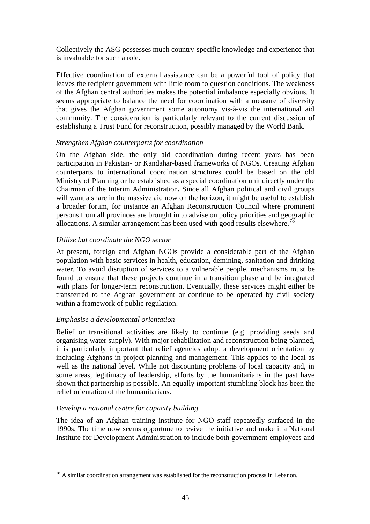Collectively the ASG possesses much country-specific knowledge and experience that is invaluable for such a role.

Effective coordination of external assistance can be a powerful tool of policy that leaves the recipient government with little room to question conditions. The weakness of the Afghan central authorities makes the potential imbalance especially obvious. It seems appropriate to balance the need for coordination with a measure of diversity that gives the Afghan government some autonomy vis-à-vis the international aid community. The consideration is particularly relevant to the current discussion of establishing a Trust Fund for reconstruction, possibly managed by the World Bank.

### *Strengthen Afghan counterparts for coordination*

On the Afghan side, the only aid coordination during recent years has been participation in Pakistan- or Kandahar-based frameworks of NGOs. Creating Afghan counterparts to international coordination structures could be based on the old Ministry of Planning or be established as a special coordination unit directly under the Chairman of the Interim Administration**.** Since all Afghan political and civil groups will want a share in the massive aid now on the horizon, it might be useful to establish a broader forum, for instance an Afghan Reconstruction Council where prominent persons from all provinces are brought in to advise on policy priorities and geographic allocations. A similar arrangement has been used with good results elsewhere.<sup>78</sup>

### *Utilise but coordinate the NGO sector*

At present, foreign and Afghan NGOs provide a considerable part of the Afghan population with basic services in health, education, demining, sanitation and drinking water. To avoid disruption of services to a vulnerable people, mechanisms must be found to ensure that these projects continue in a transition phase and be integrated with plans for longer-term reconstruction. Eventually, these services might either be transferred to the Afghan government or continue to be operated by civil society within a framework of public regulation.

## *Emphasise a developmental orientation*

Relief or transitional activities are likely to continue (e.g. providing seeds and organising water supply). With major rehabilitation and reconstruction being planned, it is particularly important that relief agencies adopt a development orientation by including Afghans in project planning and management. This applies to the local as well as the national level. While not discounting problems of local capacity and, in some areas, legitimacy of leadership, efforts by the humanitarians in the past have shown that partnership is possible. An equally important stumbling block has been the relief orientation of the humanitarians.

## *Develop a national centre for capacity building*

 $\overline{a}$ 

The idea of an Afghan training institute for NGO staff repeatedly surfaced in the 1990s. The time now seems opportune to revive the initiative and make it a National Institute for Development Administration to include both government employees and

 $^{78}$  A similar coordination arrangement was established for the reconstruction process in Lebanon.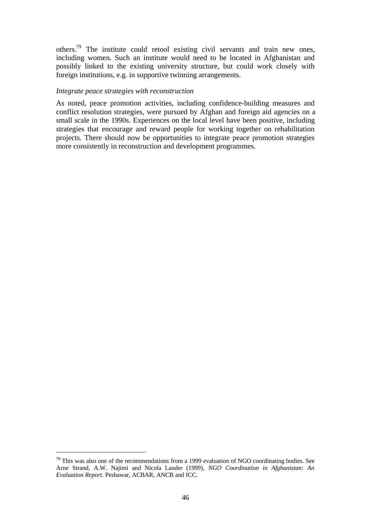others.<sup>79</sup> The institute could retool existing civil servants and train new ones, including women. Such an institute would need to be located in Afghanistan and possibly linked to the existing university structure, but could work closely with foreign institutions, e.g. in supportive twinning arrangements.

#### *Integrate peace strategies with reconstruction*

As noted, peace promotion activities, including confidence-building measures and conflict resolution strategies, were pursued by Afghan and foreign aid agencies on a small scale in the 1990s. Experiences on the local level have been positive, including strategies that encourage and reward people for working together on rehabilitation projects. There should now be opportunities to integrate peace promotion strategies more consistently in reconstruction and development programmes.

 $79$  This was also one of the recommendations from a 1999 evaluation of NGO coordinating bodies. See Arne Strand, A.W. Najimi and Nicola Lander (1999), *NGO Coordination in Afghanistan: An Evaluation Report*. Peshawar, ACBAR, ANCB and ICC.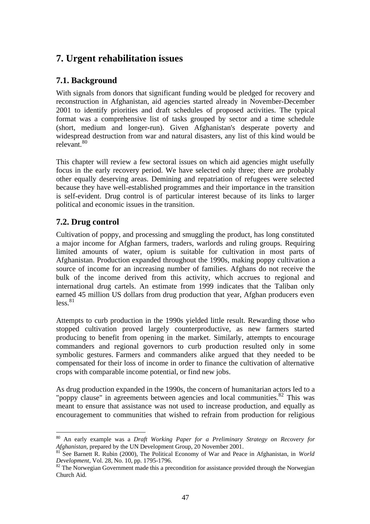# **7. Urgent rehabilitation issues**

# **7.1. Background**

With signals from donors that significant funding would be pledged for recovery and reconstruction in Afghanistan, aid agencies started already in November-December 2001 to identify priorities and draft schedules of proposed activities. The typical format was a comprehensive list of tasks grouped by sector and a time schedule (short, medium and longer-run). Given Afghanistan's desperate poverty and widespread destruction from war and natural disasters, any list of this kind would be relevant.<sup>80</sup>

This chapter will review a few sectoral issues on which aid agencies might usefully focus in the early recovery period. We have selected only three; there are probably other equally deserving areas. Demining and repatriation of refugees were selected because they have well-established programmes and their importance in the transition is self-evident. Drug control is of particular interest because of its links to larger political and economic issues in the transition.

# **7.2. Drug control**

Cultivation of poppy, and processing and smuggling the product, has long constituted a major income for Afghan farmers, traders, warlords and ruling groups. Requiring limited amounts of water, opium is suitable for cultivation in most parts of Afghanistan. Production expanded throughout the 1990s, making poppy cultivation a source of income for an increasing number of families. Afghans do not receive the bulk of the income derived from this activity, which accrues to regional and international drug cartels. An estimate from 1999 indicates that the Taliban only earned 45 million US dollars from drug production that year, Afghan producers even  $less$ <sup>81</sup>

Attempts to curb production in the 1990s yielded little result. Rewarding those who stopped cultivation proved largely counterproductive, as new farmers started producing to benefit from opening in the market. Similarly, attempts to encourage commanders and regional governors to curb production resulted only in some symbolic gestures. Farmers and commanders alike argued that they needed to be compensated for their loss of income in order to finance the cultivation of alternative crops with comparable income potential, or find new jobs.

As drug production expanded in the 1990s, the concern of humanitarian actors led to a "poppy clause" in agreements between agencies and local communities. $82$  This was meant to ensure that assistance was not used to increase production, and equally as encouragement to communities that wished to refrain from production for religious

 $\overline{a}$ <sup>80</sup> An early example was a *Draft Working Paper for a Preliminary Strategy on Recovery for Afghanistan,* prepared by the UN Development Group, 20 November 2001*.*

See Barnett R. Rubin (2000), The Political Economy of War and Peace in Afghanistan, in *World Development*, Vol. 28, No. 10, pp. 1795-1796.

<sup>&</sup>lt;sup>82</sup> The Norwegian Government made this a precondition for assistance provided through the Norwegian Church Aid.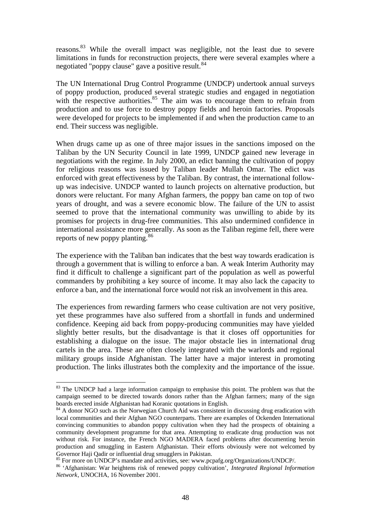reasons.<sup>83</sup> While the overall impact was negligible, not the least due to severe limitations in funds for reconstruction projects, there were several examples where a negotiated "poppy clause" gave a positive result.<sup>84</sup>

The UN International Drug Control Programme (UNDCP) undertook annual surveys of poppy production, produced several strategic studies and engaged in negotiation with the respective authorities. $85$  The aim was to encourage them to refrain from production and to use force to destroy poppy fields and heroin factories. Proposals were developed for projects to be implemented if and when the production came to an end. Their success was negligible.

When drugs came up as one of three major issues in the sanctions imposed on the Taliban by the UN Security Council in late 1999, UNDCP gained new leverage in negotiations with the regime. In July 2000, an edict banning the cultivation of poppy for religious reasons was issued by Taliban leader Mullah Omar. The edict was enforced with great effectiveness by the Taliban. By contrast, the international followup was indecisive. UNDCP wanted to launch projects on alternative production, but donors were reluctant. For many Afghan farmers, the poppy ban came on top of two years of drought, and was a severe economic blow. The failure of the UN to assist seemed to prove that the international community was unwilling to abide by its promises for projects in drug-free communities. This also undermined confidence in international assistance more generally. As soon as the Taliban regime fell, there were reports of new poppy planting.<sup>86</sup>

The experience with the Taliban ban indicates that the best way towards eradication is through a government that is willing to enforce a ban. A weak Interim Authority may find it difficult to challenge a significant part of the population as well as powerful commanders by prohibiting a key source of income. It may also lack the capacity to enforce a ban, and the international force would not risk an involvement in this area.

The experiences from rewarding farmers who cease cultivation are not very positive, yet these programmes have also suffered from a shortfall in funds and undermined confidence. Keeping aid back from poppy-producing communities may have yielded slightly better results, but the disadvantage is that it closes off opportunities for establishing a dialogue on the issue. The major obstacle lies in international drug cartels in the area. These are often closely integrated with the warlords and regional military groups inside Afghanistan. The latter have a major interest in promoting production. The links illustrates both the complexity and the importance of the issue.

<sup>&</sup>lt;sup>83</sup> The UNDCP had a large information campaign to emphasise this point. The problem was that the campaign seemed to be directed towards donors rather than the Afghan farmers; many of the sign boards erected inside Afghanistan had Koranic quotations in English.

<sup>&</sup>lt;sup>84</sup> A donor NGO such as the Norwegian Church Aid was consistent in discussing drug eradication with local communities and their Afghan NGO counterparts. There are examples of Ockenden International convincing communities to abandon poppy cultivation when they had the prospects of obtaining a community development programme for that area. Attempting to eradicate drug production was not without risk. For instance, the French NGO MADERA faced problems after documenting heroin production and smuggling in Eastern Afghanistan. Their efforts obviously were not welcomed by Governor Haji Qadir or influential drug smugglers in Pakistan.

<sup>&</sup>lt;sup>85</sup> For more on UNDCP's mandate and activities, see: www.pcpafg.org/Organizations/UNDCP/.

<sup>86</sup> 'Afghanistan: War heightens risk of renewed poppy cultivation', *Integrated Regional Information Network*, UNOCHA, 16 November 2001.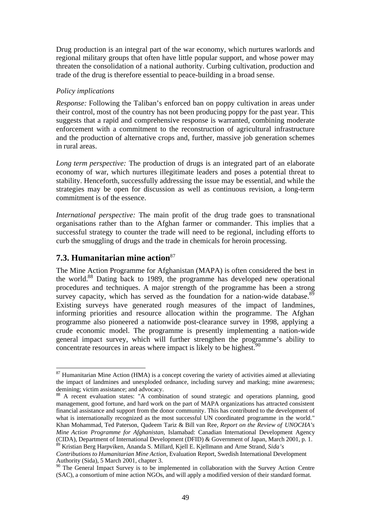Drug production is an integral part of the war economy, which nurtures warlords and regional military groups that often have little popular support, and whose power may threaten the consolidation of a national authority. Curbing cultivation, production and trade of the drug is therefore essential to peace-building in a broad sense.

### *Policy implications*

*Response:* Following the Taliban's enforced ban on poppy cultivation in areas under their control, most of the country has not been producing poppy for the past year. This suggests that a rapid and comprehensive response is warranted, combining moderate enforcement with a commitment to the reconstruction of agricultural infrastructure and the production of alternative crops and, further, massive job generation schemes in rural areas.

*Long term perspective:* The production of drugs is an integrated part of an elaborate economy of war, which nurtures illegitimate leaders and poses a potential threat to stability. Henceforth, successfully addressing the issue may be essential, and while the strategies may be open for discussion as well as continuous revision, a long-term commitment is of the essence.

*International perspective:* The main profit of the drug trade goes to transnational organisations rather than to the Afghan farmer or commander. This implies that a successful strategy to counter the trade will need to be regional, including efforts to curb the smuggling of drugs and the trade in chemicals for heroin processing.

# **7.3. Humanitarian mine action**<sup>87</sup>

 $\overline{a}$ 

The Mine Action Programme for Afghanistan (MAPA) is often considered the best in the world.<sup>88</sup> Dating back to 1989, the programme has developed new operational procedures and techniques. A major strength of the programme has been a strong survey capacity, which has served as the foundation for a nation-wide database. $8\overline{9}$ Existing surveys have generated rough measures of the impact of landmines, informing priorities and resource allocation within the programme. The Afghan programme also pioneered a nationwide post-clearance survey in 1998, applying a crude economic model. The programme is presently implementing a nation-wide general impact survey, which will further strengthen the programme's ability to concentrate resources in areas where impact is likely to be highest.  $90$ 

<sup>&</sup>lt;sup>87</sup> Humanitarian Mine Action (HMA) is a concept covering the variety of activities aimed at alleviating the impact of landmines and unexploded ordnance, including survey and marking; mine awareness; demining; victim assistance; and advocacy.

<sup>88</sup> A recent evaluation states: "A combination of sound strategic and operations planning, good management, good fortune, and hard work on the part of MAPA organizations has attracted consistent financial assistance and support from the donor community. This has contributed to the development of what is internationally recognized as the most successful UN coordinated programme in the world." Khan Mohammad, Ted Paterson, Qadeem Tariz & Bill van Ree, *Report on the Review of UNOCHA's Mine Action Programme for Afghanistan*, Islamabad: Canadian International Development Agency (CIDA), Department of International Development (DFID) & Government of Japan, March 2001, p. 1. <sup>89</sup> Kristian Berg Harpviken, Ananda S. Millard, Kjell E. Kjellmann and Arne Strand, *Sida's*

*Contributions to Humanitarian Mine Action*, Evaluation Report, Swedish International Development Authority (Sida), 5 March 2001, chapter 3.

<sup>&</sup>lt;sup>90</sup> The General Impact Survey is to be implemented in collaboration with the Survey Action Centre (SAC), a consortium of mine action NGOs, and will apply a modified version of their standard format.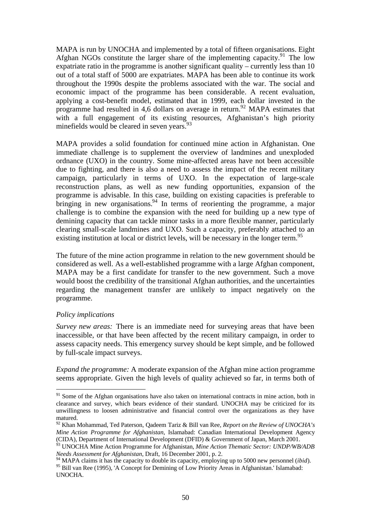MAPA is run by UNOCHA and implemented by a total of fifteen organisations. Eight Afghan NGOs constitute the larger share of the implementing capacity.<sup>91</sup> The low expatriate ratio in the programme is another significant quality – currently less than 10 out of a total staff of 5000 are expatriates. MAPA has been able to continue its work throughout the 1990s despite the problems associated with the war. The social and economic impact of the programme has been considerable. A recent evaluation, applying a cost-benefit model, estimated that in 1999, each dollar invested in the programme had resulted in 4,6 dollars on average in return.<sup>92</sup> MAPA estimates that with a full engagement of its existing resources, Afghanistan's high priority minefields would be cleared in seven years.<sup>93</sup>

MAPA provides a solid foundation for continued mine action in Afghanistan. One immediate challenge is to supplement the overview of landmines and unexploded ordnance (UXO) in the country. Some mine-affected areas have not been accessible due to fighting, and there is also a need to assess the impact of the recent military campaign, particularly in terms of UXO. In the expectation of large-scale reconstruction plans, as well as new funding opportunities, expansion of the programme is advisable. In this case, building on existing capacities is preferable to bringing in new organisations.<sup>94</sup> In terms of reorienting the programme, a major challenge is to combine the expansion with the need for building up a new type of demining capacity that can tackle minor tasks in a more flexible manner, particularly clearing small-scale landmines and UXO. Such a capacity, preferably attached to an existing institution at local or district levels, will be necessary in the longer term.<sup>95</sup>

The future of the mine action programme in relation to the new government should be considered as well. As a well-established programme with a large Afghan component, MAPA may be a first candidate for transfer to the new government. Such a move would boost the credibility of the transitional Afghan authorities, and the uncertainties regarding the management transfer are unlikely to impact negatively on the programme.

### *Policy implications*

 $\overline{a}$ 

*Survey new areas:* There is an immediate need for surveying areas that have been inaccessible, or that have been affected by the recent military campaign, in order to assess capacity needs. This emergency survey should be kept simple, and be followed by full-scale impact surveys.

*Expand the programme:* A moderate expansion of the Afghan mine action programme seems appropriate. Given the high levels of quality achieved so far, in terms both of

<sup>&</sup>lt;sup>91</sup> Some of the Afghan organisations have also taken on international contracts in mine action, both in clearance and survey, which bears evidence of their standard. UNOCHA may be criticized for its unwillingness to loosen administrative and financial control over the organizations as they have matured.

<sup>92</sup> Khan Mohammad, Ted Paterson, Qadeem Tariz & Bill van Ree, *Report on the Review of UNOCHA's Mine Action Programme for Afghanistan*, Islamabad: Canadian International Development Agency (CIDA), Department of International Development (DFID) & Government of Japan, March 2001.

<sup>&</sup>lt;sup>93</sup> UNOCHA Mine Action Programme for Afghanistan, *Mine Action Thematic Sector: UNDP/WB/ADB Needs Assessment for Afghanistan*, Draft, 16 December 2001, p. 2.

<sup>&</sup>lt;sup>94</sup> MAPA claims it has the capacity to double its capacity, employing up to 5000 new personnel (*ibid*). 95 Bill van Ree (1995), 'A Concept for Demining of Low Priority Areas in Afghanistan.' Islamabad: UNOCHA.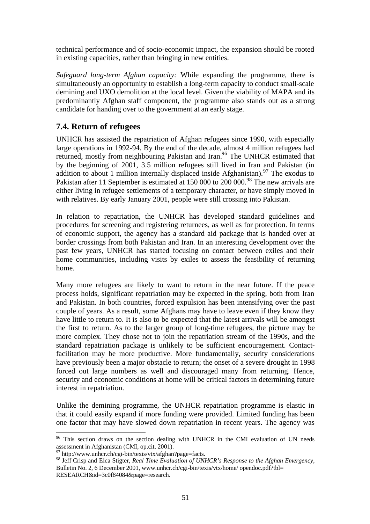technical performance and of socio-economic impact, the expansion should be rooted in existing capacities, rather than bringing in new entities.

*Safeguard long-term Afghan capacity:* While expanding the programme, there is simultaneously an opportunity to establish a long-term capacity to conduct small-scale demining and UXO demolition at the local level. Given the viability of MAPA and its predominantly Afghan staff component, the programme also stands out as a strong candidate for handing over to the government at an early stage.

## **7.4. Return of refugees**

UNHCR has assisted the repatriation of Afghan refugees since 1990, with especially large operations in 1992-94. By the end of the decade, almost 4 million refugees had returned, mostly from neighbouring Pakistan and Iran.<sup>96</sup> The UNHCR estimated that by the beginning of 2001, 3.5 million refugees still lived in Iran and Pakistan (in addition to about 1 million internally displaced inside Afghanistan).<sup>97</sup> The exodus to Pakistan after 11 September is estimated at 150 000 to 200 000.<sup>98</sup> The new arrivals are either living in refugee settlements of a temporary character, or have simply moved in with relatives. By early January 2001, people were still crossing into Pakistan.

In relation to repatriation, the UNHCR has developed standard guidelines and procedures for screening and registering returnees, as well as for protection. In terms of economic support, the agency has a standard aid package that is handed over at border crossings from both Pakistan and Iran. In an interesting development over the past few years, UNHCR has started focusing on contact between exiles and their home communities, including visits by exiles to assess the feasibility of returning home.

Many more refugees are likely to want to return in the near future. If the peace process holds, significant repatriation may be expected in the spring, both from Iran and Pakistan. In both countries, forced expulsion has been intensifying over the past couple of years. As a result, some Afghans may have to leave even if they know they have little to return to. It is also to be expected that the latest arrivals will be amongst the first to return. As to the larger group of long-time refugees, the picture may be more complex. They chose not to join the repatriation stream of the 1990s, and the standard repatriation package is unlikely to be sufficient encouragement. Contactfacilitation may be more productive. More fundamentally, security considerations have previously been a major obstacle to return; the onset of a severe drought in 1998 forced out large numbers as well and discouraged many from returning. Hence, security and economic conditions at home will be critical factors in determining future interest in repatriation.

Unlike the demining programme, the UNHCR repatriation programme is elastic in that it could easily expand if more funding were provided. Limited funding has been one factor that may have slowed down repatriation in recent years. The agency was

<sup>&</sup>lt;sup>96</sup> This section draws on the section dealing with UNHCR in the CMI evaluation of UN needs assessment in Afghanistan (CMI, op.cit. 2001).

<sup>97</sup> http://www.unhcr.ch/cgi-bin/texis/vtx/afghan?page=facts.

<sup>98</sup> Jeff Crisp and Elca Stigter, *Real Time Evaluation of UNHCR's Response to the Afghan Emergency*, Bulletin No. 2, 6 December 2001, www.unhcr.ch/cgi-bin/texis/vtx/home/ opendoc.pdf?tbl= RESEARCH&id=3c0f84084&page=research.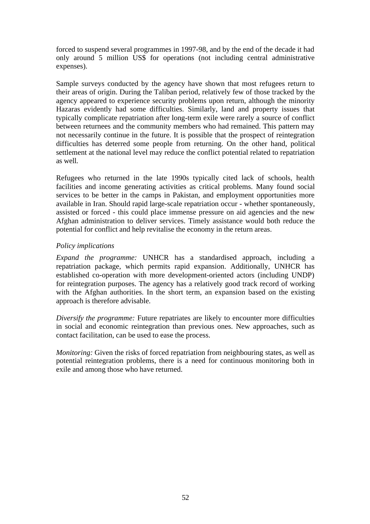forced to suspend several programmes in 1997-98, and by the end of the decade it had only around 5 million US\$ for operations (not including central administrative expenses).

Sample surveys conducted by the agency have shown that most refugees return to their areas of origin. During the Taliban period, relatively few of those tracked by the agency appeared to experience security problems upon return, although the minority Hazaras evidently had some difficulties. Similarly, land and property issues that typically complicate repatriation after long-term exile were rarely a source of conflict between returnees and the community members who had remained. This pattern may not necessarily continue in the future. It is possible that the prospect of reintegration difficulties has deterred some people from returning. On the other hand, political settlement at the national level may reduce the conflict potential related to repatriation as well.

Refugees who returned in the late 1990s typically cited lack of schools, health facilities and income generating activities as critical problems. Many found social services to be better in the camps in Pakistan, and employment opportunities more available in Iran. Should rapid large-scale repatriation occur - whether spontaneously, assisted or forced - this could place immense pressure on aid agencies and the new Afghan administration to deliver services. Timely assistance would both reduce the potential for conflict and help revitalise the economy in the return areas.

### *Policy implications*

*Expand the programme:* UNHCR has a standardised approach, including a repatriation package, which permits rapid expansion. Additionally, UNHCR has established co-operation with more development-oriented actors (including UNDP) for reintegration purposes. The agency has a relatively good track record of working with the Afghan authorities. In the short term, an expansion based on the existing approach is therefore advisable.

*Diversify the programme:* Future repatriates are likely to encounter more difficulties in social and economic reintegration than previous ones. New approaches, such as contact facilitation, can be used to ease the process.

*Monitoring:* Given the risks of forced repatriation from neighbouring states, as well as potential reintegration problems, there is a need for continuous monitoring both in exile and among those who have returned.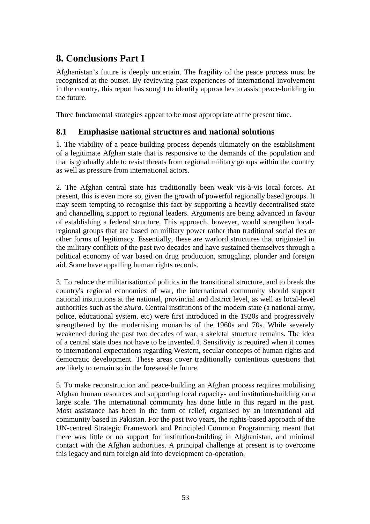# **8. Conclusions Part I**

Afghanistan's future is deeply uncertain. The fragility of the peace process must be recognised at the outset. By reviewing past experiences of international involvement in the country, this report has sought to identify approaches to assist peace-building in the future.

Three fundamental strategies appear to be most appropriate at the present time.

## **8.1 Emphasise national structures and national solutions**

1. The viability of a peace-building process depends ultimately on the establishment of a legitimate Afghan state that is responsive to the demands of the population and that is gradually able to resist threats from regional military groups within the country as well as pressure from international actors.

2. The Afghan central state has traditionally been weak vis-à-vis local forces. At present, this is even more so, given the growth of powerful regionally based groups. It may seem tempting to recognise this fact by supporting a heavily decentralised state and channelling support to regional leaders. Arguments are being advanced in favour of establishing a federal structure. This approach, however, would strengthen localregional groups that are based on military power rather than traditional social ties or other forms of legitimacy. Essentially, these are warlord structures that originated in the military conflicts of the past two decades and have sustained themselves through a political economy of war based on drug production, smuggling, plunder and foreign aid. Some have appalling human rights records.

3. To reduce the militarisation of politics in the transitional structure, and to break the country's regional economies of war, the international community should support national institutions at the national, provincial and district level, as well as local-level authorities such as the *shura*. Central institutions of the modern state (a national army, police, educational system, etc) were first introduced in the 1920s and progressively strengthened by the modernising monarchs of the 1960s and 70s. While severely weakened during the past two decades of war, a skeletal structure remains. The idea of a central state does not have to be invented.4. Sensitivity is required when it comes to international expectations regarding Western, secular concepts of human rights and democratic development. These areas cover traditionally contentious questions that are likely to remain so in the foreseeable future.

5. To make reconstruction and peace-building an Afghan process requires mobilising Afghan human resources and supporting local capacity- and institution-building on a large scale. The international community has done little in this regard in the past. Most assistance has been in the form of relief, organised by an international aid community based in Pakistan. For the past two years, the rights-based approach of the UN-centred Strategic Framework and Principled Common Programming meant that there was little or no support for institution-building in Afghanistan, and minimal contact with the Afghan authorities. A principal challenge at present is to overcome this legacy and turn foreign aid into development co-operation.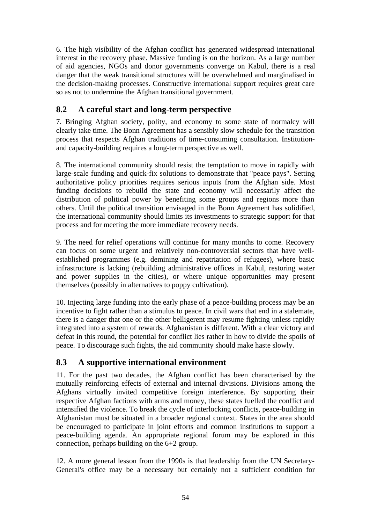6. The high visibility of the Afghan conflict has generated widespread international interest in the recovery phase. Massive funding is on the horizon. As a large number of aid agencies, NGOs and donor governments converge on Kabul, there is a real danger that the weak transitional structures will be overwhelmed and marginalised in the decision-making processes. Constructive international support requires great care so as not to undermine the Afghan transitional government.

# **8.2 A careful start and long-term perspective**

7. Bringing Afghan society, polity, and economy to some state of normalcy will clearly take time. The Bonn Agreement has a sensibly slow schedule for the transition process that respects Afghan traditions of time-consuming consultation. Institutionand capacity-building requires a long-term perspective as well.

8. The international community should resist the temptation to move in rapidly with large-scale funding and quick-fix solutions to demonstrate that "peace pays". Setting authoritative policy priorities requires serious inputs from the Afghan side. Most funding decisions to rebuild the state and economy will necessarily affect the distribution of political power by benefiting some groups and regions more than others. Until the political transition envisaged in the Bonn Agreement has solidified, the international community should limits its investments to strategic support for that process and for meeting the more immediate recovery needs.

9. The need for relief operations will continue for many months to come. Recovery can focus on some urgent and relatively non-controversial sectors that have wellestablished programmes (e.g. demining and repatriation of refugees), where basic infrastructure is lacking (rebuilding administrative offices in Kabul, restoring water and power supplies in the cities), or where unique opportunities may present themselves (possibly in alternatives to poppy cultivation).

10. Injecting large funding into the early phase of a peace-building process may be an incentive to fight rather than a stimulus to peace. In civil wars that end in a stalemate, there is a danger that one or the other belligerent may resume fighting unless rapidly integrated into a system of rewards. Afghanistan is different. With a clear victory and defeat in this round, the potential for conflict lies rather in how to divide the spoils of peace. To discourage such fights, the aid community should make haste slowly.

# **8.3 A supportive international environment**

11. For the past two decades, the Afghan conflict has been characterised by the mutually reinforcing effects of external and internal divisions. Divisions among the Afghans virtually invited competitive foreign interference. By supporting their respective Afghan factions with arms and money, these states fuelled the conflict and intensified the violence. To break the cycle of interlocking conflicts, peace-building in Afghanistan must be situated in a broader regional context. States in the area should be encouraged to participate in joint efforts and common institutions to support a peace-building agenda. An appropriate regional forum may be explored in this connection, perhaps building on the 6+2 group.

12. A more general lesson from the 1990s is that leadership from the UN Secretary-General's office may be a necessary but certainly not a sufficient condition for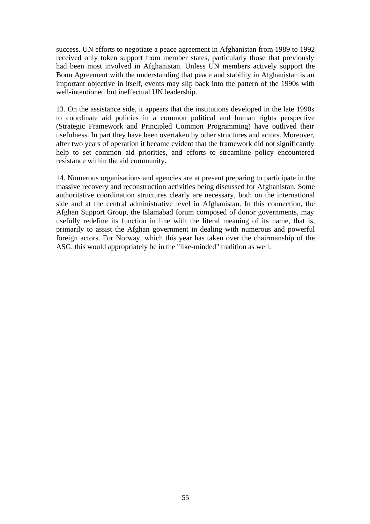success. UN efforts to negotiate a peace agreement in Afghanistan from 1989 to 1992 received only token support from member states, particularly those that previously had been most involved in Afghanistan. Unless UN members actively support the Bonn Agreement with the understanding that peace and stability in Afghanistan is an important objective in itself, events may slip back into the pattern of the 1990s with well-intentioned but ineffectual UN leadership.

13. On the assistance side, it appears that the institutions developed in the late 1990s to coordinate aid policies in a common political and human rights perspective (Strategic Framework and Principled Common Programming) have outlived their usefulness. In part they have been overtaken by other structures and actors. Moreover, after two years of operation it became evident that the framework did not significantly help to set common aid priorities, and efforts to streamline policy encountered resistance within the aid community.

14. Numerous organisations and agencies are at present preparing to participate in the massive recovery and reconstruction activities being discussed for Afghanistan. Some authoritative coordination structures clearly are necessary, both on the international side and at the central administrative level in Afghanistan. In this connection, the Afghan Support Group, the Islamabad forum composed of donor governments, may usefully redefine its function in line with the literal meaning of its name, that is, primarily to assist the Afghan government in dealing with numerous and powerful foreign actors. For Norway, which this year has taken over the chairmanship of the ASG, this would appropriately be in the "like-minded" tradition as well.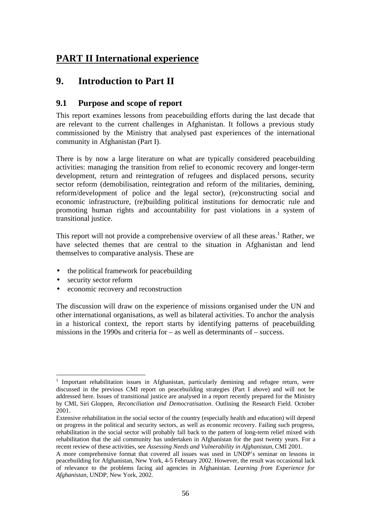# **PART II International experience**

# **9. Introduction to Part II**

## **9.1 Purpose and scope of report**

This report examines lessons from peacebuilding efforts during the last decade that are relevant to the current challenges in Afghanistan. It follows a previous study commissioned by the Ministry that analysed past experiences of the international community in Afghanistan (Part I).

There is by now a large literature on what are typically considered peacebuilding activities: managing the transition from relief to economic recovery and longer-term development, return and reintegration of refugees and displaced persons, security sector reform (demobilisation, reintegration and reform of the militaries, demining, reform/development of police and the legal sector), (re)constructing social and economic infrastructure, (re)building political institutions for democratic rule and promoting human rights and accountability for past violations in a system of transitional justice.

This report will not provide a comprehensive overview of all these areas.<sup>1</sup> Rather, we have selected themes that are central to the situation in Afghanistan and lend themselves to comparative analysis. These are

- the political framework for peacebuilding
- security sector reform
- economic recovery and reconstruction

The discussion will draw on the experience of missions organised under the UN and other international organisations, as well as bilateral activities. To anchor the analysis in a historical context, the report starts by identifying patterns of peacebuilding missions in the 1990s and criteria for  $-$  as well as determinants of  $-$  success.

 1 Important rehabilitation issues in Afghanistan, particularly demining and refugee return, were discussed in the previous CMI report on peacebuilding strategies (Part I above) and will not be addressed here. Issues of transitional justice are analysed in a report recently prepared for the Ministry by CMI, Siri Gloppen, *Reconciliation and Democratisation*. Outlining the Research Field. October 2001.

Extensive rehabilitation in the social sector of the country (especially health and education) will depend on progress in the political and security sectors, as well as economic recovery. Failing such progress, rehabilitation in the social sector will probably fall back to the pattern of long-term relief mixed with rehabilitation that the aid community has undertaken in Afghanistan for the past twenty years. For a recent review of these activities, see *Assessing Needs and Vulnerability in Afghanistan,* CMI 2001.

A more comprehensive format that covered all issues was used in UNDP's seminar on lessons in peacebuilding for Afghanistan, New York, 4-5 February 2002. However, the result was occasional lack of relevance to the problems facing aid agencies in Afghanistan. *Learning from Experience for Afghanistan,* UNDP, New York, 2002.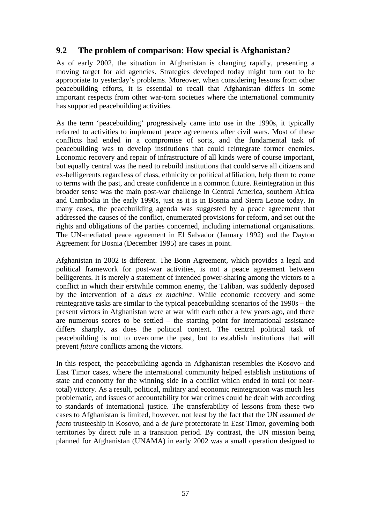# **9.2 The problem of comparison: How special is Afghanistan?**

As of early 2002, the situation in Afghanistan is changing rapidly, presenting a moving target for aid agencies. Strategies developed today might turn out to be appropriate to yesterday's problems. Moreover, when considering lessons from other peacebuilding efforts, it is essential to recall that Afghanistan differs in some important respects from other war-torn societies where the international community has supported peacebuilding activities.

As the term 'peacebuilding' progressively came into use in the 1990s, it typically referred to activities to implement peace agreements after civil wars. Most of these conflicts had ended in a compromise of sorts, and the fundamental task of peacebuilding was to develop institutions that could reintegrate former enemies. Economic recovery and repair of infrastructure of all kinds were of course important, but equally central was the need to rebuild institutions that could serve all citizens and ex-belligerents regardless of class, ethnicity or political affiliation, help them to come to terms with the past, and create confidence in a common future. Reintegration in this broader sense was the main post-war challenge in Central America, southern Africa and Cambodia in the early 1990s, just as it is in Bosnia and Sierra Leone today. In many cases, the peacebuilding agenda was suggested by a peace agreement that addressed the causes of the conflict, enumerated provisions for reform, and set out the rights and obligations of the parties concerned, including international organisations. The UN-mediated peace agreement in El Salvador (January 1992) and the Dayton Agreement for Bosnia (December 1995) are cases in point.

Afghanistan in 2002 is different. The Bonn Agreement, which provides a legal and political framework for post-war activities, is not a peace agreement between belligerents. It is merely a statement of intended power-sharing among the victors to a conflict in which their erstwhile common enemy, the Taliban, was suddenly deposed by the intervention of a *deus ex machina*. While economic recovery and some reintegrative tasks are similar to the typical peacebuilding scenarios of the 1990s – the present victors in Afghanistan were at war with each other a few years ago, and there are numerous scores to be settled – the starting point for international assistance differs sharply, as does the political context. The central political task of peacebuilding is not to overcome the past, but to establish institutions that will prevent *future* conflicts among the victors.

In this respect, the peacebuilding agenda in Afghanistan resembles the Kosovo and East Timor cases, where the international community helped establish institutions of state and economy for the winning side in a conflict which ended in total (or neartotal) victory. As a result, political, military and economic reintegration was much less problematic, and issues of accountability for war crimes could be dealt with according to standards of international justice. The transferability of lessons from these two cases to Afghanistan is limited, however, not least by the fact that the UN assumed *de facto* trusteeship in Kosovo, and a *de jure* protectorate in East Timor, governing both territories by direct rule in a transition period. By contrast, the UN mission being planned for Afghanistan (UNAMA) in early 2002 was a small operation designed to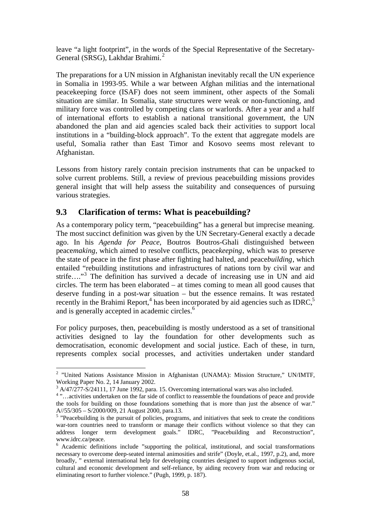leave "a light footprint", in the words of the Special Representative of the Secretary-General (SRSG), Lakhdar Brahimi.<sup>2</sup>

The preparations for a UN mission in Afghanistan inevitably recall the UN experience in Somalia in 1993-95. While a war between Afghan militias and the international peacekeeping force (ISAF) does not seem imminent, other aspects of the Somali situation are similar. In Somalia, state structures were weak or non-functioning, and military force was controlled by competing clans or warlords. After a year and a half of international efforts to establish a national transitional government, the UN abandoned the plan and aid agencies scaled back their activities to support local institutions in a "building-block approach". To the extent that aggregate models are useful, Somalia rather than East Timor and Kosovo seems most relevant to Afghanistan.

Lessons from history rarely contain precision instruments that can be unpacked to solve current problems. Still, a review of previous peacebuilding missions provides general insight that will help assess the suitability and consequences of pursuing various strategies.

## **9.3 Clarification of terms: What is peacebuilding?**

As a contemporary policy term, "peacebuilding" has a general but imprecise meaning. The most succinct definition was given by the UN Secretary-General exactly a decade ago. In his *Agenda for Peace*, Boutros Boutros-Ghali distinguished between peace*making*, which aimed to resolve conflicts, peace*keeping*, which was to preserve the state of peace in the first phase after fighting had halted, and peace*building*, which entailed "rebuilding institutions and infrastructures of nations torn by civil war and strife...."<sup>3</sup> The definition has survived a decade of increasing use in UN and aid circles. The term has been elaborated – at times coming to mean all good causes that deserve funding in a post-war situation – but the essence remains. It was restated recently in the Brahimi Report,<sup>4</sup> has been incorporated by aid agencies such as IDRC,<sup>5</sup> and is generally accepted in academic circles.<sup>6</sup>

For policy purposes, then, peacebuilding is mostly understood as a set of transitional activities designed to lay the foundation for other developments such as democratisation, economic development and social justice. Each of these, in turn, represents complex social processes, and activities undertaken under standard

 $\overline{a}$ 

<sup>&</sup>lt;sup>2</sup> "United Nations Assistance Mission in Afghanistan (UNAMA): Mission Structure," UN/IMTF, Working Paper No. 2, 14 January 2002.

 $3$  A/47/277-S/24111, 17 June 1992, para. 15. Overcoming international wars was also included.

<sup>&</sup>lt;sup>4</sup>"...activities undertaken on the far side of conflict to reassemble the foundations of peace and provide the tools for building on those foundations something that is more than just the absence of war."

A//55/305 – S/2000/009, 21 August 2000, para.13.<br><sup>5</sup> "Peacebuilding is the pursuit of policies, programs, and initiatives that seek to create the conditions war-torn countries need to transform or manage their conflicts without violence so that they can address longer term development goals." IDRC, "Peacebuilding and Reconstruction", www.idrc.ca/peace.

<sup>&</sup>lt;sup>6</sup> Academic definitions include "supporting the political, institutional, and social transformations necessary to overcome deep-seated internal animosities and strife" (Doyle, et.al., 1997, p.2), and, more broadly, " external international help for developing countries designed to support indigenous social, cultural and economic development and self-reliance, by aiding recovery from war and reducing or eliminating resort to further violence." (Pugh, 1999, p. 187).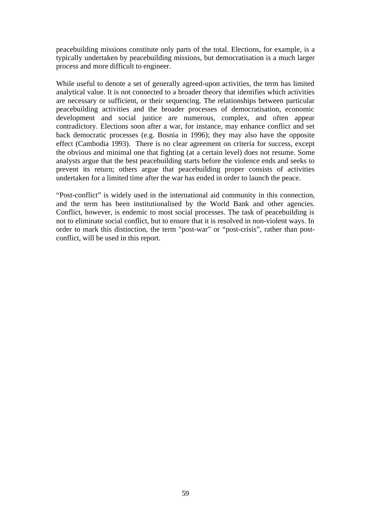peacebuilding missions constitute only parts of the total. Elections, for example, is a typically undertaken by peacebuilding missions, but democratisation is a much larger process and more difficult to engineer.

While useful to denote a set of generally agreed-upon activities, the term has limited analytical value. It is not connected to a broader theory that identifies which activities are necessary or sufficient, or their sequencing. The relationships between particular peacebuilding activities and the broader processes of democratisation, economic development and social justice are numerous, complex, and often appear contradictory. Elections soon after a war, for instance, may enhance conflict and set back democratic processes (e.g. Bosnia in 1996); they may also have the opposite effect (Cambodia 1993). There is no clear agreement on criteria for success, except the obvious and minimal one that fighting (at a certain level) does not resume. Some analysts argue that the best peacebuilding starts before the violence ends and seeks to prevent its return; others argue that peacebuilding proper consists of activities undertaken for a limited time after the war has ended in order to launch the peace.

"Post-conflict" is widely used in the international aid community in this connection, and the term has been institutionalised by the World Bank and other agencies. Conflict, however, is endemic to most social processes. The task of peacebuilding is not to eliminate social conflict, but to ensure that it is resolved in non-violent ways. In order to mark this distinction, the term "post-war" or "post-crisis", rather than postconflict, will be used in this report.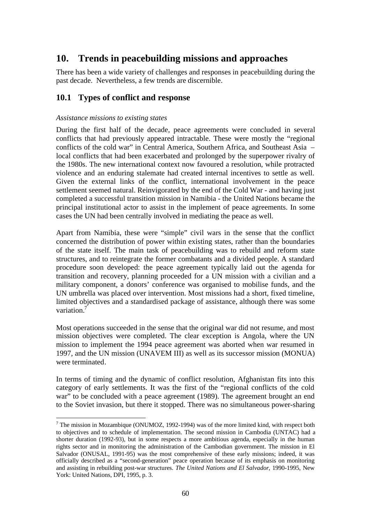# **10. Trends in peacebuilding missions and approaches**

There has been a wide variety of challenges and responses in peacebuilding during the past decade. Nevertheless, a few trends are discernible.

## **10.1 Types of conflict and response**

### *Assistance missions to existing states*

 $\overline{a}$ 

During the first half of the decade, peace agreements were concluded in several conflicts that had previously appeared intractable. These were mostly the "regional conflicts of the cold war" in Central America, Southern Africa, and Southeast Asia – local conflicts that had been exacerbated and prolonged by the superpower rivalry of the 1980s. The new international context now favoured a resolution, while protracted violence and an enduring stalemate had created internal incentives to settle as well. Given the external links of the conflict, international involvement in the peace settlement seemed natural. Reinvigorated by the end of the Cold War - and having just completed a successful transition mission in Namibia - the United Nations became the principal institutional actor to assist in the implement of peace agreements. In some cases the UN had been centrally involved in mediating the peace as well.

Apart from Namibia, these were "simple" civil wars in the sense that the conflict concerned the distribution of power within existing states, rather than the boundaries of the state itself. The main task of peacebuilding was to rebuild and reform state structures, and to reintegrate the former combatants and a divided people. A standard procedure soon developed: the peace agreement typically laid out the agenda for transition and recovery, planning proceeded for a UN mission with a civilian and a military component, a donors' conference was organised to mobilise funds, and the UN umbrella was placed over intervention. Most missions had a short, fixed timeline, limited objectives and a standardised package of assistance, although there was some variation.<sup>7</sup>

Most operations succeeded in the sense that the original war did not resume, and most mission objectives were completed. The clear exception is Angola, where the UN mission to implement the 1994 peace agreement was aborted when war resumed in 1997, and the UN mission (UNAVEM III) as well as its successor mission (MONUA) were terminated.

In terms of timing and the dynamic of conflict resolution, Afghanistan fits into this category of early settlements. It was the first of the "regional conflicts of the cold war" to be concluded with a peace agreement (1989). The agreement brought an end to the Soviet invasion, but there it stopped. There was no simultaneous power-sharing

 $<sup>7</sup>$  The mission in Mozambique (ONUMOZ, 1992-1994) was of the more limited kind, with respect both</sup> to objectives and to schedule of implementation. The second mission in Cambodia (UNTAC) had a shorter duration (1992-93), but in some respects a more ambitious agenda, especially in the human rights sector and in monitoring the administration of the Cambodian government. The mission in El Salvador (ONUSAL, 1991-95) was the most comprehensive of these early missions; indeed, it was officially described as a "second-generation" peace operation because of its emphasis on monitoring and assisting in rebuilding post-war structures. *The United Nations and El Salvador*, 1990-1995, New York: United Nations, DPI, 1995, p. 3.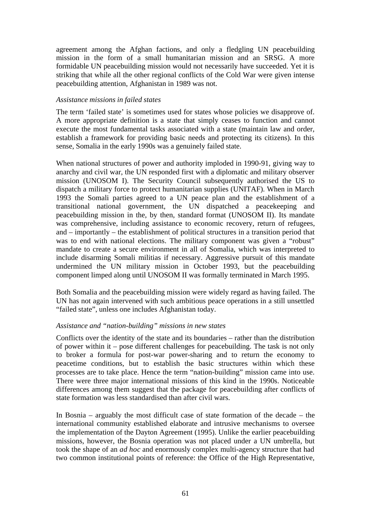agreement among the Afghan factions, and only a fledgling UN peacebuilding mission in the form of a small humanitarian mission and an SRSG. A more formidable UN peacebuilding mission would not necessarily have succeeded. Yet it is striking that while all the other regional conflicts of the Cold War were given intense peacebuilding attention, Afghanistan in 1989 was not.

### *Assistance missions in failed states*

The term 'failed state' is sometimes used for states whose policies we disapprove of. A more appropriate definition is a state that simply ceases to function and cannot execute the most fundamental tasks associated with a state (maintain law and order, establish a framework for providing basic needs and protecting its citizens). In this sense, Somalia in the early 1990s was a genuinely failed state.

When national structures of power and authority imploded in 1990-91, giving way to anarchy and civil war, the UN responded first with a diplomatic and military observer mission (UNOSOM I). The Security Council subsequently authorised the US to dispatch a military force to protect humanitarian supplies (UNITAF). When in March 1993 the Somali parties agreed to a UN peace plan and the establishment of a transitional national government, the UN dispatched a peacekeeping and peacebuilding mission in the, by then, standard format (UNOSOM II). Its mandate was comprehensive, including assistance to economic recovery, return of refugees, and – importantly – the establishment of political structures in a transition period that was to end with national elections. The military component was given a "robust" mandate to create a secure environment in all of Somalia, which was interpreted to include disarming Somali militias if necessary. Aggressive pursuit of this mandate undermined the UN military mission in October 1993, but the peacebuilding component limped along until UNOSOM II was formally terminated in March 1995.

Both Somalia and the peacebuilding mission were widely regard as having failed. The UN has not again intervened with such ambitious peace operations in a still unsettled "failed state", unless one includes Afghanistan today.

### *Assistance and "nation-building" missions in new states*

Conflicts over the identity of the state and its boundaries – rather than the distribution of power within it – pose different challenges for peacebuilding. The task is not only to broker a formula for post-war power-sharing and to return the economy to peacetime conditions, but to establish the basic structures within which these processes are to take place. Hence the term "nation-building" mission came into use. There were three major international missions of this kind in the 1990s. Noticeable differences among them suggest that the package for peacebuilding after conflicts of state formation was less standardised than after civil wars.

In Bosnia – arguably the most difficult case of state formation of the decade – the international community established elaborate and intrusive mechanisms to oversee the implementation of the Dayton Agreement (1995). Unlike the earlier peacebuilding missions, however, the Bosnia operation was not placed under a UN umbrella, but took the shape of an *ad hoc* and enormously complex multi-agency structure that had two common institutional points of reference: the Office of the High Representative,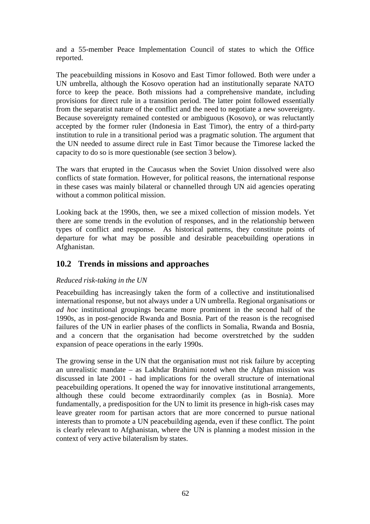and a 55-member Peace Implementation Council of states to which the Office reported.

The peacebuilding missions in Kosovo and East Timor followed. Both were under a UN umbrella, although the Kosovo operation had an institutionally separate NATO force to keep the peace. Both missions had a comprehensive mandate, including provisions for direct rule in a transition period. The latter point followed essentially from the separatist nature of the conflict and the need to negotiate a new sovereignty. Because sovereignty remained contested or ambiguous (Kosovo), or was reluctantly accepted by the former ruler (Indonesia in East Timor), the entry of a third-party institution to rule in a transitional period was a pragmatic solution. The argument that the UN needed to assume direct rule in East Timor because the Timorese lacked the capacity to do so is more questionable (see section 3 below).

The wars that erupted in the Caucasus when the Soviet Union dissolved were also conflicts of state formation. However, for political reasons, the international response in these cases was mainly bilateral or channelled through UN aid agencies operating without a common political mission.

Looking back at the 1990s, then, we see a mixed collection of mission models. Yet there are some trends in the evolution of responses, and in the relationship between types of conflict and response. As historical patterns, they constitute points of departure for what may be possible and desirable peacebuilding operations in Afghanistan.

## **10.2 Trends in missions and approaches**

### *Reduced risk-taking in the UN*

Peacebuilding has increasingly taken the form of a collective and institutionalised international response, but not always under a UN umbrella. Regional organisations or *ad hoc* institutional groupings became more prominent in the second half of the 1990s, as in post-genocide Rwanda and Bosnia. Part of the reason is the recognised failures of the UN in earlier phases of the conflicts in Somalia, Rwanda and Bosnia, and a concern that the organisation had become overstretched by the sudden expansion of peace operations in the early 1990s.

The growing sense in the UN that the organisation must not risk failure by accepting an unrealistic mandate – as Lakhdar Brahimi noted when the Afghan mission was discussed in late 2001 - had implications for the overall structure of international peacebuilding operations. It opened the way for innovative institutional arrangements, although these could become extraordinarily complex (as in Bosnia). More fundamentally, a predisposition for the UN to limit its presence in high-risk cases may leave greater room for partisan actors that are more concerned to pursue national interests than to promote a UN peacebuilding agenda, even if these conflict. The point is clearly relevant to Afghanistan, where the UN is planning a modest mission in the context of very active bilateralism by states.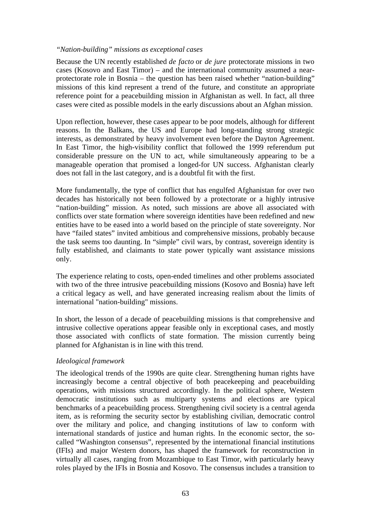#### *"Nation-building" missions as exceptional cases*

Because the UN recently established *de facto* or *de jure* protectorate missions in two cases (Kosovo and East Timor) – and the international community assumed a nearprotectorate role in Bosnia – the question has been raised whether "nation-building" missions of this kind represent a trend of the future, and constitute an appropriate reference point for a peacebuilding mission in Afghanistan as well. In fact, all three cases were cited as possible models in the early discussions about an Afghan mission.

Upon reflection, however, these cases appear to be poor models, although for different reasons. In the Balkans, the US and Europe had long-standing strong strategic interests, as demonstrated by heavy involvement even before the Dayton Agreement. In East Timor, the high-visibility conflict that followed the 1999 referendum put considerable pressure on the UN to act, while simultaneously appearing to be a manageable operation that promised a longed-for UN success. Afghanistan clearly does not fall in the last category, and is a doubtful fit with the first.

More fundamentally, the type of conflict that has engulfed Afghanistan for over two decades has historically not been followed by a protectorate or a highly intrusive "nation-building" mission. As noted, such missions are above all associated with conflicts over state formation where sovereign identities have been redefined and new entities have to be eased into a world based on the principle of state sovereignty. Nor have "failed states" invited ambitious and comprehensive missions, probably because the task seems too daunting. In "simple" civil wars, by contrast, sovereign identity is fully established, and claimants to state power typically want assistance missions only.

The experience relating to costs, open-ended timelines and other problems associated with two of the three intrusive peacebuilding missions (Kosovo and Bosnia) have left a critical legacy as well, and have generated increasing realism about the limits of international "nation-building" missions.

In short, the lesson of a decade of peacebuilding missions is that comprehensive and intrusive collective operations appear feasible only in exceptional cases, and mostly those associated with conflicts of state formation. The mission currently being planned for Afghanistan is in line with this trend.

### *Ideological framework*

The ideological trends of the 1990s are quite clear. Strengthening human rights have increasingly become a central objective of both peacekeeping and peacebuilding operations, with missions structured accordingly. In the political sphere, Western democratic institutions such as multiparty systems and elections are typical benchmarks of a peacebuilding process. Strengthening civil society is a central agenda item, as is reforming the security sector by establishing civilian, democratic control over the military and police, and changing institutions of law to conform with international standards of justice and human rights. In the economic sector, the socalled "Washington consensus", represented by the international financial institutions (IFIs) and major Western donors, has shaped the framework for reconstruction in virtually all cases, ranging from Mozambique to East Timor, with particularly heavy roles played by the IFIs in Bosnia and Kosovo. The consensus includes a transition to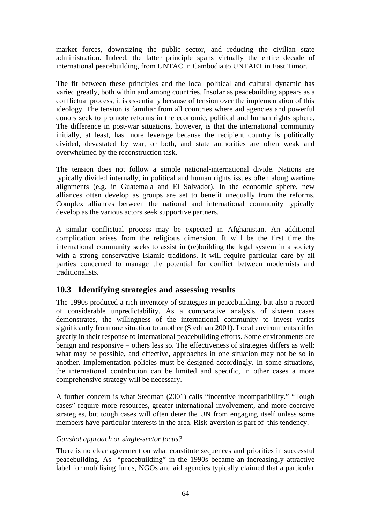market forces, downsizing the public sector, and reducing the civilian state administration. Indeed, the latter principle spans virtually the entire decade of international peacebuilding, from UNTAC in Cambodia to UNTAET in East Timor.

The fit between these principles and the local political and cultural dynamic has varied greatly, both within and among countries. Insofar as peacebuilding appears as a conflictual process, it is essentially because of tension over the implementation of this ideology. The tension is familiar from all countries where aid agencies and powerful donors seek to promote reforms in the economic, political and human rights sphere. The difference in post-war situations, however, is that the international community initially, at least, has more leverage because the recipient country is politically divided, devastated by war, or both, and state authorities are often weak and overwhelmed by the reconstruction task.

The tension does not follow a simple national-international divide. Nations are typically divided internally, in political and human rights issues often along wartime alignments (e.g. in Guatemala and El Salvador). In the economic sphere, new alliances often develop as groups are set to benefit unequally from the reforms. Complex alliances between the national and international community typically develop as the various actors seek supportive partners.

A similar conflictual process may be expected in Afghanistan. An additional complication arises from the religious dimension. It will be the first time the international community seeks to assist in (re)building the legal system in a society with a strong conservative Islamic traditions. It will require particular care by all parties concerned to manage the potential for conflict between modernists and traditionalists.

# **10.3 Identifying strategies and assessing results**

The 1990s produced a rich inventory of strategies in peacebuilding, but also a record of considerable unpredictability. As a comparative analysis of sixteen cases demonstrates, the willingness of the international community to invest varies significantly from one situation to another (Stedman 2001). Local environments differ greatly in their response to international peacebuilding efforts. Some environments are benign and responsive – others less so. The effectiveness of strategies differs as well: what may be possible, and effective, approaches in one situation may not be so in another. Implementation policies must be designed accordingly. In some situations, the international contribution can be limited and specific, in other cases a more comprehensive strategy will be necessary.

A further concern is what Stedman (2001) calls "incentive incompatibility." "Tough cases" require more resources, greater international involvement, and more coercive strategies, but tough cases will often deter the UN from engaging itself unless some members have particular interests in the area. Risk-aversion is part of this tendency.

### *Gunshot approach or single-sector focus?*

There is no clear agreement on what constitute sequences and priorities in successful peacebuilding. As "peacebuilding" in the 1990s became an increasingly attractive label for mobilising funds, NGOs and aid agencies typically claimed that a particular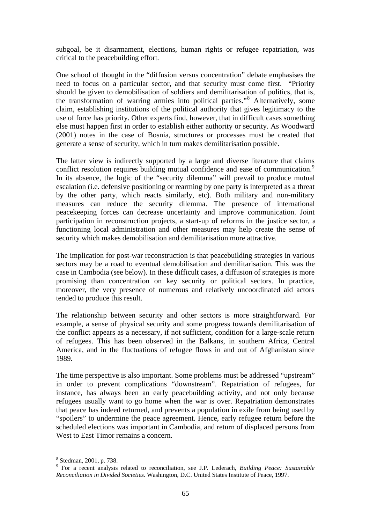subgoal, be it disarmament, elections, human rights or refugee repatriation, was critical to the peacebuilding effort.

One school of thought in the "diffusion versus concentration" debate emphasises the need to focus on a particular sector, and that security must come first. "Priority should be given to demobilisation of soldiers and demilitarisation of politics, that is, the transformation of warring armies into political parties."<sup>8</sup> Alternatively, some claim, establishing institutions of the political authority that gives legitimacy to the use of force has priority. Other experts find, however, that in difficult cases something else must happen first in order to establish either authority or security. As Woodward (2001) notes in the case of Bosnia, structures or processes must be created that generate a sense of security, which in turn makes demilitarisation possible.

The latter view is indirectly supported by a large and diverse literature that claims conflict resolution requires building mutual confidence and ease of communication.<sup>9</sup> In its absence, the logic of the "security dilemma" will prevail to produce mutual escalation (i.e. defensive positioning or rearming by one party is interpreted as a threat by the other party, which reacts similarly, etc). Both military and non-military measures can reduce the security dilemma. The presence of international peacekeeping forces can decrease uncertainty and improve communication. Joint participation in reconstruction projects, a start-up of reforms in the justice sector, a functioning local administration and other measures may help create the sense of security which makes demobilisation and demilitarisation more attractive.

The implication for post-war reconstruction is that peacebuilding strategies in various sectors may be a road to eventual demobilisation and demilitarisation. This was the case in Cambodia (see below). In these difficult cases, a diffusion of strategies is more promising than concentration on key security or political sectors. In practice, moreover, the very presence of numerous and relatively uncoordinated aid actors tended to produce this result.

The relationship between security and other sectors is more straightforward. For example, a sense of physical security and some progress towards demilitarisation of the conflict appears as a necessary, if not sufficient, condition for a large-scale return of refugees. This has been observed in the Balkans, in southern Africa, Central America, and in the fluctuations of refugee flows in and out of Afghanistan since 1989.

The time perspective is also important. Some problems must be addressed "upstream" in order to prevent complications "downstream". Repatriation of refugees, for instance, has always been an early peacebuilding activity, and not only because refugees usually want to go home when the war is over. Repatriation demonstrates that peace has indeed returned, and prevents a population in exile from being used by "spoilers" to undermine the peace agreement. Hence, early refugee return before the scheduled elections was important in Cambodia, and return of displaced persons from West to East Timor remains a concern.

 8 Stedman, 2001, p. 738.

<sup>9</sup> For a recent analysis related to reconciliation, see J.P. Lederach, *Building Peace: Sustainable Reconciliation in Divided Societies*. Washington, D.C. United States Institute of Peace, 1997.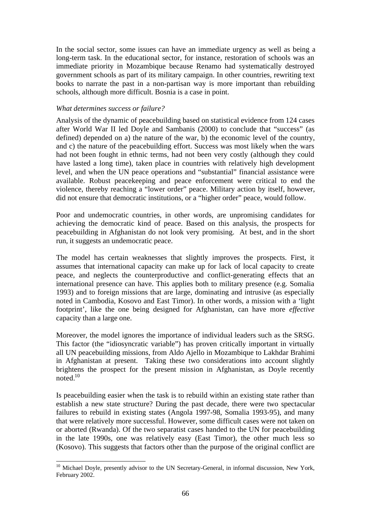In the social sector, some issues can have an immediate urgency as well as being a long-term task. In the educational sector, for instance, restoration of schools was an immediate priority in Mozambique because Renamo had systematically destroyed government schools as part of its military campaign. In other countries, rewriting text books to narrate the past in a non-partisan way is more important than rebuilding schools, although more difficult. Bosnia is a case in point.

### *What determines success or failure?*

Analysis of the dynamic of peacebuilding based on statistical evidence from 124 cases after World War II led Doyle and Sambanis (2000) to conclude that "success" (as defined) depended on a) the nature of the war, b) the economic level of the country, and c) the nature of the peacebuilding effort. Success was most likely when the wars had not been fought in ethnic terms, had not been very costly (although they could have lasted a long time), taken place in countries with relatively high development level, and when the UN peace operations and "substantial" financial assistance were available. Robust peacekeeping and peace enforcement were critical to end the violence, thereby reaching a "lower order" peace. Military action by itself, however, did not ensure that democratic institutions, or a "higher order" peace, would follow.

Poor and undemocratic countries, in other words, are unpromising candidates for achieving the democratic kind of peace. Based on this analysis, the prospects for peacebuilding in Afghanistan do not look very promising. At best, and in the short run, it suggests an undemocratic peace.

The model has certain weaknesses that slightly improves the prospects. First, it assumes that international capacity can make up for lack of local capacity to create peace, and neglects the counterproductive and conflict-generating effects that an international presence can have. This applies both to military presence (e.g. Somalia 1993) and to foreign missions that are large, dominating and intrusive (as especially noted in Cambodia, Kosovo and East Timor). In other words, a mission with a 'light footprint', like the one being designed for Afghanistan, can have more *effective* capacity than a large one.

Moreover, the model ignores the importance of individual leaders such as the SRSG. This factor (the "idiosyncratic variable") has proven critically important in virtually all UN peacebuilding missions, from Aldo Ajello in Mozambique to Lakhdar Brahimi in Afghanistan at present. Taking these two considerations into account slightly brightens the prospect for the present mission in Afghanistan, as Doyle recently noted. $10$ 

Is peacebuilding easier when the task is to rebuild within an existing state rather than establish a new state structure? During the past decade, there were two spectacular failures to rebuild in existing states (Angola 1997-98, Somalia 1993-95), and many that were relatively more successful. However, some difficult cases were not taken on or aborted (Rwanda). Of the two separatist cases handed to the UN for peacebuilding in the late 1990s, one was relatively easy (East Timor), the other much less so (Kosovo). This suggests that factors other than the purpose of the original conflict are

 $\overline{a}$ <sup>10</sup> Michael Doyle, presently advisor to the UN Secretary-General, in informal discussion, New York, February 2002.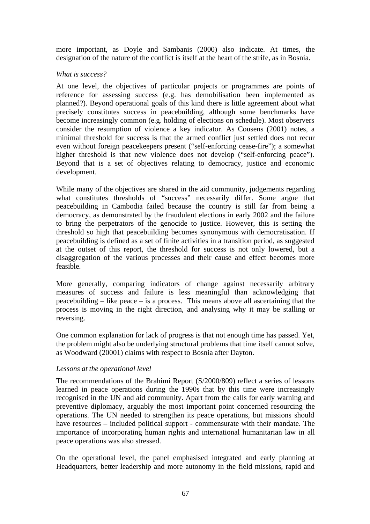more important, as Doyle and Sambanis (2000) also indicate. At times, the designation of the nature of the conflict is itself at the heart of the strife, as in Bosnia.

#### *What is success?*

At one level, the objectives of particular projects or programmes are points of reference for assessing success (e.g. has demobilisation been implemented as planned?). Beyond operational goals of this kind there is little agreement about what precisely constitutes success in peacebuilding, although some benchmarks have become increasingly common (e.g. holding of elections on schedule). Most observers consider the resumption of violence a key indicator. As Cousens (2001) notes, a minimal threshold for success is that the armed conflict just settled does not recur even without foreign peacekeepers present ("self-enforcing cease-fire"); a somewhat higher threshold is that new violence does not develop ("self-enforcing peace"). Beyond that is a set of objectives relating to democracy, justice and economic development.

While many of the objectives are shared in the aid community, judgements regarding what constitutes thresholds of "success" necessarily differ. Some argue that peacebuilding in Cambodia failed because the country is still far from being a democracy, as demonstrated by the fraudulent elections in early 2002 and the failure to bring the perpetrators of the genocide to justice. However, this is setting the threshold so high that peacebuilding becomes synonymous with democratisation. If peacebuilding is defined as a set of finite activities in a transition period, as suggested at the outset of this report, the threshold for success is not only lowered, but a disaggregation of the various processes and their cause and effect becomes more feasible.

More generally, comparing indicators of change against necessarily arbitrary measures of success and failure is less meaningful than acknowledging that peacebuilding  $-$  like peace  $-$  is a process. This means above all ascertaining that the process is moving in the right direction, and analysing why it may be stalling or reversing.

One common explanation for lack of progress is that not enough time has passed. Yet, the problem might also be underlying structural problems that time itself cannot solve, as Woodward (20001) claims with respect to Bosnia after Dayton.

### *Lessons at the operational level*

The recommendations of the Brahimi Report (S/2000/809) reflect a series of lessons learned in peace operations during the 1990s that by this time were increasingly recognised in the UN and aid community. Apart from the calls for early warning and preventive diplomacy, arguably the most important point concerned resourcing the operations. The UN needed to strengthen its peace operations, but missions should have resources – included political support - commensurate with their mandate. The importance of incorporating human rights and international humanitarian law in all peace operations was also stressed.

On the operational level, the panel emphasised integrated and early planning at Headquarters, better leadership and more autonomy in the field missions, rapid and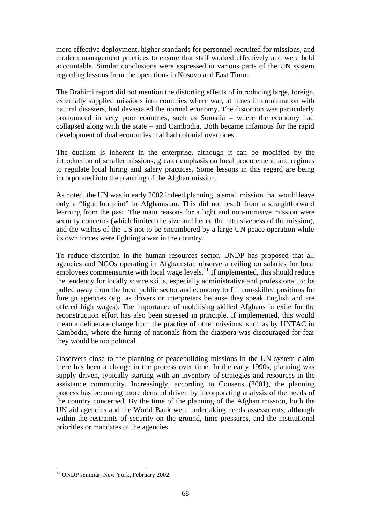more effective deployment, higher standards for personnel recruited for missions, and modern management practices to ensure that staff worked effectively and were held accountable. Similar conclusions were expressed in various parts of the UN system regarding lessons from the operations in Kosovo and East Timor.

The Brahimi report did not mention the distorting effects of introducing large, foreign, externally supplied missions into countries where war, at times in combination with natural disasters, had devastated the normal economy. The distortion was particularly pronounced in very poor countries, such as Somalia – where the economy had collapsed along with the state – and Cambodia. Both became infamous for the rapid development of dual economies that had colonial overtones.

The dualism is inherent in the enterprise, although it can be modified by the introduction of smaller missions, greater emphasis on local procurement, and regimes to regulate local hiring and salary practices. Some lessons in this regard are being incorporated into the planning of the Afghan mission.

As noted, the UN was in early 2002 indeed planning a small mission that would leave only a "light footprint" in Afghanistan. This did not result from a straightforward learning from the past. The main reasons for a light and non-intrusive mission were security concerns (which limited the size and hence the intrusiveness of the mission), and the wishes of the US not to be encumbered by a large UN peace operation while its own forces were fighting a war in the country.

To reduce distortion in the human resources sector, UNDP has proposed that all agencies and NGOs operating in Afghanistan observe a ceiling on salaries for local employees commensurate with local wage levels.<sup>11</sup> If implemented, this should reduce the tendency for locally scarce skills, especially administrative and professional, to be pulled away from the local public sector and economy to fill non-skilled positions for foreign agencies (e.g. as drivers or interpreters because they speak English and are offered high wages). The importance of mobilising skilled Afghans in exile for the reconstruction effort has also been stressed in principle. If implemented, this would mean a deliberate change from the practice of other missions, such as by UNTAC in Cambodia, where the hiring of nationals from the diaspora was discouraged for fear they would be too political.

Observers close to the planning of peacebuilding missions in the UN system claim there has been a change in the process over time. In the early 1990s, planning was supply driven, typically starting with an inventory of strategies and resources in the assistance community. Increasingly, according to Cousens (2001), the planning process has becoming more demand driven by incorporating analysis of the needs of the country concerned. By the time of the planning of the Afghan mission, both the UN aid agencies and the World Bank were undertaking needs assessments, although within the restraints of security on the ground, time pressures, and the institutional priorities or mandates of the agencies.

 $\overline{a}$ <sup>11</sup> UNDP seminar, New York, February 2002.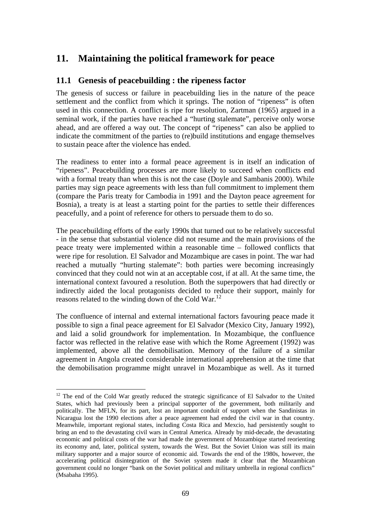# **11. Maintaining the political framework for peace**

## **11.1 Genesis of peacebuilding : the ripeness factor**

The genesis of success or failure in peacebuilding lies in the nature of the peace settlement and the conflict from which it springs. The notion of "ripeness" is often used in this connection. A conflict is ripe for resolution, Zartman (1965) argued in a seminal work, if the parties have reached a "hurting stalemate", perceive only worse ahead, and are offered a way out. The concept of "ripeness" can also be applied to indicate the commitment of the parties to (re)build institutions and engage themselves to sustain peace after the violence has ended.

The readiness to enter into a formal peace agreement is in itself an indication of "ripeness". Peacebuilding processes are more likely to succeed when conflicts end with a formal treaty than when this is not the case (Doyle and Sambanis 2000). While parties may sign peace agreements with less than full commitment to implement them (compare the Paris treaty for Cambodia in 1991 and the Dayton peace agreement for Bosnia), a treaty is at least a starting point for the parties to settle their differences peacefully, and a point of reference for others to persuade them to do so.

The peacebuilding efforts of the early 1990s that turned out to be relatively successful - in the sense that substantial violence did not resume and the main provisions of the peace treaty were implemented within a reasonable time – followed conflicts that were ripe for resolution. El Salvador and Mozambique are cases in point. The war had reached a mutually "hurting stalemate": both parties were becoming increasingly convinced that they could not win at an acceptable cost, if at all. At the same time, the international context favoured a resolution. Both the superpowers that had directly or indirectly aided the local protagonists decided to reduce their support, mainly for reasons related to the winding down of the Cold War.<sup>12</sup>

The confluence of internal and external international factors favouring peace made it possible to sign a final peace agreement for El Salvador (Mexico City, January 1992), and laid a solid groundwork for implementation. In Mozambique, the confluence factor was reflected in the relative ease with which the Rome Agreement (1992) was implemented, above all the demobilisation. Memory of the failure of a similar agreement in Angola created considerable international apprehension at the time that the demobilisation programme might unravel in Mozambique as well. As it turned

 $\overline{a}$ 

<sup>&</sup>lt;sup>12</sup> The end of the Cold War greatly reduced the strategic significance of El Salvador to the United States, which had previously been a principal supporter of the government, both militarily and politically. The MFLN, for its part, lost an important conduit of support when the Sandinistas in Nicaragua lost the 1990 elections after a peace agreement had ended the civil war in that country. Meanwhile, important regional states, including Costa Rica and Mexcio, had persistently sought to bring an end to the devastating civil wars in Central America. Already by mid-decade, the devastating economic and political costs of the war had made the government of Mozambique started reorienting its economy and, later, political system, towards the West. But the Soviet Union was still its main military supporter and a major source of economic aid. Towards the end of the 1980s, however, the accelerating political disintegration of the Soviet system made it clear that the Mozambican government could no longer "bank on the Soviet political and military umbrella in regional conflicts" (Msabaha 1995).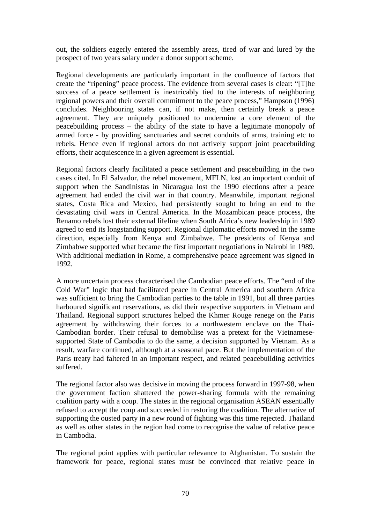out, the soldiers eagerly entered the assembly areas, tired of war and lured by the prospect of two years salary under a donor support scheme.

Regional developments are particularly important in the confluence of factors that create the "ripening" peace process. The evidence from several cases is clear: "[T]he success of a peace settlement is inextricably tied to the interests of neighboring regional powers and their overall commitment to the peace process," Hampson (1996) concludes. Neighbouring states can, if not make, then certainly break a peace agreement. They are uniquely positioned to undermine a core element of the peacebuilding process – the ability of the state to have a legitimate monopoly of armed force - by providing sanctuaries and secret conduits of arms, training etc to rebels. Hence even if regional actors do not actively support joint peacebuilding efforts, their acquiescence in a given agreement is essential.

Regional factors clearly facilitated a peace settlement and peacebuilding in the two cases cited. In El Salvador, the rebel movement, MFLN, lost an important conduit of support when the Sandinistas in Nicaragua lost the 1990 elections after a peace agreement had ended the civil war in that country. Meanwhile, important regional states, Costa Rica and Mexico, had persistently sought to bring an end to the devastating civil wars in Central America. In the Mozambican peace process, the Renamo rebels lost their external lifeline when South Africa's new leadership in 1989 agreed to end its longstanding support. Regional diplomatic efforts moved in the same direction, especially from Kenya and Zimbabwe. The presidents of Kenya and Zimbabwe supported what became the first important negotiations in Nairobi in 1989. With additional mediation in Rome, a comprehensive peace agreement was signed in 1992.

A more uncertain process characterised the Cambodian peace efforts. The "end of the Cold War" logic that had facilitated peace in Central America and southern Africa was sufficient to bring the Cambodian parties to the table in 1991, but all three parties harboured significant reservations, as did their respective supporters in Vietnam and Thailand. Regional support structures helped the Khmer Rouge renege on the Paris agreement by withdrawing their forces to a northwestern enclave on the Thai-Cambodian border. Their refusal to demobilise was a pretext for the Vietnamesesupported State of Cambodia to do the same, a decision supported by Vietnam. As a result, warfare continued, although at a seasonal pace. But the implementation of the Paris treaty had faltered in an important respect, and related peacebuilding activities suffered.

The regional factor also was decisive in moving the process forward in 1997-98, when the government faction shattered the power-sharing formula with the remaining coalition party with a coup. The states in the regional organisation ASEAN essentially refused to accept the coup and succeeded in restoring the coalition. The alternative of supporting the ousted party in a new round of fighting was this time rejected. Thailand as well as other states in the region had come to recognise the value of relative peace in Cambodia.

The regional point applies with particular relevance to Afghanistan. To sustain the framework for peace, regional states must be convinced that relative peace in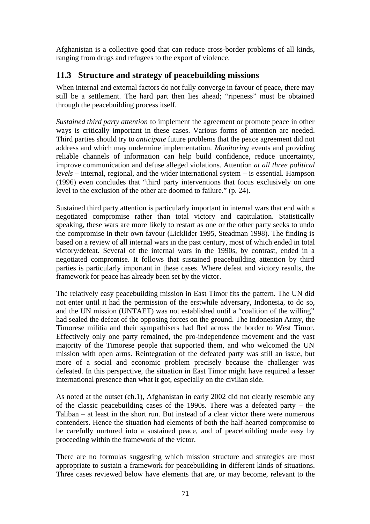Afghanistan is a collective good that can reduce cross-border problems of all kinds, ranging from drugs and refugees to the export of violence.

## **11.3 Structure and strategy of peacebuilding missions**

When internal and external factors do not fully converge in favour of peace, there may still be a settlement. The hard part then lies ahead; "ripeness" must be obtained through the peacebuilding process itself.

*Sustained third party attention* to implement the agreement or promote peace in other ways is critically important in these cases. Various forms of attention are needed. Third parties should try to *anticipate* future problems that the peace agreement did not address and which may undermine implementation. *Monitoring* events and providing reliable channels of information can help build confidence, reduce uncertainty, improve communication and defuse alleged violations. Attention *at all three political levels* – internal, regional, and the wider international system – is essential. Hampson (1996) even concludes that "third party interventions that focus exclusively on one level to the exclusion of the other are doomed to failure." (p. 24).

Sustained third party attention is particularly important in internal wars that end with a negotiated compromise rather than total victory and capitulation. Statistically speaking, these wars are more likely to restart as one or the other party seeks to undo the compromise in their own favour (Licklider 1995, Steadman 1998). The finding is based on a review of all internal wars in the past century, most of which ended in total victory/defeat. Several of the internal wars in the 1990s, by contrast, ended in a negotiated compromise. It follows that sustained peacebuilding attention by third parties is particularly important in these cases. Where defeat and victory results, the framework for peace has already been set by the victor.

The relatively easy peacebuilding mission in East Timor fits the pattern. The UN did not enter until it had the permission of the erstwhile adversary, Indonesia, to do so, and the UN mission (UNTAET) was not established until a "coalition of the willing" had sealed the defeat of the opposing forces on the ground. The Indonesian Army, the Timorese militia and their sympathisers had fled across the border to West Timor. Effectively only one party remained, the pro-independence movement and the vast majority of the Timorese people that supported them, and who welcomed the UN mission with open arms. Reintegration of the defeated party was still an issue, but more of a social and economic problem precisely because the challenger was defeated. In this perspective, the situation in East Timor might have required a lesser international presence than what it got, especially on the civilian side.

As noted at the outset (ch.1), Afghanistan in early 2002 did not clearly resemble any of the classic peacebuilding cases of the 1990s. There was a defeated party – the Taliban – at least in the short run. But instead of a clear victor there were numerous contenders. Hence the situation had elements of both the half-hearted compromise to be carefully nurtured into a sustained peace, and of peacebuilding made easy by proceeding within the framework of the victor.

There are no formulas suggesting which mission structure and strategies are most appropriate to sustain a framework for peacebuilding in different kinds of situations. Three cases reviewed below have elements that are, or may become, relevant to the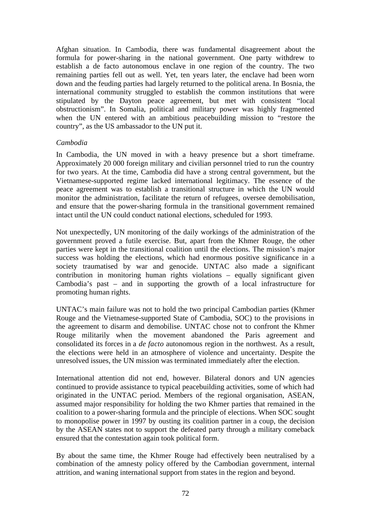Afghan situation. In Cambodia, there was fundamental disagreement about the formula for power-sharing in the national government. One party withdrew to establish a de facto autonomous enclave in one region of the country. The two remaining parties fell out as well. Yet, ten years later, the enclave had been worn down and the feuding parties had largely returned to the political arena. In Bosnia, the international community struggled to establish the common institutions that were stipulated by the Dayton peace agreement, but met with consistent "local obstructionism". In Somalia, political and military power was highly fragmented when the UN entered with an ambitious peacebuilding mission to "restore the country", as the US ambassador to the UN put it.

### *Cambodia*

In Cambodia, the UN moved in with a heavy presence but a short timeframe. Approximately 20 000 foreign military and civilian personnel tried to run the country for two years. At the time, Cambodia did have a strong central government, but the Vietnamese-supported regime lacked international legitimacy. The essence of the peace agreement was to establish a transitional structure in which the UN would monitor the administration, facilitate the return of refugees, oversee demobilisation, and ensure that the power-sharing formula in the transitional government remained intact until the UN could conduct national elections, scheduled for 1993.

Not unexpectedly, UN monitoring of the daily workings of the administration of the government proved a futile exercise. But, apart from the Khmer Rouge, the other parties were kept in the transitional coalition until the elections. The mission's major success was holding the elections, which had enormous positive significance in a society traumatised by war and genocide. UNTAC also made a significant contribution in monitoring human rights violations – equally significant given Cambodia's past – and in supporting the growth of a local infrastructure for promoting human rights.

UNTAC's main failure was not to hold the two principal Cambodian parties (Khmer Rouge and the Vietnamese-supported State of Cambodia, SOC) to the provisions in the agreement to disarm and demobilise. UNTAC chose not to confront the Khmer Rouge militarily when the movement abandoned the Paris agreement and consolidated its forces in a *de facto* autonomous region in the northwest. As a result, the elections were held in an atmosphere of violence and uncertainty. Despite the unresolved issues, the UN mission was terminated immediately after the election.

International attention did not end, however. Bilateral donors and UN agencies continued to provide assistance to typical peacebuilding activities, some of which had originated in the UNTAC period. Members of the regional organisation, ASEAN, assumed major responsibility for holding the two Khmer parties that remained in the coalition to a power-sharing formula and the principle of elections. When SOC sought to monopolise power in 1997 by ousting its coalition partner in a coup, the decision by the ASEAN states not to support the defeated party through a military comeback ensured that the contestation again took political form.

By about the same time, the Khmer Rouge had effectively been neutralised by a combination of the amnesty policy offered by the Cambodian government, internal attrition, and waning international support from states in the region and beyond.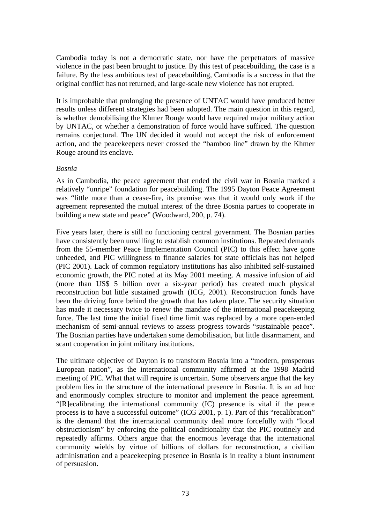Cambodia today is not a democratic state, nor have the perpetrators of massive violence in the past been brought to justice. By this test of peacebuilding, the case is a failure. By the less ambitious test of peacebuilding, Cambodia is a success in that the original conflict has not returned, and large-scale new violence has not erupted.

It is improbable that prolonging the presence of UNTAC would have produced better results unless different strategies had been adopted. The main question in this regard, is whether demobilising the Khmer Rouge would have required major military action by UNTAC, or whether a demonstration of force would have sufficed. The question remains conjectural. The UN decided it would not accept the risk of enforcement action, and the peacekeepers never crossed the "bamboo line" drawn by the Khmer Rouge around its enclave.

### *Bosnia*

As in Cambodia, the peace agreement that ended the civil war in Bosnia marked a relatively "unripe" foundation for peacebuilding. The 1995 Dayton Peace Agreement was "little more than a cease-fire, its premise was that it would only work if the agreement represented the mutual interest of the three Bosnia parties to cooperate in building a new state and peace" (Woodward, 200, p. 74).

Five years later, there is still no functioning central government. The Bosnian parties have consistently been unwilling to establish common institutions. Repeated demands from the 55-member Peace Implementation Council (PIC) to this effect have gone unheeded, and PIC willingness to finance salaries for state officials has not helped (PIC 2001). Lack of common regulatory institutions has also inhibited self-sustained economic growth, the PIC noted at its May 2001 meeting. A massive infusion of aid (more than US\$ 5 billion over a six-year period) has created much physical reconstruction but little sustained growth (ICG, 2001). Reconstruction funds have been the driving force behind the growth that has taken place. The security situation has made it necessary twice to renew the mandate of the international peacekeeping force. The last time the initial fixed time limit was replaced by a more open-ended mechanism of semi-annual reviews to assess progress towards "sustainable peace". The Bosnian parties have undertaken some demobilisation, but little disarmament, and scant cooperation in joint military institutions.

The ultimate objective of Dayton is to transform Bosnia into a "modern, prosperous European nation", as the international community affirmed at the 1998 Madrid meeting of PIC. What that will require is uncertain. Some observers argue that the key problem lies in the structure of the international presence in Bosnia. It is an ad hoc and enormously complex structure to monitor and implement the peace agreement. "[R]ecalibrating the international community (IC) presence is vital if the peace process is to have a successful outcome" (ICG 2001, p. 1). Part of this "recalibration" is the demand that the international community deal more forcefully with "local obstructionism" by enforcing the political conditionality that the PIC routinely and repeatedly affirms. Others argue that the enormous leverage that the international community wields by virtue of billions of dollars for reconstruction, a civilian administration and a peacekeeping presence in Bosnia is in reality a blunt instrument of persuasion.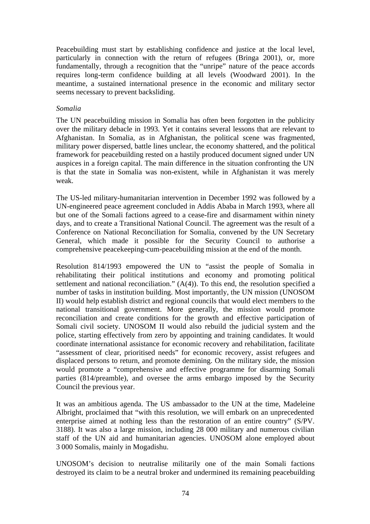Peacebuilding must start by establishing confidence and justice at the local level, particularly in connection with the return of refugees (Bringa 2001), or, more fundamentally, through a recognition that the "unripe" nature of the peace accords requires long-term confidence building at all levels (Woodward 2001). In the meantime, a sustained international presence in the economic and military sector seems necessary to prevent backsliding.

#### *Somalia*

The UN peacebuilding mission in Somalia has often been forgotten in the publicity over the military debacle in 1993. Yet it contains several lessons that are relevant to Afghanistan. In Somalia, as in Afghanistan, the political scene was fragmented, military power dispersed, battle lines unclear, the economy shattered, and the political framework for peacebuilding rested on a hastily produced document signed under UN auspices in a foreign capital. The main difference in the situation confronting the UN is that the state in Somalia was non-existent, while in Afghanistan it was merely weak.

The US-led military-humanitarian intervention in December 1992 was followed by a UN-engineered peace agreement concluded in Addis Ababa in March 1993, where all but one of the Somali factions agreed to a cease-fire and disarmament within ninety days, and to create a Transitional National Council. The agreement was the result of a Conference on National Reconciliation for Somalia, convened by the UN Secretary General, which made it possible for the Security Council to authorise a comprehensive peacekeeping-cum-peacebuilding mission at the end of the month.

Resolution 814/1993 empowered the UN to "assist the people of Somalia in rehabilitating their political institutions and economy and promoting political settlement and national reconciliation." (A(4)). To this end, the resolution specified a number of tasks in institution building. Most importantly, the UN mission (UNOSOM II) would help establish district and regional councils that would elect members to the national transitional government. More generally, the mission would promote reconciliation and create conditions for the growth and effective participation of Somali civil society. UNOSOM II would also rebuild the judicial system and the police, starting effectively from zero by appointing and training candidates. It would coordinate international assistance for economic recovery and rehabilitation, facilitate "assessment of clear, prioritised needs" for economic recovery, assist refugees and displaced persons to return, and promote demining. On the military side, the mission would promote a "comprehensive and effective programme for disarming Somali parties (814/preamble), and oversee the arms embargo imposed by the Security Council the previous year.

It was an ambitious agenda. The US ambassador to the UN at the time, Madeleine Albright, proclaimed that "with this resolution, we will embark on an unprecedented enterprise aimed at nothing less than the restoration of an entire country" (S/PV. 3188). It was also a large mission, including 28 000 military and numerous civilian staff of the UN aid and humanitarian agencies. UNOSOM alone employed about 3 000 Somalis, mainly in Mogadishu.

UNOSOM's decision to neutralise militarily one of the main Somali factions destroyed its claim to be a neutral broker and undermined its remaining peacebuilding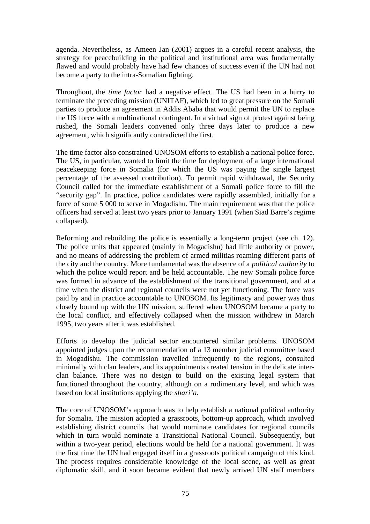agenda. Nevertheless, as Ameen Jan (2001) argues in a careful recent analysis, the strategy for peacebuilding in the political and institutional area was fundamentally flawed and would probably have had few chances of success even if the UN had not become a party to the intra-Somalian fighting.

Throughout, the *time factor* had a negative effect. The US had been in a hurry to terminate the preceding mission (UNITAF), which led to great pressure on the Somali parties to produce an agreement in Addis Ababa that would permit the UN to replace the US force with a multinational contingent. In a virtual sign of protest against being rushed, the Somali leaders convened only three days later to produce a new agreement, which significantly contradicted the first.

The time factor also constrained UNOSOM efforts to establish a national police force. The US, in particular, wanted to limit the time for deployment of a large international peacekeeping force in Somalia (for which the US was paying the single largest percentage of the assessed contribution). To permit rapid withdrawal, the Security Council called for the immediate establishment of a Somali police force to fill the "security gap". In practice, police candidates were rapidly assembled, initially for a force of some 5 000 to serve in Mogadishu. The main requirement was that the police officers had served at least two years prior to January 1991 (when Siad Barre's regime collapsed).

Reforming and rebuilding the police is essentially a long-term project (see ch. 12). The police units that appeared (mainly in Mogadishu) had little authority or power, and no means of addressing the problem of armed militias roaming different parts of the city and the country. More fundamental was the absence of a *political authority* to which the police would report and be held accountable. The new Somali police force was formed in advance of the establishment of the transitional government, and at a time when the district and regional councils were not yet functioning. The force was paid by and in practice accountable to UNOSOM. Its legitimacy and power was thus closely bound up with the UN mission, suffered when UNOSOM became a party to the local conflict, and effectively collapsed when the mission withdrew in March 1995, two years after it was established.

Efforts to develop the judicial sector encountered similar problems. UNOSOM appointed judges upon the recommendation of a 13 member judicial committee based in Mogadishu. The commission travelled infrequently to the regions, consulted minimally with clan leaders, and its appointments created tension in the delicate interclan balance. There was no design to build on the existing legal system that functioned throughout the country, although on a rudimentary level, and which was based on local institutions applying the *shari'a.*

The core of UNOSOM's approach was to help establish a national political authority for Somalia. The mission adopted a grassroots, bottom-up approach, which involved establishing district councils that would nominate candidates for regional councils which in turn would nominate a Transitional National Council. Subsequently, but within a two-year period, elections would be held for a national government. It was the first time the UN had engaged itself in a grassroots political campaign of this kind. The process requires considerable knowledge of the local scene, as well as great diplomatic skill, and it soon became evident that newly arrived UN staff members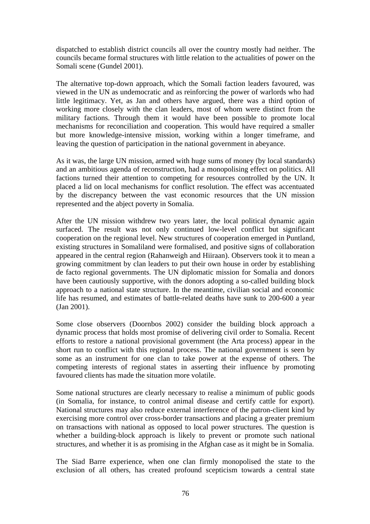dispatched to establish district councils all over the country mostly had neither. The councils became formal structures with little relation to the actualities of power on the Somali scene (Gundel 2001).

The alternative top-down approach, which the Somali faction leaders favoured, was viewed in the UN as undemocratic and as reinforcing the power of warlords who had little legitimacy. Yet, as Jan and others have argued, there was a third option of working more closely with the clan leaders, most of whom were distinct from the military factions. Through them it would have been possible to promote local mechanisms for reconciliation and cooperation. This would have required a smaller but more knowledge-intensive mission, working within a longer timeframe, and leaving the question of participation in the national government in abeyance.

As it was, the large UN mission, armed with huge sums of money (by local standards) and an ambitious agenda of reconstruction, had a monopolising effect on politics. All factions turned their attention to competing for resources controlled by the UN. It placed a lid on local mechanisms for conflict resolution. The effect was accentuated by the discrepancy between the vast economic resources that the UN mission represented and the abject poverty in Somalia.

After the UN mission withdrew two years later, the local political dynamic again surfaced. The result was not only continued low-level conflict but significant cooperation on the regional level. New structures of cooperation emerged in Puntland, existing structures in Somaliland were formalised, and positive signs of collaboration appeared in the central region (Rahanweigh and Hiiraan). Observers took it to mean a growing commitment by clan leaders to put their own house in order by establishing de facto regional governments. The UN diplomatic mission for Somalia and donors have been cautiously supportive, with the donors adopting a so-called building block approach to a national state structure. In the meantime, civilian social and economic life has resumed, and estimates of battle-related deaths have sunk to 200-600 a year (Jan 2001).

Some close observers (Doornbos 2002) consider the building block approach a dynamic process that holds most promise of delivering civil order to Somalia. Recent efforts to restore a national provisional government (the Arta process) appear in the short run to conflict with this regional process. The national government is seen by some as an instrument for one clan to take power at the expense of others. The competing interests of regional states in asserting their influence by promoting favoured clients has made the situation more volatile.

Some national structures are clearly necessary to realise a minimum of public goods (in Somalia, for instance, to control animal disease and certify cattle for export). National structures may also reduce external interference of the patron-client kind by exercising more control over cross-border transactions and placing a greater premium on transactions with national as opposed to local power structures. The question is whether a building-block approach is likely to prevent or promote such national structures, and whether it is as promising in the Afghan case as it might be in Somalia.

The Siad Barre experience, when one clan firmly monopolised the state to the exclusion of all others, has created profound scepticism towards a central state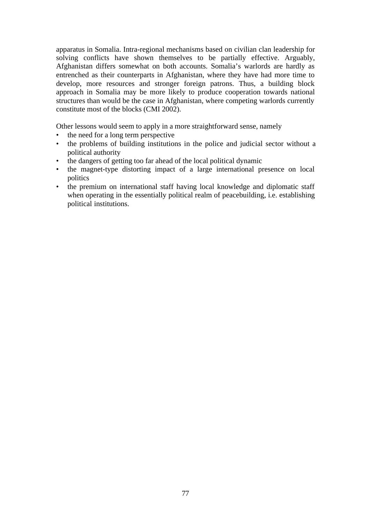apparatus in Somalia. Intra-regional mechanisms based on civilian clan leadership for solving conflicts have shown themselves to be partially effective. Arguably, Afghanistan differs somewhat on both accounts. Somalia's warlords are hardly as entrenched as their counterparts in Afghanistan, where they have had more time to develop, more resources and stronger foreign patrons. Thus, a building block approach in Somalia may be more likely to produce cooperation towards national structures than would be the case in Afghanistan, where competing warlords currently constitute most of the blocks (CMI 2002).

Other lessons would seem to apply in a more straightforward sense, namely

- the need for a long term perspective
- the problems of building institutions in the police and judicial sector without a political authority
- the dangers of getting too far ahead of the local political dynamic
- the magnet-type distorting impact of a large international presence on local politics
- the premium on international staff having local knowledge and diplomatic staff when operating in the essentially political realm of peacebuilding, i.e. establishing political institutions.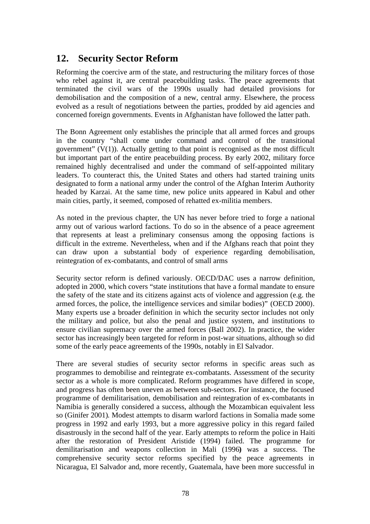# **12. Security Sector Reform**

Reforming the coercive arm of the state, and restructuring the military forces of those who rebel against it, are central peacebuilding tasks. The peace agreements that terminated the civil wars of the 1990s usually had detailed provisions for demobilisation and the composition of a new, central army. Elsewhere, the process evolved as a result of negotiations between the parties, prodded by aid agencies and concerned foreign governments. Events in Afghanistan have followed the latter path.

The Bonn Agreement only establishes the principle that all armed forces and groups in the country "shall come under command and control of the transitional government"  $(V(1))$ . Actually getting to that point is recognised as the most difficult but important part of the entire peacebuilding process. By early 2002, military force remained highly decentralised and under the command of self-appointed military leaders. To counteract this, the United States and others had started training units designated to form a national army under the control of the Afghan Interim Authority headed by Karzai. At the same time, new police units appeared in Kabul and other main cities, partly, it seemed, composed of rehatted ex-militia members.

As noted in the previous chapter, the UN has never before tried to forge a national army out of various warlord factions. To do so in the absence of a peace agreement that represents at least a preliminary consensus among the opposing factions is difficult in the extreme. Nevertheless, when and if the Afghans reach that point they can draw upon a substantial body of experience regarding demobilisation, reintegration of ex-combatants, and control of small arms

Security sector reform is defined variously. OECD/DAC uses a narrow definition, adopted in 2000, which covers "state institutions that have a formal mandate to ensure the safety of the state and its citizens against acts of violence and aggression (e.g. the armed forces, the police, the intelligence services and similar bodies)" (OECD 2000). Many experts use a broader definition in which the security sector includes not only the military and police, but also the penal and justice system, and institutions to ensure civilian supremacy over the armed forces (Ball 2002). In practice, the wider sector has increasingly been targeted for reform in post-war situations, although so did some of the early peace agreements of the 1990s, notably in El Salvador.

There are several studies of security sector reforms in specific areas such as programmes to demobilise and reintegrate ex-combatants. Assessment of the security sector as a whole is more complicated. Reform programmes have differed in scope, and progress has often been uneven as between sub-sectors. For instance, the focused programme of demilitarisation, demobilisation and reintegration of ex-combatants in Namibia is generally considered a success, although the Mozambican equivalent less so (Ginifer 2001). Modest attempts to disarm warlord factions in Somalia made some progress in 1992 and early 1993, but a more aggressive policy in this regard failed disastrously in the second half of the year. Early attempts to reform the police in Haiti after the restoration of President Aristide (1994) failed. The programme for demilitarisation and weapons collection in Mali (1996**)** was a success. The comprehensive security sector reforms specified by the peace agreements in Nicaragua, El Salvador and, more recently, Guatemala, have been more successful in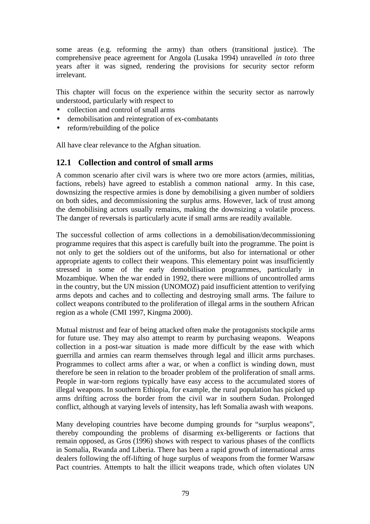some areas (e.g. reforming the army) than others (transitional justice). The comprehensive peace agreement for Angola (Lusaka 1994) unravelled *in toto* three years after it was signed, rendering the provisions for security sector reform irrelevant.

This chapter will focus on the experience within the security sector as narrowly understood, particularly with respect to

- collection and control of small arms
- demobilisation and reintegration of ex-combatants
- reform/rebuilding of the police

All have clear relevance to the Afghan situation.

## **12.1 Collection and control of small arms**

A common scenario after civil wars is where two ore more actors (armies, militias, factions, rebels) have agreed to establish a common national army. In this case, downsizing the respective armies is done by demobilising a given number of soldiers on both sides, and decommissioning the surplus arms. However, lack of trust among the demobilising actors usually remains, making the downsizing a volatile process. The danger of reversals is particularly acute if small arms are readily available.

The successful collection of arms collections in a demobilisation/decommissioning programme requires that this aspect is carefully built into the programme. The point is not only to get the soldiers out of the uniforms, but also for international or other appropriate agents to collect their weapons. This elementary point was insufficiently stressed in some of the early demobilisation programmes, particularly in Mozambique. When the war ended in 1992, there were millions of uncontrolled arms in the country, but the UN mission (UNOMOZ) paid insufficient attention to verifying arms depots and caches and to collecting and destroying small arms. The failure to collect weapons contributed to the proliferation of illegal arms in the southern African region as a whole (CMI 1997, Kingma 2000).

Mutual mistrust and fear of being attacked often make the protagonists stockpile arms for future use. They may also attempt to rearm by purchasing weapons. Weapons collection in a post-war situation is made more difficult by the ease with which guerrilla and armies can rearm themselves through legal and illicit arms purchases. Programmes to collect arms after a war, or when a conflict is winding down, must therefore be seen in relation to the broader problem of the proliferation of small arms. People in war-torn regions typically have easy access to the accumulated stores of illegal weapons. In southern Ethiopia, for example, the rural population has picked up arms drifting across the border from the civil war in southern Sudan. Prolonged conflict, although at varying levels of intensity, has left Somalia awash with weapons.

Many developing countries have become dumping grounds for "surplus weapons", thereby compounding the problems of disarming ex-belligerents or factions that remain opposed, as Gros (1996) shows with respect to various phases of the conflicts in Somalia, Rwanda and Liberia. There has been a rapid growth of international arms dealers following the off-lifting of huge surplus of weapons from the former Warsaw Pact countries. Attempts to halt the illicit weapons trade, which often violates UN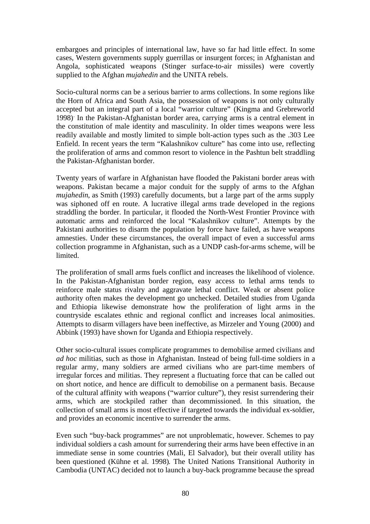embargoes and principles of international law, have so far had little effect. In some cases, Western governments supply guerrillas or insurgent forces; in Afghanistan and Angola, sophisticated weapons (Stinger surface-to-air missiles) were covertly supplied to the Afghan *mujahedin* and the UNITA rebels.

Socio-cultural norms can be a serious barrier to arms collections. In some regions like the Horn of Africa and South Asia, the possession of weapons is not only culturally accepted but an integral part of a local "warrior culture" (Kingma and Grebreworld 1998). In the Pakistan-Afghanistan border area, carrying arms is a central element in the constitution of male identity and masculinity. In older times weapons were less readily available and mostly limited to simple bolt-action types such as the .303 Lee Enfield. In recent years the term "Kalashnikov culture" has come into use, reflecting the proliferation of arms and common resort to violence in the Pashtun belt straddling the Pakistan-Afghanistan border.

Twenty years of warfare in Afghanistan have flooded the Pakistani border areas with weapons. Pakistan became a major conduit for the supply of arms to the Afghan *mujahedin*, as Smith (1993) carefully documents, but a large part of the arms supply was siphoned off en route. A lucrative illegal arms trade developed in the regions straddling the border. In particular, it flooded the North-West Frontier Province with automatic arms and reinforced the local "Kalashnikov culture". Attempts by the Pakistani authorities to disarm the population by force have failed, as have weapons amnesties. Under these circumstances, the overall impact of even a successful arms collection programme in Afghanistan, such as a UNDP cash-for-arms scheme, will be limited.

The proliferation of small arms fuels conflict and increases the likelihood of violence. In the Pakistan-Afghanistan border region, easy access to lethal arms tends to reinforce male status rivalry and aggravate lethal conflict. Weak or absent police authority often makes the development go unchecked. Detailed studies from Uganda and Ethiopia likewise demonstrate how the proliferation of light arms in the countryside escalates ethnic and regional conflict and increases local animosities. Attempts to disarm villagers have been ineffective, as Mirzeler and Young (2000) and Abbink (1993) have shown for Uganda and Ethiopia respectively.

Other socio-cultural issues complicate programmes to demobilise armed civilians and *ad hoc* militias, such as those in Afghanistan. Instead of being full-time soldiers in a regular army, many soldiers are armed civilians who are part-time members of irregular forces and militias. They represent a fluctuating force that can be called out on short notice, and hence are difficult to demobilise on a permanent basis. Because of the cultural affinity with weapons ("warrior culture"), they resist surrendering their arms, which are stockpiled rather than decommissioned. In this situation, the collection of small arms is most effective if targeted towards the individual ex-soldier, and provides an economic incentive to surrender the arms.

Even such "buy-back programmes" are not unproblematic, however. Schemes to pay individual soldiers a cash amount for surrendering their arms have been effective in an immediate sense in some countries (Mali, El Salvador), but their overall utility has been questioned (Kühne et al. 1998). The United Nations Transitional Authority in Cambodia (UNTAC) decided not to launch a buy-back programme because the spread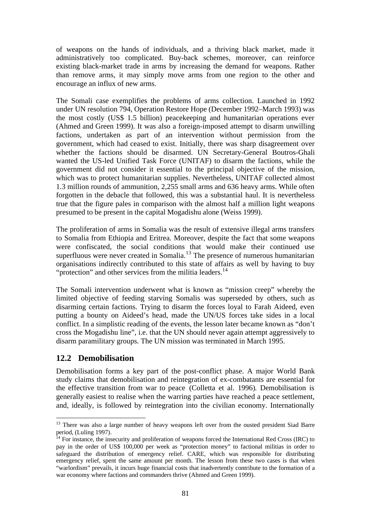of weapons on the hands of individuals, and a thriving black market, made it administratively too complicated. Buy-back schemes, moreover, can reinforce existing black-market trade in arms by increasing the demand for weapons. Rather than remove arms, it may simply move arms from one region to the other and encourage an influx of new arms.

The Somali case exemplifies the problems of arms collection. Launched in 1992 under UN resolution 794, Operation Restore Hope (December 1992–March 1993) was the most costly (US\$ 1.5 billion) peacekeeping and humanitarian operations ever (Ahmed and Green 1999). It was also a foreign-imposed attempt to disarm unwilling factions, undertaken as part of an intervention without permission from the government, which had ceased to exist. Initially, there was sharp disagreement over whether the factions should be disarmed. UN Secretary-General Boutros-Ghali wanted the US-led Unified Task Force (UNITAF) to disarm the factions, while the government did not consider it essential to the principal objective of the mission, which was to protect humanitarian supplies. Nevertheless, UNITAF collected almost 1.3 million rounds of ammunition, 2,255 small arms and 636 heavy arms. While often forgotten in the debacle that followed, this was a substantial haul. It is nevertheless true that the figure pales in comparison with the almost half a million light weapons presumed to be present in the capital Mogadishu alone (Weiss 1999).

The proliferation of arms in Somalia was the result of extensive illegal arms transfers to Somalia from Ethiopia and Eritrea. Moreover, despite the fact that some weapons were confiscated, the social conditions that would make their continued use superfluous were never created in Somalia.<sup>13</sup> The presence of numerous humanitarian organisations indirectly contributed to this state of affairs as well by having to buy "protection" and other services from the militia leaders.<sup>14</sup>

The Somali intervention underwent what is known as "mission creep" whereby the limited objective of feeding starving Somalis was superseded by others, such as disarming certain factions. Trying to disarm the forces loyal to Farah Aideed, even putting a bounty on Aideed's head, made the UN/US forces take sides in a local conflict. In a simplistic reading of the events, the lesson later became known as "don't cross the Mogadishu line", i.e. that the UN should never again attempt aggressively to disarm paramilitary groups. The UN mission was terminated in March 1995.

# **12.2 Demobilisation**

 $\overline{a}$ 

Demobilisation forms a key part of the post-conflict phase. A major World Bank study claims that demobilisation and reintegration of ex-combatants are essential for the effective transition from war to peace (Colletta et al. 1996). Demobilisation is generally easiest to realise when the warring parties have reached a peace settlement, and, ideally, is followed by reintegration into the civilian economy. Internationally

<sup>&</sup>lt;sup>13</sup> There was also a large number of heavy weapons left over from the ousted president Siad Barre period, (Luling 1997).

 $14$  For instance, the insecurity and proliferation of weapons forced the International Red Cross (IRC) to pay in the order of US\$ 100,000 per week as "protection money" to factional militias in order to safeguard the distribution of emergency relief. CARE, which was responsible for distributing emergency relief, spent the same amount per month. The lesson from these two cases is that when "warlordism" prevails, it incurs huge financial costs that inadvertently contribute to the formation of a war economy where factions and commanders thrive (Ahmed and Green 1999).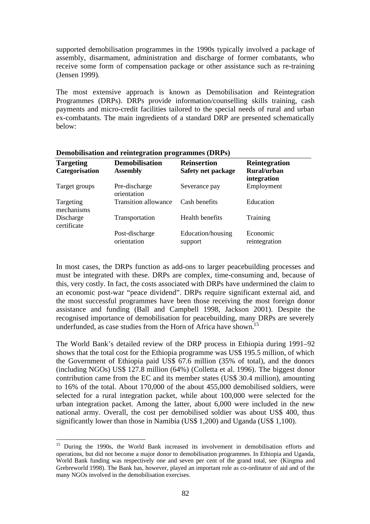supported demobilisation programmes in the 1990s typically involved a package of assembly, disarmament, administration and discharge of former combatants, who receive some form of compensation package or other assistance such as re-training (Jensen 1999).

The most extensive approach is known as Demobilisation and Reintegration Programmes (DRPs). DRPs provide information/counselling skills training, cash payments and micro-credit facilities tailored to the special needs of rural and urban ex-combatants. The main ingredients of a standard DRP are presented schematically below:

| <b>Targeting</b><br>Categorisation | <b>Demobilisation</b><br><b>Assembly</b> | <b>Reinsertion</b><br>Safety net package | Reintegration<br>Rural/urban<br>integration |
|------------------------------------|------------------------------------------|------------------------------------------|---------------------------------------------|
| Target groups                      | Pre-discharge<br>orientation             | Severance pay                            | Employment                                  |
| Targeting<br>mechanisms            | <b>Transition allowance</b>              | Cash benefits                            | Education                                   |
| Discharge<br>certificate           | Transportation                           | Health benefits                          | Training                                    |
|                                    | Post-discharge<br>orientation            | Education/housing<br>support             | Economic<br>reintegration                   |

### **Demobilisation and reintegration programmes (DRPs)**

In most cases, the DRPs function as add-ons to larger peacebuilding processes and must be integrated with these. DRPs are complex, time-consuming and, because of this, very costly. In fact, the costs associated with DRPs have undermined the claim to an economic post-war "peace dividend". DRPs require significant external aid, and the most successful programmes have been those receiving the most foreign donor assistance and funding (Ball and Campbell 1998, Jackson 2001). Despite the recognised importance of demobilisation for peacebuilding, many DRPs are severely underfunded, as case studies from the Horn of Africa have shown.<sup>15</sup>

The World Bank's detailed review of the DRP process in Ethiopia during 1991–92 shows that the total cost for the Ethiopia programme was US\$ 195.5 million, of which the Government of Ethiopia paid US\$ 67.6 million (35% of total), and the donors (including NGOs) US\$ 127.8 million (64%) (Colletta et al. 1996). The biggest donor contribution came from the EC and its member states (US\$ 30.4 million), amounting to 16% of the total. About 170,000 of the about 455,000 demobilised soldiers, were selected for a rural integration packet, while about 100,000 were selected for the urban integration packet. Among the latter, about 6,000 were included in the new national army. Overall, the cost per demobilised soldier was about US\$ 400, thus significantly lower than those in Namibia (US\$ 1,200) and Uganda (US\$ 1,100).

 $\overline{a}$ 

<sup>&</sup>lt;sup>15</sup> During the 1990s, the World Bank increased its involvement in demobilisation efforts and operations, but did not become a major donor to demobilisation programmes. In Ethiopia and Uganda, World Bank funding was respectively one and seven per cent of the grand total, see (Kingma and Grebreworld 1998). The Bank has, however, played an important role as co-ordinator of aid and of the many NGOs involved in the demobilisation exercises.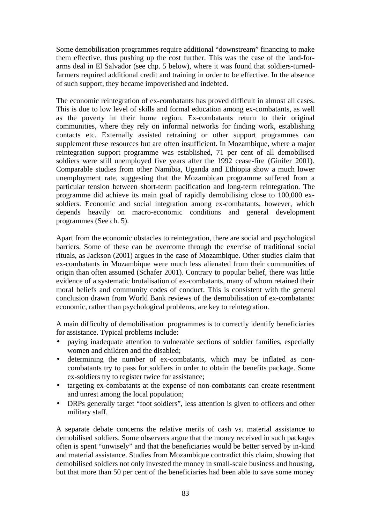Some demobilisation programmes require additional "downstream" financing to make them effective, thus pushing up the cost further. This was the case of the land-forarms deal in El Salvador (see chp. 5 below), where it was found that soldiers-turnedfarmers required additional credit and training in order to be effective. In the absence of such support, they became impoverished and indebted.

The economic reintegration of ex-combatants has proved difficult in almost all cases. This is due to low level of skills and formal education among ex-combatants, as well as the poverty in their home region. Ex-combatants return to their original communities, where they rely on informal networks for finding work, establishing contacts etc. Externally assisted retraining or other support programmes can supplement these resources but are often insufficient. In Mozambique, where a major reintegration support programme was established, 71 per cent of all demobilised soldiers were still unemployed five years after the 1992 cease-fire (Ginifer 2001). Comparable studies from other Namibia, Uganda and Ethiopia show a much lower unemployment rate, suggesting that the Mozambican programme suffered from a particular tension between short-term pacification and long-term reintegration. The programme did achieve its main goal of rapidly demobilising close to 100,000 exsoldiers. Economic and social integration among ex-combatants, however, which depends heavily on macro-economic conditions and general development programmes (See ch. 5).

Apart from the economic obstacles to reintegration, there are social and psychological barriers. Some of these can be overcome through the exercise of traditional social rituals, as Jackson (2001) argues in the case of Mozambique. Other studies claim that ex-combatants in Mozambique were much less alienated from their communities of origin than often assumed (Schafer 2001). Contrary to popular belief, there was little evidence of a systematic brutalisation of ex-combatants, many of whom retained their moral beliefs and community codes of conduct. This is consistent with the general conclusion drawn from World Bank reviews of the demobilisation of ex-combatants: economic, rather than psychological problems, are key to reintegration.

A main difficulty of demobilisation programmes is to correctly identify beneficiaries for assistance. Typical problems include:

- paying inadequate attention to vulnerable sections of soldier families, especially women and children and the disabled;
- determining the number of ex-combatants, which may be inflated as noncombatants try to pass for soldiers in order to obtain the benefits package. Some ex-soldiers try to register twice for assistance;
- targeting ex-combatants at the expense of non-combatants can create resentment and unrest among the local population;
- DRPs generally target "foot soldiers", less attention is given to officers and other military staff.

A separate debate concerns the relative merits of cash vs. material assistance to demobilised soldiers. Some observers argue that the money received in such packages often is spent "unwisely" and that the beneficiaries would be better served by in-kind and material assistance. Studies from Mozambique contradict this claim, showing that demobilised soldiers not only invested the money in small-scale business and housing, but that more than 50 per cent of the beneficiaries had been able to save some money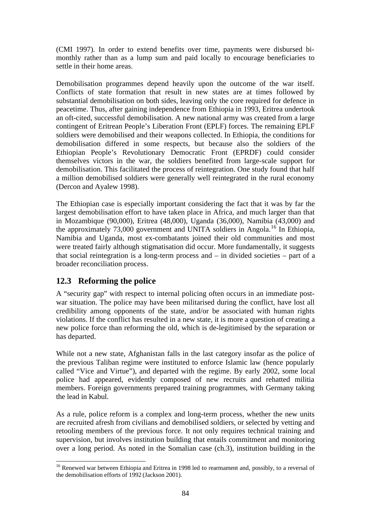(CMI 1997). In order to extend benefits over time, payments were disbursed bimonthly rather than as a lump sum and paid locally to encourage beneficiaries to settle in their home areas.

Demobilisation programmes depend heavily upon the outcome of the war itself. Conflicts of state formation that result in new states are at times followed by substantial demobilisation on both sides, leaving only the core required for defence in peacetime. Thus, after gaining independence from Ethiopia in 1993, Eritrea undertook an oft-cited, successful demobilisation. A new national army was created from a large contingent of Eritrean People's Liberation Front (EPLF) forces. The remaining EPLF soldiers were demobilised and their weapons collected. In Ethiopia, the conditions for demobilisation differed in some respects, but because also the soldiers of the Ethiopian People's Revolutionary Democratic Front (EPRDF) could consider themselves victors in the war, the soldiers benefited from large-scale support for demobilisation. This facilitated the process of reintegration. One study found that half a million demobilised soldiers were generally well reintegrated in the rural economy (Dercon and Ayalew 1998).

The Ethiopian case is especially important considering the fact that it was by far the largest demobilisation effort to have taken place in Africa, and much larger than that in Mozambique (90,000), Eritrea (48,000), Uganda (36,000), Namibia (43,000) and the approximately 73,000 government and UNITA soldiers in Angola.<sup>16</sup> In Ethiopia, Namibia and Uganda, most ex-combatants joined their old communities and most were treated fairly although stigmatisation did occur. More fundamentally, it suggests that social reintegration is a long-term process and – in divided societies – part of a broader reconciliation process.

# **12.3 Reforming the police**

A "security gap" with respect to internal policing often occurs in an immediate postwar situation. The police may have been militarised during the conflict, have lost all credibility among opponents of the state, and/or be associated with human rights violations. If the conflict has resulted in a new state, it is more a question of creating a new police force than reforming the old, which is de-legitimised by the separation or has departed.

While not a new state, Afghanistan falls in the last category insofar as the police of the previous Taliban regime were instituted to enforce Islamic law (hence popularly called "Vice and Virtue"), and departed with the regime. By early 2002, some local police had appeared, evidently composed of new recruits and rehatted militia members. Foreign governments prepared training programmes, with Germany taking the lead in Kabul.

As a rule, police reform is a complex and long-term process, whether the new units are recruited afresh from civilians and demobilised soldiers, or selected by vetting and retooling members of the previous force. It not only requires technical training and supervision, but involves institution building that entails commitment and monitoring over a long period. As noted in the Somalian case (ch.3), institution building in the

 $\overline{a}$ <sup>16</sup> Renewed war between Ethiopia and Eritrea in 1998 led to rearmament and, possibly, to a reversal of the demobilisation efforts of 1992 (Jackson 2001).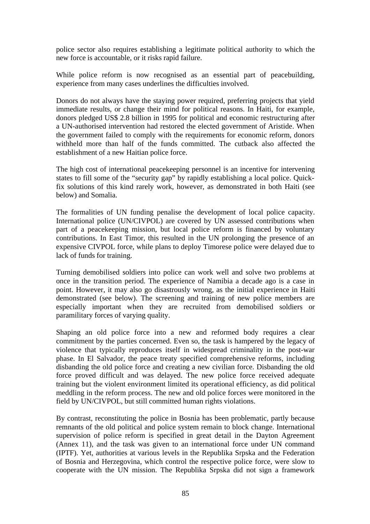police sector also requires establishing a legitimate political authority to which the new force is accountable, or it risks rapid failure.

While police reform is now recognised as an essential part of peacebuilding, experience from many cases underlines the difficulties involved.

Donors do not always have the staying power required, preferring projects that yield immediate results, or change their mind for political reasons. In Haiti, for example, donors pledged US\$ 2.8 billion in 1995 for political and economic restructuring after a UN-authorised intervention had restored the elected government of Aristide. When the government failed to comply with the requirements for economic reform, donors withheld more than half of the funds committed. The cutback also affected the establishment of a new Haitian police force.

The high cost of international peacekeeping personnel is an incentive for intervening states to fill some of the "security gap" by rapidly establishing a local police. Quickfix solutions of this kind rarely work, however, as demonstrated in both Haiti (see below) and Somalia.

The formalities of UN funding penalise the development of local police capacity. International police (UN/CIVPOL) are covered by UN assessed contributions when part of a peacekeeping mission, but local police reform is financed by voluntary contributions. In East Timor, this resulted in the UN prolonging the presence of an expensive CIVPOL force, while plans to deploy Timorese police were delayed due to lack of funds for training.

Turning demobilised soldiers into police can work well and solve two problems at once in the transition period. The experience of Namibia a decade ago is a case in point. However, it may also go disastrously wrong, as the initial experience in Haiti demonstrated (see below). The screening and training of new police members are especially important when they are recruited from demobilised soldiers or paramilitary forces of varying quality.

Shaping an old police force into a new and reformed body requires a clear commitment by the parties concerned. Even so, the task is hampered by the legacy of violence that typically reproduces itself in widespread criminality in the post-war phase. In El Salvador, the peace treaty specified comprehensive reforms, including disbanding the old police force and creating a new civilian force. Disbanding the old force proved difficult and was delayed. The new police force received adequate training but the violent environment limited its operational efficiency, as did political meddling in the reform process. The new and old police forces were monitored in the field by UN/CIVPOL, but still committed human rights violations.

By contrast, reconstituting the police in Bosnia has been problematic, partly because remnants of the old political and police system remain to block change. International supervision of police reform is specified in great detail in the Dayton Agreement (Annex 11), and the task was given to an international force under UN command (IPTF). Yet, authorities at various levels in the Republika Srpska and the Federation of Bosnia and Herzegovina, which control the respective police force, were slow to cooperate with the UN mission. The Republika Srpska did not sign a framework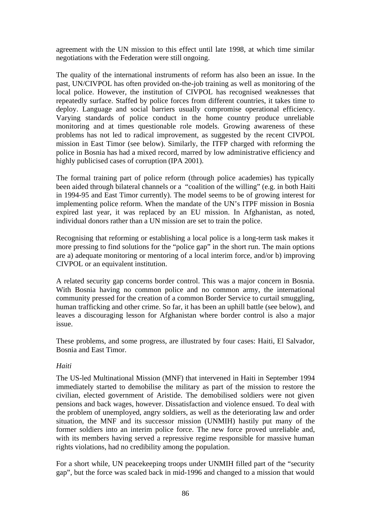agreement with the UN mission to this effect until late 1998, at which time similar negotiations with the Federation were still ongoing.

The quality of the international instruments of reform has also been an issue. In the past, UN/CIVPOL has often provided on-the-job training as well as monitoring of the local police. However, the institution of CIVPOL has recognised weaknesses that repeatedly surface. Staffed by police forces from different countries, it takes time to deploy. Language and social barriers usually compromise operational efficiency. Varying standards of police conduct in the home country produce unreliable monitoring and at times questionable role models. Growing awareness of these problems has not led to radical improvement, as suggested by the recent CIVPOL mission in East Timor (see below). Similarly, the ITFP charged with reforming the police in Bosnia has had a mixed record, marred by low administrative efficiency and highly publicised cases of corruption (IPA 2001).

The formal training part of police reform (through police academies) has typically been aided through bilateral channels or a "coalition of the willing" (e.g. in both Haiti in 1994-95 and East Timor currently). The model seems to be of growing interest for implementing police reform. When the mandate of the UN's ITPF mission in Bosnia expired last year, it was replaced by an EU mission. In Afghanistan, as noted, individual donors rather than a UN mission are set to train the police.

Recognising that reforming or establishing a local police is a long-term task makes it more pressing to find solutions for the "police gap" in the short run. The main options are a) adequate monitoring or mentoring of a local interim force, and/or b) improving CIVPOL or an equivalent institution.

A related security gap concerns border control. This was a major concern in Bosnia. With Bosnia having no common police and no common army, the international community pressed for the creation of a common Border Service to curtail smuggling, human trafficking and other crime. So far, it has been an uphill battle (see below), and leaves a discouraging lesson for Afghanistan where border control is also a major issue.

These problems, and some progress, are illustrated by four cases: Haiti, El Salvador, Bosnia and East Timor.

### *Haiti*

The US-led Multinational Mission (MNF) that intervened in Haiti in September 1994 immediately started to demobilise the military as part of the mission to restore the civilian, elected government of Aristide. The demobilised soldiers were not given pensions and back wages, however. Dissatisfaction and violence ensued. To deal with the problem of unemployed, angry soldiers, as well as the deteriorating law and order situation, the MNF and its successor mission (UNMIH) hastily put many of the former soldiers into an interim police force. The new force proved unreliable and, with its members having served a repressive regime responsible for massive human rights violations, had no credibility among the population.

For a short while, UN peacekeeping troops under UNMIH filled part of the "security gap", but the force was scaled back in mid-1996 and changed to a mission that would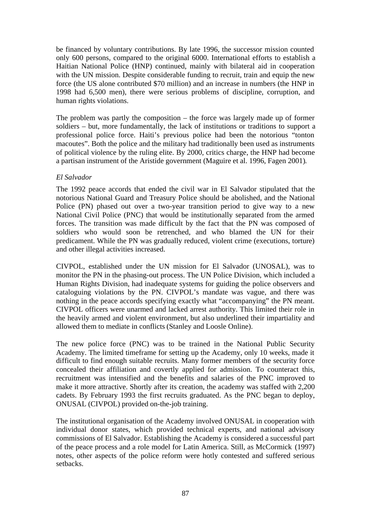be financed by voluntary contributions. By late 1996, the successor mission counted only 600 persons, compared to the original 6000. International efforts to establish a Haitian National Police (HNP) continued, mainly with bilateral aid in cooperation with the UN mission. Despite considerable funding to recruit, train and equip the new force (the US alone contributed \$70 million) and an increase in numbers (the HNP in 1998 had 6,500 men), there were serious problems of discipline, corruption, and human rights violations.

The problem was partly the composition – the force was largely made up of former soldiers – but, more fundamentally, the lack of institutions or traditions to support a professional police force. Haiti's previous police had been the notorious "tonton macoutes". Both the police and the military had traditionally been used as instruments of political violence by the ruling elite. By 2000, critics charge, the HNP had become a partisan instrument of the Aristide government (Maguire et al. 1996, Fagen 2001).

### *El Salvador*

The 1992 peace accords that ended the civil war in El Salvador stipulated that the notorious National Guard and Treasury Police should be abolished, and the National Police (PN) phased out over a two-year transition period to give way to a new National Civil Police (PNC) that would be institutionally separated from the armed forces. The transition was made difficult by the fact that the PN was composed of soldiers who would soon be retrenched, and who blamed the UN for their predicament. While the PN was gradually reduced, violent crime (executions, torture) and other illegal activities increased.

CIVPOL, established under the UN mission for El Salvador (UNOSAL), was to monitor the PN in the phasing-out process. The UN Police Division, which included a Human Rights Division, had inadequate systems for guiding the police observers and cataloguing violations by the PN. CIVPOL's mandate was vague, and there was nothing in the peace accords specifying exactly what "accompanying" the PN meant. CIVPOL officers were unarmed and lacked arrest authority. This limited their role in the heavily armed and violent environment, but also underlined their impartiality and allowed them to mediate in conflicts (Stanley and Loosle Online).

The new police force (PNC) was to be trained in the National Public Security Academy. The limited timeframe for setting up the Academy, only 10 weeks, made it difficult to find enough suitable recruits. Many former members of the security force concealed their affiliation and covertly applied for admission. To counteract this, recruitment was intensified and the benefits and salaries of the PNC improved to make it more attractive. Shortly after its creation, the academy was staffed with 2,200 cadets. By February 1993 the first recruits graduated. As the PNC began to deploy, ONUSAL (CIVPOL) provided on-the-job training.

The institutional organisation of the Academy involved ONUSAL in cooperation with individual donor states, which provided technical experts, and national advisory commissions of El Salvador. Establishing the Academy is considered a successful part of the peace process and a role model for Latin America. Still, as McCormick (1997) notes, other aspects of the police reform were hotly contested and suffered serious setbacks.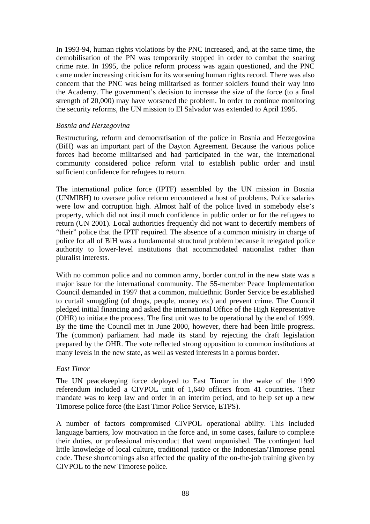In 1993-94, human rights violations by the PNC increased, and, at the same time, the demobilisation of the PN was temporarily stopped in order to combat the soaring crime rate. In 1995, the police reform process was again questioned, and the PNC came under increasing criticism for its worsening human rights record. There was also concern that the PNC was being militarised as former soldiers found their way into the Academy. The government's decision to increase the size of the force (to a final strength of 20,000) may have worsened the problem. In order to continue monitoring the security reforms, the UN mission to El Salvador was extended to April 1995.

#### *Bosnia and Herzegovina*

Restructuring, reform and democratisation of the police in Bosnia and Herzegovina (BiH) was an important part of the Dayton Agreement. Because the various police forces had become militarised and had participated in the war, the international community considered police reform vital to establish public order and instil sufficient confidence for refugees to return.

The international police force (IPTF) assembled by the UN mission in Bosnia (UNMIBH) to oversee police reform encountered a host of problems. Police salaries were low and corruption high. Almost half of the police lived in somebody else's property, which did not instil much confidence in public order or for the refugees to return (UN 2001). Local authorities frequently did not want to decertify members of "their" police that the IPTF required. The absence of a common ministry in charge of police for all of BiH was a fundamental structural problem because it relegated police authority to lower-level institutions that accommodated nationalist rather than pluralist interests.

With no common police and no common army, border control in the new state was a major issue for the international community. The 55-member Peace Implementation Council demanded in 1997 that a common, multiethnic Border Service be established to curtail smuggling (of drugs, people, money etc) and prevent crime. The Council pledged initial financing and asked the international Office of the High Representative (OHR) to initiate the process. The first unit was to be operational by the end of 1999. By the time the Council met in June 2000, however, there had been little progress. The (common) parliament had made its stand by rejecting the draft legislation prepared by the OHR. The vote reflected strong opposition to common institutions at many levels in the new state, as well as vested interests in a porous border.

### *East Timor*

The UN peacekeeping force deployed to East Timor in the wake of the 1999 referendum included a CIVPOL unit of 1,640 officers from 41 countries. Their mandate was to keep law and order in an interim period, and to help set up a new Timorese police force (the East Timor Police Service, ETPS).

A number of factors compromised CIVPOL operational ability. This included language barriers, low motivation in the force and, in some cases, failure to complete their duties, or professional misconduct that went unpunished. The contingent had little knowledge of local culture, traditional justice or the Indonesian/Timorese penal code. These shortcomings also affected the quality of the on-the-job training given by CIVPOL to the new Timorese police.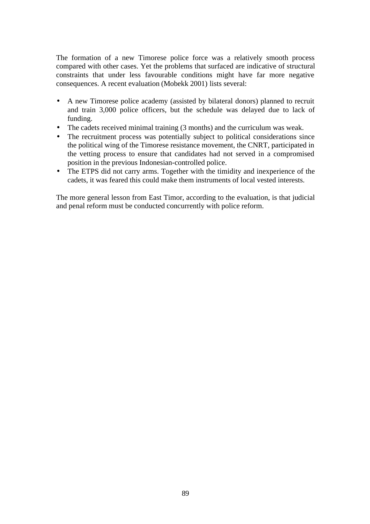The formation of a new Timorese police force was a relatively smooth process compared with other cases. Yet the problems that surfaced are indicative of structural constraints that under less favourable conditions might have far more negative consequences. A recent evaluation (Mobekk 2001) lists several:

- A new Timorese police academy (assisted by bilateral donors) planned to recruit and train 3,000 police officers, but the schedule was delayed due to lack of funding.
- The cadets received minimal training (3 months) and the curriculum was weak.
- The recruitment process was potentially subject to political considerations since the political wing of the Timorese resistance movement, the CNRT, participated in the vetting process to ensure that candidates had not served in a compromised position in the previous Indonesian-controlled police.
- The ETPS did not carry arms. Together with the timidity and inexperience of the cadets, it was feared this could make them instruments of local vested interests.

The more general lesson from East Timor, according to the evaluation, is that judicial and penal reform must be conducted concurrently with police reform.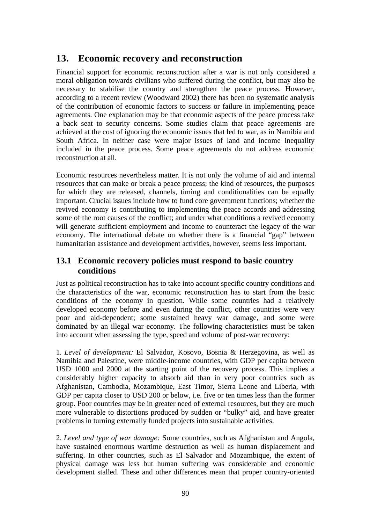# **13. Economic recovery and reconstruction**

Financial support for economic reconstruction after a war is not only considered a moral obligation towards civilians who suffered during the conflict, but may also be necessary to stabilise the country and strengthen the peace process. However, according to a recent review (Woodward 2002) there has been no systematic analysis of the contribution of economic factors to success or failure in implementing peace agreements. One explanation may be that economic aspects of the peace process take a back seat to security concerns. Some studies claim that peace agreements are achieved at the cost of ignoring the economic issues that led to war, as in Namibia and South Africa. In neither case were major issues of land and income inequality included in the peace process. Some peace agreements do not address economic reconstruction at all.

Economic resources nevertheless matter. It is not only the volume of aid and internal resources that can make or break a peace process; the kind of resources, the purposes for which they are released, channels, timing and conditionalities can be equally important. Crucial issues include how to fund core government functions; whether the revived economy is contributing to implementing the peace accords and addressing some of the root causes of the conflict; and under what conditions a revived economy will generate sufficient employment and income to counteract the legacy of the war economy. The international debate on whether there is a financial "gap" between humanitarian assistance and development activities, however, seems less important.

# **13.1 Economic recovery policies must respond to basic country conditions**

Just as political reconstruction has to take into account specific country conditions and the characteristics of the war, economic reconstruction has to start from the basic conditions of the economy in question. While some countries had a relatively developed economy before and even during the conflict, other countries were very poor and aid-dependent; some sustained heavy war damage, and some were dominated by an illegal war economy. The following characteristics must be taken into account when assessing the type, speed and volume of post-war recovery:

1. *Level of development:* El Salvador, Kosovo, Bosnia & Herzegovina, as well as Namibia and Palestine, were middle-income countries, with GDP per capita between USD 1000 and 2000 at the starting point of the recovery process. This implies a considerably higher capacity to absorb aid than in very poor countries such as Afghanistan, Cambodia, Mozambique, East Timor, Sierra Leone and Liberia, with GDP per capita closer to USD 200 or below, i.e. five or ten times less than the former group. Poor countries may be in greater need of external resources, but they are much more vulnerable to distortions produced by sudden or "bulky" aid, and have greater problems in turning externally funded projects into sustainable activities.

2. *Level and type of war damage:* Some countries, such as Afghanistan and Angola, have sustained enormous wartime destruction as well as human displacement and suffering. In other countries, such as El Salvador and Mozambique, the extent of physical damage was less but human suffering was considerable and economic development stalled. These and other differences mean that proper country-oriented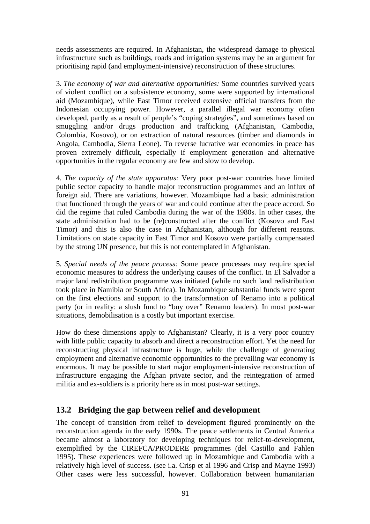needs assessments are required. In Afghanistan, the widespread damage to physical infrastructure such as buildings, roads and irrigation systems may be an argument for prioritising rapid (and employment-intensive) reconstruction of these structures.

3. *The economy of war and alternative opportunities:* Some countries survived years of violent conflict on a subsistence economy, some were supported by international aid (Mozambique), while East Timor received extensive official transfers from the Indonesian occupying power. However, a parallel illegal war economy often developed, partly as a result of people's "coping strategies", and sometimes based on smuggling and/or drugs production and trafficking (Afghanistan, Cambodia, Colombia, Kosovo), or on extraction of natural resources (timber and diamonds in Angola, Cambodia, Sierra Leone). To reverse lucrative war economies in peace has proven extremely difficult, especially if employment generation and alternative opportunities in the regular economy are few and slow to develop.

4. *The capacity of the state apparatus:* Very poor post-war countries have limited public sector capacity to handle major reconstruction programmes and an influx of foreign aid. There are variations, however. Mozambique had a basic administration that functioned through the years of war and could continue after the peace accord. So did the regime that ruled Cambodia during the war of the 1980s. In other cases, the state administration had to be (re)constructed after the conflict (Kosovo and East Timor) and this is also the case in Afghanistan, although for different reasons. Limitations on state capacity in East Timor and Kosovo were partially compensated by the strong UN presence, but this is not contemplated in Afghanistan.

5. *Special needs of the peace process:* Some peace processes may require special economic measures to address the underlying causes of the conflict. In El Salvador a major land redistribution programme was initiated (while no such land redistribution took place in Namibia or South Africa). In Mozambique substantial funds were spent on the first elections and support to the transformation of Renamo into a political party (or in reality: a slush fund to "buy over" Renamo leaders). In most post-war situations, demobilisation is a costly but important exercise.

How do these dimensions apply to Afghanistan? Clearly, it is a very poor country with little public capacity to absorb and direct a reconstruction effort. Yet the need for reconstructing physical infrastructure is huge, while the challenge of generating employment and alternative economic opportunities to the prevailing war economy is enormous. It may be possible to start major employment-intensive reconstruction of infrastructure engaging the Afghan private sector, and the reintegration of armed militia and ex-soldiers is a priority here as in most post-war settings.

## **13.2 Bridging the gap between relief and development**

The concept of transition from relief to development figured prominently on the reconstruction agenda in the early 1990s. The peace settlements in Central America became almost a laboratory for developing techniques for relief-to-development, exemplified by the CIREFCA/PRODERE programmes (del Castillo and Fahlen 1995). These experiences were followed up in Mozambique and Cambodia with a relatively high level of success. (see i.a. Crisp et al 1996 and Crisp and Mayne 1993) Other cases were less successful, however. Collaboration between humanitarian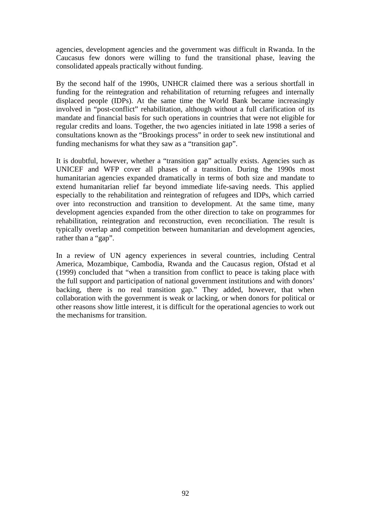agencies, development agencies and the government was difficult in Rwanda. In the Caucasus few donors were willing to fund the transitional phase, leaving the consolidated appeals practically without funding.

By the second half of the 1990s, UNHCR claimed there was a serious shortfall in funding for the reintegration and rehabilitation of returning refugees and internally displaced people (IDPs). At the same time the World Bank became increasingly involved in "post-conflict" rehabilitation, although without a full clarification of its mandate and financial basis for such operations in countries that were not eligible for regular credits and loans. Together, the two agencies initiated in late 1998 a series of consultations known as the "Brookings process" in order to seek new institutional and funding mechanisms for what they saw as a "transition gap".

It is doubtful, however, whether a "transition gap" actually exists. Agencies such as UNICEF and WFP cover all phases of a transition. During the 1990s most humanitarian agencies expanded dramatically in terms of both size and mandate to extend humanitarian relief far beyond immediate life-saving needs. This applied especially to the rehabilitation and reintegration of refugees and IDPs, which carried over into reconstruction and transition to development. At the same time, many development agencies expanded from the other direction to take on programmes for rehabilitation, reintegration and reconstruction, even reconciliation. The result is typically overlap and competition between humanitarian and development agencies, rather than a "gap".

In a review of UN agency experiences in several countries, including Central America, Mozambique, Cambodia, Rwanda and the Caucasus region, Ofstad et al (1999) concluded that "when a transition from conflict to peace is taking place with the full support and participation of national government institutions and with donors' backing, there is no real transition gap." They added, however, that when collaboration with the government is weak or lacking, or when donors for political or other reasons show little interest, it is difficult for the operational agencies to work out the mechanisms for transition.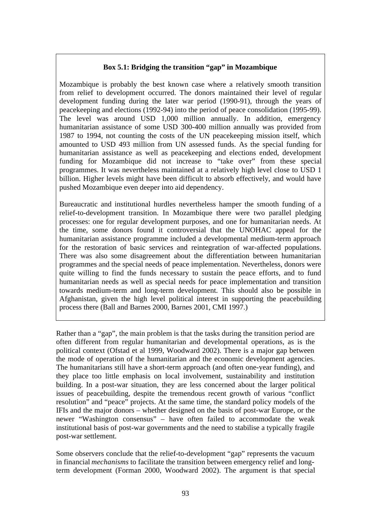## **Box 5.1: Bridging the transition "gap" in Mozambique**

Mozambique is probably the best known case where a relatively smooth transition from relief to development occurred. The donors maintained their level of regular development funding during the later war period (1990-91), through the years of peacekeeping and elections (1992-94) into the period of peace consolidation (1995-99). The level was around USD 1,000 million annually. In addition, emergency humanitarian assistance of some USD 300-400 million annually was provided from 1987 to 1994, not counting the costs of the UN peacekeeping mission itself, which amounted to USD 493 million from UN assessed funds. As the special funding for humanitarian assistance as well as peacekeeping and elections ended, development funding for Mozambique did not increase to "take over" from these special programmes. It was nevertheless maintained at a relatively high level close to USD 1 billion. Higher levels might have been difficult to absorb effectively, and would have pushed Mozambique even deeper into aid dependency.

Bureaucratic and institutional hurdles nevertheless hamper the smooth funding of a relief-to-development transition. In Mozambique there were two parallel pledging processes: one for regular development purposes, and one for humanitarian needs. At the time, some donors found it controversial that the UNOHAC appeal for the humanitarian assistance programme included a developmental medium-term approach for the restoration of basic services and reintegration of war-affected populations. There was also some disagreement about the differentiation between humanitarian programmes and the special needs of peace implementation. Nevertheless, donors were quite willing to find the funds necessary to sustain the peace efforts, and to fund humanitarian needs as well as special needs for peace implementation and transition towards medium-term and long-term development. This should also be possible in Afghanistan, given the high level political interest in supporting the peacebuilding process there (Ball and Barnes 2000, Barnes 2001, CMI 1997.)

Rather than a "gap", the main problem is that the tasks during the transition period are often different from regular humanitarian and developmental operations, as is the political context (Ofstad et al 1999, Woodward 2002). There is a major gap between the mode of operation of the humanitarian and the economic development agencies. The humanitarians still have a short-term approach (and often one-year funding), and they place too little emphasis on local involvement, sustainability and institution building. In a post-war situation, they are less concerned about the larger political issues of peacebuilding, despite the tremendous recent growth of various "conflict resolution" and "peace" projects. At the same time, the standard policy models of the IFIs and the major donors – whether designed on the basis of post-war Europe, or the newer "Washington consensus" – have often failed to accommodate the weak institutional basis of post-war governments and the need to stabilise a typically fragile post-war settlement.

Some observers conclude that the relief-to-development "gap" represents the vacuum in financial *mechanisms* to facilitate the transition between emergency relief and longterm development (Forman 2000, Woodward 2002). The argument is that special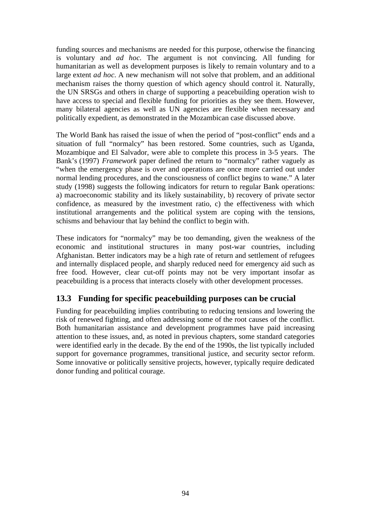funding sources and mechanisms are needed for this purpose, otherwise the financing is voluntary and *ad hoc*. The argument is not convincing. All funding for humanitarian as well as development purposes is likely to remain voluntary and to a large extent *ad hoc*. A new mechanism will not solve that problem, and an additional mechanism raises the thorny question of which agency should control it. Naturally, the UN SRSGs and others in charge of supporting a peacebuilding operation wish to have access to special and flexible funding for priorities as they see them. However, many bilateral agencies as well as UN agencies are flexible when necessary and politically expedient, as demonstrated in the Mozambican case discussed above.

The World Bank has raised the issue of when the period of "post-conflict" ends and a situation of full "normalcy" has been restored. Some countries, such as Uganda, Mozambique and El Salvador, were able to complete this process in 3-5 years. The Bank's (1997) *Framework* paper defined the return to "normalcy" rather vaguely as "when the emergency phase is over and operations are once more carried out under normal lending procedures, and the consciousness of conflict begins to wane." A later study (1998) suggests the following indicators for return to regular Bank operations: a) macroeconomic stability and its likely sustainability, b) recovery of private sector confidence, as measured by the investment ratio, c) the effectiveness with which institutional arrangements and the political system are coping with the tensions, schisms and behaviour that lay behind the conflict to begin with.

These indicators for "normalcy" may be too demanding, given the weakness of the economic and institutional structures in many post-war countries, including Afghanistan. Better indicators may be a high rate of return and settlement of refugees and internally displaced people, and sharply reduced need for emergency aid such as free food. However, clear cut-off points may not be very important insofar as peacebuilding is a process that interacts closely with other development processes.

# **13.3 Funding for specific peacebuilding purposes can be crucial**

Funding for peacebuilding implies contributing to reducing tensions and lowering the risk of renewed fighting, and often addressing some of the root causes of the conflict. Both humanitarian assistance and development programmes have paid increasing attention to these issues, and, as noted in previous chapters, some standard categories were identified early in the decade. By the end of the 1990s, the list typically included support for governance programmes, transitional justice, and security sector reform. Some innovative or politically sensitive projects, however, typically require dedicated donor funding and political courage.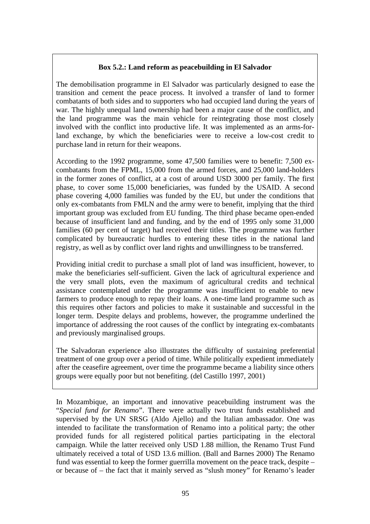## **Box 5.2.: Land reform as peacebuilding in El Salvador**

The demobilisation programme in El Salvador was particularly designed to ease the transition and cement the peace process. It involved a transfer of land to former combatants of both sides and to supporters who had occupied land during the years of war. The highly unequal land ownership had been a major cause of the conflict, and the land programme was the main vehicle for reintegrating those most closely involved with the conflict into productive life. It was implemented as an arms-forland exchange, by which the beneficiaries were to receive a low-cost credit to purchase land in return for their weapons.

According to the 1992 programme, some 47,500 families were to benefit: 7,500 excombatants from the FPML, 15,000 from the armed forces, and 25,000 land-holders in the former zones of conflict, at a cost of around USD 3000 per family. The first phase, to cover some 15,000 beneficiaries, was funded by the USAID. A second phase covering 4,000 families was funded by the EU, but under the conditions that only ex-combatants from FMLN and the army were to benefit, implying that the third important group was excluded from EU funding. The third phase became open-ended because of insufficient land and funding, and by the end of 1995 only some 31,000 families (60 per cent of target) had received their titles. The programme was further complicated by bureaucratic hurdles to entering these titles in the national land registry, as well as by conflict over land rights and unwillingness to be transferred.

Providing initial credit to purchase a small plot of land was insufficient, however, to make the beneficiaries self-sufficient. Given the lack of agricultural experience and the very small plots, even the maximum of agricultural credits and technical assistance contemplated under the programme was insufficient to enable to new farmers to produce enough to repay their loans. A one-time land programme such as this requires other factors and policies to make it sustainable and successful in the longer term. Despite delays and problems, however, the programme underlined the importance of addressing the root causes of the conflict by integrating ex-combatants and previously marginalised groups.

The Salvadoran experience also illustrates the difficulty of sustaining preferential treatment of one group over a period of time. While politically expedient immediately after the ceasefire agreement, over time the programme became a liability since others groups were equally poor but not benefiting. (del Castillo 1997, 2001)

In Mozambique, an important and innovative peacebuilding instrument was the "*Special fund for Renamo*". There were actually two trust funds established and supervised by the UN SRSG (Aldo Ajello) and the Italian ambassador. One was intended to facilitate the transformation of Renamo into a political party; the other provided funds for all registered political parties participating in the electoral campaign. While the latter received only USD 1.88 million, the Renamo Trust Fund ultimately received a total of USD 13.6 million. (Ball and Barnes 2000) The Renamo fund was essential to keep the former guerrilla movement on the peace track, despite – or because of – the fact that it mainly served as "slush money" for Renamo's leader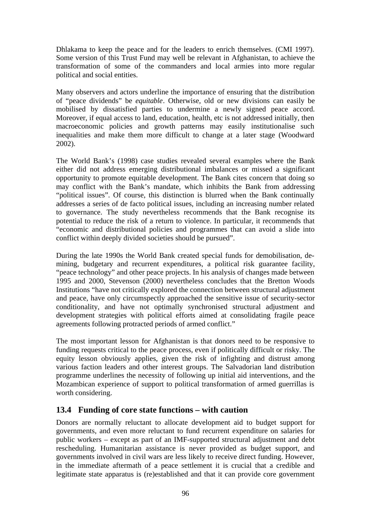Dhlakama to keep the peace and for the leaders to enrich themselves. (CMI 1997). Some version of this Trust Fund may well be relevant in Afghanistan, to achieve the transformation of some of the commanders and local armies into more regular political and social entities.

Many observers and actors underline the importance of ensuring that the distribution of "peace dividends" be *equitable*. Otherwise, old or new divisions can easily be mobilised by dissatisfied parties to undermine a newly signed peace accord. Moreover, if equal access to land, education, health, etc is not addressed initially, then macroeconomic policies and growth patterns may easily institutionalise such inequalities and make them more difficult to change at a later stage (Woodward 2002).

The World Bank's (1998) case studies revealed several examples where the Bank either did not address emerging distributional imbalances or missed a significant opportunity to promote equitable development. The Bank cites concern that doing so may conflict with the Bank's mandate, which inhibits the Bank from addressing "political issues". Of course, this distinction is blurred when the Bank continually addresses a series of de facto political issues, including an increasing number related to governance. The study nevertheless recommends that the Bank recognise its potential to reduce the risk of a return to violence. In particular, it recommends that "economic and distributional policies and programmes that can avoid a slide into conflict within deeply divided societies should be pursued".

During the late 1990s the World Bank created special funds for demobilisation, demining, budgetary and recurrent expenditures, a political risk guarantee facility, "peace technology" and other peace projects. In his analysis of changes made between 1995 and 2000, Stevenson (2000) nevertheless concludes that the Bretton Woods Institutions "have not critically explored the connection between structural adjustment and peace, have only circumspectly approached the sensitive issue of security-sector conditionality, and have not optimally synchronised structural adjustment and development strategies with political efforts aimed at consolidating fragile peace agreements following protracted periods of armed conflict."

The most important lesson for Afghanistan is that donors need to be responsive to funding requests critical to the peace process, even if politically difficult or risky. The equity lesson obviously applies, given the risk of infighting and distrust among various faction leaders and other interest groups. The Salvadorian land distribution programme underlines the necessity of following up initial aid interventions, and the Mozambican experience of support to political transformation of armed guerrillas is worth considering.

# **13.4 Funding of core state functions – with caution**

Donors are normally reluctant to allocate development aid to budget support for governments, and even more reluctant to fund recurrent expenditure on salaries for public workers – except as part of an IMF-supported structural adjustment and debt rescheduling. Humanitarian assistance is never provided as budget support, and governments involved in civil wars are less likely to receive direct funding. However, in the immediate aftermath of a peace settlement it is crucial that a credible and legitimate state apparatus is (re)established and that it can provide core government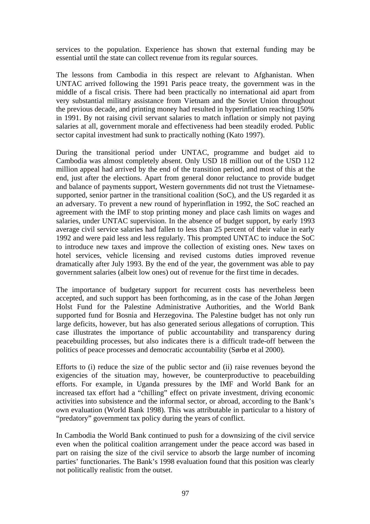services to the population. Experience has shown that external funding may be essential until the state can collect revenue from its regular sources.

The lessons from Cambodia in this respect are relevant to Afghanistan. When UNTAC arrived following the 1991 Paris peace treaty, the government was in the middle of a fiscal crisis. There had been practically no international aid apart from very substantial military assistance from Vietnam and the Soviet Union throughout the previous decade, and printing money had resulted in hyperinflation reaching 150% in 1991. By not raising civil servant salaries to match inflation or simply not paying salaries at all, government morale and effectiveness had been steadily eroded. Public sector capital investment had sunk to practically nothing (Kato 1997).

During the transitional period under UNTAC, programme and budget aid to Cambodia was almost completely absent. Only USD 18 million out of the USD 112 million appeal had arrived by the end of the transition period, and most of this at the end, just after the elections. Apart from general donor reluctance to provide budget and balance of payments support, Western governments did not trust the Vietnamesesupported, senior partner in the transitional coalition (SoC), and the US regarded it as an adversary. To prevent a new round of hyperinflation in 1992, the SoC reached an agreement with the IMF to stop printing money and place cash limits on wages and salaries, under UNTAC supervision. In the absence of budget support, by early 1993 average civil service salaries had fallen to less than 25 percent of their value in early 1992 and were paid less and less regularly. This prompted UNTAC to induce the SoC to introduce new taxes and improve the collection of existing ones. New taxes on hotel services, vehicle licensing and revised customs duties improved revenue dramatically after July 1993. By the end of the year, the government was able to pay government salaries (albeit low ones) out of revenue for the first time in decades.

The importance of budgetary support for recurrent costs has nevertheless been accepted, and such support has been forthcoming, as in the case of the Johan Jørgen Holst Fund for the Palestine Administrative Authorities, and the World Bank supported fund for Bosnia and Herzegovina. The Palestine budget has not only run large deficits, however, but has also generated serious allegations of corruption. This case illustrates the importance of public accountability and transparency during peacebuilding processes, but also indicates there is a difficult trade-off between the politics of peace processes and democratic accountability (Sørbø et al 2000).

Efforts to (i) reduce the size of the public sector and (ii) raise revenues beyond the exigencies of the situation may, however, be counterproductive to peacebuilding efforts. For example, in Uganda pressures by the IMF and World Bank for an increased tax effort had a "chilling" effect on private investment, driving economic activities into subsistence and the informal sector, or abroad, according to the Bank's own evaluation (World Bank 1998). This was attributable in particular to a history of "predatory" government tax policy during the years of conflict.

In Cambodia the World Bank continued to push for a downsizing of the civil service even when the political coalition arrangement under the peace accord was based in part on raising the size of the civil service to absorb the large number of incoming parties' functionaries. The Bank's 1998 evaluation found that this position was clearly not politically realistic from the outset.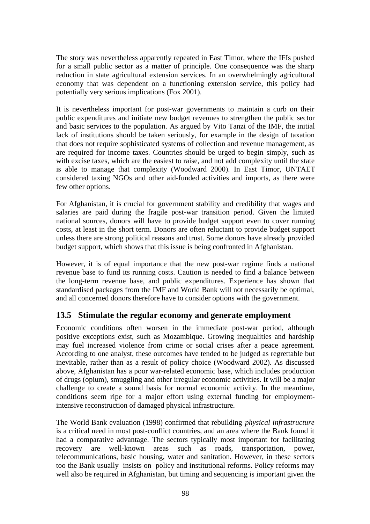The story was nevertheless apparently repeated in East Timor, where the IFIs pushed for a small public sector as a matter of principle. One consequence was the sharp reduction in state agricultural extension services. In an overwhelmingly agricultural economy that was dependent on a functioning extension service, this policy had potentially very serious implications (Fox 2001).

It is nevertheless important for post-war governments to maintain a curb on their public expenditures and initiate new budget revenues to strengthen the public sector and basic services to the population. As argued by Vito Tanzi of the IMF, the initial lack of institutions should be taken seriously, for example in the design of taxation that does not require sophisticated systems of collection and revenue management, as are required for income taxes. Countries should be urged to begin simply, such as with excise taxes, which are the easiest to raise, and not add complexity until the state is able to manage that complexity (Woodward 2000). In East Timor, UNTAET considered taxing NGOs and other aid-funded activities and imports, as there were few other options.

For Afghanistan, it is crucial for government stability and credibility that wages and salaries are paid during the fragile post-war transition period. Given the limited national sources, donors will have to provide budget support even to cover running costs, at least in the short term. Donors are often reluctant to provide budget support unless there are strong political reasons and trust. Some donors have already provided budget support, which shows that this issue is being confronted in Afghanistan.

However, it is of equal importance that the new post-war regime finds a national revenue base to fund its running costs. Caution is needed to find a balance between the long-term revenue base, and public expenditures. Experience has shown that standardised packages from the IMF and World Bank will not necessarily be optimal, and all concerned donors therefore have to consider options with the government.

# **13.5 Stimulate the regular economy and generate employment**

Economic conditions often worsen in the immediate post-war period, although positive exceptions exist, such as Mozambique. Growing inequalities and hardship may fuel increased violence from crime or social crises after a peace agreement. According to one analyst, these outcomes have tended to be judged as regrettable but inevitable, rather than as a result of policy choice (Woodward 2002). As discussed above, Afghanistan has a poor war-related economic base, which includes production of drugs (opium), smuggling and other irregular economic activities. It will be a major challenge to create a sound basis for normal economic activity. In the meantime, conditions seem ripe for a major effort using external funding for employmentintensive reconstruction of damaged physical infrastructure.

The World Bank evaluation (1998) confirmed that rebuilding *physical infrastructure* is a critical need in most post-conflict countries, and an area where the Bank found it had a comparative advantage. The sectors typically most important for facilitating recovery are well-known areas such as roads, transportation, power, telecommunications, basic housing, water and sanitation. However, in these sectors too the Bank usually insists on policy and institutional reforms. Policy reforms may well also be required in Afghanistan, but timing and sequencing is important given the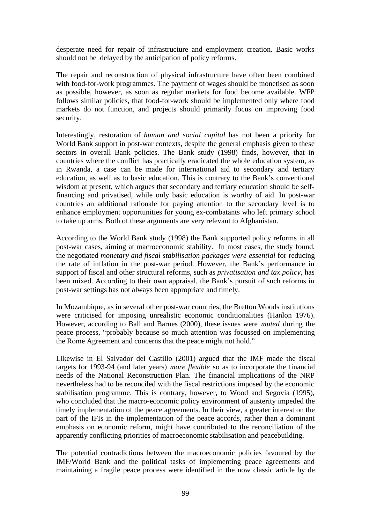desperate need for repair of infrastructure and employment creation. Basic works should not be delayed by the anticipation of policy reforms.

The repair and reconstruction of physical infrastructure have often been combined with food-for-work programmes. The payment of wages should be monetised as soon as possible, however, as soon as regular markets for food become available. WFP follows similar policies, that food-for-work should be implemented only where food markets do not function, and projects should primarily focus on improving food security.

Interestingly, restoration of *human and social capital* has not been a priority for World Bank support in post-war contexts, despite the general emphasis given to these sectors in overall Bank policies. The Bank study (1998) finds, however, that in countries where the conflict has practically eradicated the whole education system, as in Rwanda, a case can be made for international aid to secondary and tertiary education, as well as to basic education. This is contrary to the Bank's conventional wisdom at present, which argues that secondary and tertiary education should be selffinancing and privatised, while only basic education is worthy of aid. In post-war countries an additional rationale for paying attention to the secondary level is to enhance employment opportunities for young ex-combatants who left primary school to take up arms. Both of these arguments are very relevant to Afghanistan.

According to the World Bank study (1998) the Bank supported policy reforms in all post-war cases, aiming at macroeconomic stability. In most cases, the study found, the negotiated *monetary and fiscal stabilisation packages were essential* for reducing the rate of inflation in the post-war period. However, the Bank's performance in support of fiscal and other structural reforms, such as *privatisation and tax policy*, has been mixed. According to their own appraisal, the Bank's pursuit of such reforms in post-war settings has not always been appropriate and timely.

In Mozambique, as in several other post-war countries, the Bretton Woods institutions were criticised for imposing unrealistic economic conditionalities (Hanlon 1976). However, according to Ball and Barnes (2000), these issues were *muted* during the peace process, "probably because so much attention was focussed on implementing the Rome Agreement and concerns that the peace might not hold."

Likewise in El Salvador del Castillo (2001) argued that the IMF made the fiscal targets for 1993-94 (and later years) *more flexible* so as to incorporate the financial needs of the National Reconstruction Plan. The financial implications of the NRP nevertheless had to be reconciled with the fiscal restrictions imposed by the economic stabilisation programme. This is contrary, however, to Wood and Segovia (1995), who concluded that the macro-economic policy environment of austerity impeded the timely implementation of the peace agreements. In their view, a greater interest on the part of the IFIs in the implementation of the peace accords, rather than a dominant emphasis on economic reform, might have contributed to the reconciliation of the apparently conflicting priorities of macroeconomic stabilisation and peacebuilding.

The potential contradictions between the macroeconomic policies favoured by the IMF/World Bank and the political tasks of implementing peace agreements and maintaining a fragile peace process were identified in the now classic article by de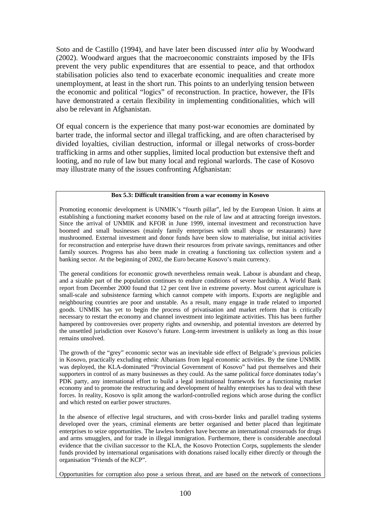Soto and de Castillo (1994), and have later been discussed *inter alia* by Woodward (2002). Woodward argues that the macroeconomic constraints imposed by the IFIs prevent the very public expenditures that are essential to peace, and that orthodox stabilisation policies also tend to exacerbate economic inequalities and create more unemployment, at least in the short run. This points to an underlying tension between the economic and political "logics" of reconstruction. In practice, however, the IFIs have demonstrated a certain flexibility in implementing conditionalities, which will also be relevant in Afghanistan.

Of equal concern is the experience that many post-war economies are dominated by barter trade, the informal sector and illegal trafficking, and are often characterised by divided loyalties, civilian destruction, informal or illegal networks of cross-border trafficking in arms and other supplies, limited local production but extensive theft and looting, and no rule of law but many local and regional warlords. The case of Kosovo may illustrate many of the issues confronting Afghanistan:

#### **Box 5.3: Difficult transition from a war economy in Kosovo**

Promoting economic development is UNMIK's "fourth pillar", led by the European Union. It aims at establishing a functioning market economy based on the rule of law and at attracting foreign investors. Since the arrival of UNMIK and KFOR in June 1999, internal investment and reconstruction have boomed and small businesses (mainly family enterprises with small shops or restaurants) have mushroomed. External investment and donor funds have been slow to materialise, but initial activities for reconstruction and enterprise have drawn their resources from private savings, remittances and other family sources. Progress has also been made in creating a functioning tax collection system and a banking sector. At the beginning of 2002, the Euro became Kosovo's main currency.

The general conditions for economic growth nevertheless remain weak. Labour is abundant and cheap, and a sizable part of the population continues to endure conditions of severe hardship. A World Bank report from December 2000 found that 12 per cent live in extreme poverty. Most current agriculture is small-scale and subsistence farming which cannot compete with imports. Exports are negligible and neighbouring countries are poor and unstable. As a result, many engage in trade related to imported goods. UNMIK has yet to begin the process of privatisation and market reform that is critically necessary to restart the economy and channel investment into legitimate activities. This has been further hampered by controversies over property rights and ownership, and potential investors are deterred by the unsettled jurisdiction over Kosovo's future. Long-term investment is unlikely as long as this issue remains unsolved.

The growth of the "grey" economic sector was an inevitable side effect of Belgrade's previous policies in Kosovo, practically excluding ethnic Albanians from legal economic activities. By the time UNMIK was deployed, the KLA-dominated "Provincial Government of Kosovo" had put themselves and their supporters in control of as many businesses as they could. As the same political force dominates today's PDK party, any international effort to build a legal institutional framework for a functioning market economy and to promote the restructuring and development of healthy enterprises has to deal with these forces. In reality, Kosovo is split among the warlord-controlled regions which arose during the conflict and which rested on earlier power structures.

In the absence of effective legal structures, and with cross-border links and parallel trading systems developed over the years, criminal elements are better organised and better placed than legitimate enterprises to seize opportunities. The lawless borders have become an international crossroads for drugs and arms smugglers, and for trade in illegal immigration. Furthermore, there is considerable anecdotal evidence that the civilian successor to the KLA, the Kosovo Protection Corps, supplements the slender funds provided by international organisations with donations raised locally either directly or through the organisation "Friends of the KCP".

Opportunities for corruption also pose a serious threat, and are based on the network of connections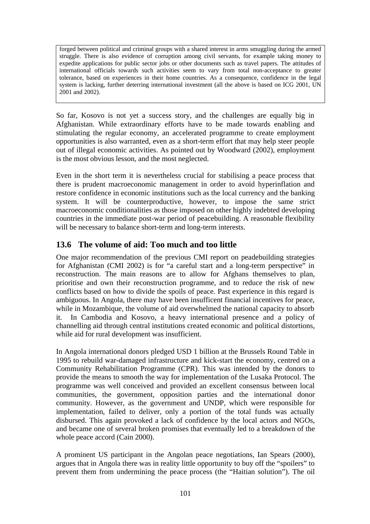forged between political and criminal groups with a shared interest in arms smuggling during the armed struggle. There is also evidence of corruption among civil servants, for example taking money to expedite applications for public sector jobs or other documents such as travel papers. The attitudes of international officials towards such activities seem to vary from total non-acceptance to greater tolerance, based on experiences in their home countries. As a consequence, confidence in the legal system is lacking, further deterring international investment (all the above is based on ICG 2001, UN 2001 and 2002).

So far, Kosovo is not yet a success story, and the challenges are equally big in Afghanistan. While extraordinary efforts have to be made towards enabling and stimulating the regular economy, an accelerated programme to create employment opportunities is also warranted, even as a short-term effort that may help steer people out of illegal economic activities. As pointed out by Woodward (2002), employment is the most obvious lesson, and the most neglected.

Even in the short term it is nevertheless crucial for stabilising a peace process that there is prudent macroeconomic management in order to avoid hyperinflation and restore confidence in economic institutions such as the local currency and the banking system. It will be counterproductive, however, to impose the same strict macroeconomic conditionalities as those imposed on other highly indebted developing countries in the immediate post-war period of peacebuilding. A reasonable flexibility will be necessary to balance short-term and long-term interests.

# **13.6 The volume of aid: Too much and too little**

One major recommendation of the previous CMI report on peadebuilding strategies for Afghanistan (CMI 2002) is for "a careful start and a long-term perspective" in reconstruction. The main reasons are to allow for Afghans themselves to plan, prioritise and own their reconstruction programme, and to reduce the risk of new conflicts based on how to divide the spoils of peace. Past experience in this regard is ambiguous. In Angola, there may have been insufficent financial incentives for peace, while in Mozambique, the volume of aid overwhelmed the national capacity to absorb it. In Cambodia and Kosovo, a heavy international presence and a policy of channelling aid through central institutions created economic and political distortions, while aid for rural development was insufficient.

In Angola international donors pledged USD 1 billion at the Brussels Round Table in 1995 to rebuild war-damaged infrastructure and kick-start the economy, centred on a Community Rehabilitation Programme (CPR). This was intended by the donors to provide the means to smooth the way for implementation of the Lusaka Protocol. The programme was well conceived and provided an excellent consensus between local communities, the government, opposition parties and the international donor community. However, as the government and UNDP, which were responsible for implementation, failed to deliver, only a portion of the total funds was actually disbursed. This again provoked a lack of confidence by the local actors and NGOs, and became one of several broken promises that eventually led to a breakdown of the whole peace accord (Cain 2000).

A prominent US participant in the Angolan peace negotiations, Ian Spears (2000), argues that in Angola there was in reality little opportunity to buy off the "spoilers" to prevent them from undermining the peace process (the "Haitian solution"). The oil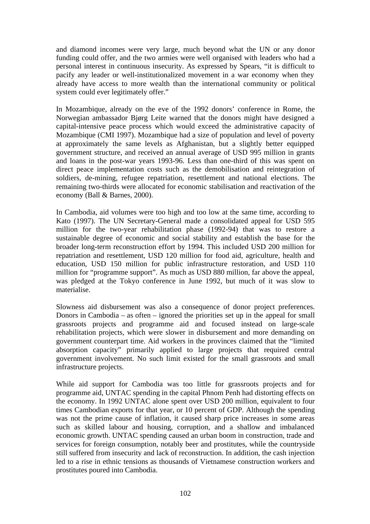and diamond incomes were very large, much beyond what the UN or any donor funding could offer, and the two armies were well organised with leaders who had a personal interest in continuous insecurity. As expressed by Spears, "it is difficult to pacify any leader or well-institutionalized movement in a war economy when they already have access to more wealth than the international community or political system could ever legitimately offer."

In Mozambique, already on the eve of the 1992 donors' conference in Rome, the Norwegian ambassador Bjørg Leite warned that the donors might have designed a capital-intensive peace process which would exceed the administrative capacity of Mozambique (CMI 1997). Mozambique had a size of population and level of poverty at approximately the same levels as Afghanistan, but a slightly better equipped government structure, and received an annual average of USD 995 million in grants and loans in the post-war years 1993-96. Less than one-third of this was spent on direct peace implementation costs such as the demobilisation and reintegration of soldiers, de-mining, refugee repatriation, resettlement and national elections. The remaining two-thirds were allocated for economic stabilisation and reactivation of the economy (Ball & Barnes, 2000).

In Cambodia, aid volumes were too high and too low at the same time, according to Kato (1997). The UN Secretary-General made a consolidated appeal for USD 595 million for the two-year rehabilitation phase (1992-94) that was to restore a sustainable degree of economic and social stability and establish the base for the broader long-term reconstruction effort by 1994. This included USD 200 million for repatriation and resettlement, USD 120 million for food aid, agriculture, health and education, USD 150 million for public infrastructure restoration, and USD 110 million for "programme support". As much as USD 880 million, far above the appeal, was pledged at the Tokyo conference in June 1992, but much of it was slow to materialise.

Slowness aid disbursement was also a consequence of donor project preferences. Donors in Cambodia – as often – ignored the priorities set up in the appeal for small grassroots projects and programme aid and focused instead on large-scale rehabilitation projects, which were slower in disbursement and more demanding on government counterpart time. Aid workers in the provinces claimed that the "limited absorption capacity" primarily applied to large projects that required central government involvement. No such limit existed for the small grassroots and small infrastructure projects.

While aid support for Cambodia was too little for grassroots projects and for programme aid, UNTAC spending in the capital Phnom Penh had distorting effects on the economy. In 1992 UNTAC alone spent over USD 200 million, equivalent to four times Cambodian exports for that year, or 10 percent of GDP. Although the spending was not the prime cause of inflation, it caused sharp price increases in some areas such as skilled labour and housing, corruption, and a shallow and imbalanced economic growth. UNTAC spending caused an urban boom in construction, trade and services for foreign consumption, notably beer and prostitutes, while the countryside still suffered from insecurity and lack of reconstruction. In addition, the cash injection led to a rise in ethnic tensions as thousands of Vietnamese construction workers and prostitutes poured into Cambodia.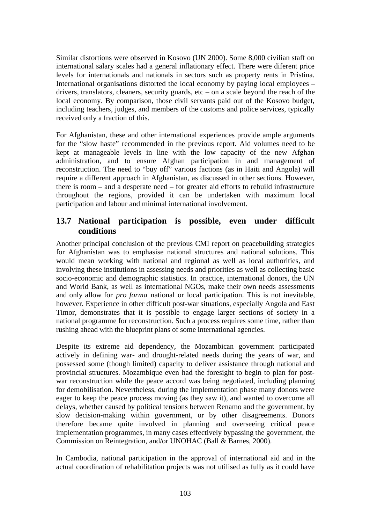Similar distortions were observed in Kosovo (UN 2000). Some 8,000 civilian staff on international salary scales had a general inflationary effect. There were diferent price levels for internationals and nationals in sectors such as property rents in Pristina. International organisations distorted the local economy by paying local employees – drivers, translators, cleaners, security guards, etc – on a scale beyond the reach of the local economy. By comparison, those civil servants paid out of the Kosovo budget, including teachers, judges, and members of the customs and police services, typically received only a fraction of this.

For Afghanistan, these and other international experiences provide ample arguments for the "slow haste" recommended in the previous report. Aid volumes need to be kept at manageable levels in line with the low capacity of the new Afghan administration, and to ensure Afghan participation in and management of reconstruction. The need to "buy off" various factions (as in Haiti and Angola) will require a different approach in Afghanistan, as discussed in other sections. However, there is room – and a desperate need – for greater aid efforts to rebuild infrastructure throughout the regions, provided it can be undertaken with maximum local participation and labour and minimal international involvement.

## **13.7 National participation is possible, even under difficult conditions**

Another principal conclusion of the previous CMI report on peacebuilding strategies for Afghanistan was to emphasise national structures and national solutions. This would mean working with national and regional as well as local authorities, and involving these institutions in assessing needs and priorities as well as collecting basic socio-economic and demographic statistics. In practice, international donors, the UN and World Bank, as well as international NGOs, make their own needs assessments and only allow for *pro forma* national or local participation. This is not inevitable, however. Experience in other difficult post-war situations, especially Angola and East Timor, demonstrates that it is possible to engage larger sections of society in a national programme for reconstruction. Such a process requires some time, rather than rushing ahead with the blueprint plans of some international agencies.

Despite its extreme aid dependency, the Mozambican government participated actively in defining war- and drought-related needs during the years of war, and possessed some (though limited) capacity to deliver assistance through national and provincial structures. Mozambique even had the foresight to begin to plan for postwar reconstruction while the peace accord was being negotiated, including planning for demobilisation. Nevertheless, during the implementation phase many donors were eager to keep the peace process moving (as they saw it), and wanted to overcome all delays, whether caused by political tensions between Renamo and the government, by slow decision-making within government, or by other disagreements. Donors therefore became quite involved in planning and overseeing critical peace implementation programmes, in many cases effectively bypassing the government, the Commission on Reintegration, and/or UNOHAC (Ball & Barnes, 2000).

In Cambodia, national participation in the approval of international aid and in the actual coordination of rehabilitation projects was not utilised as fully as it could have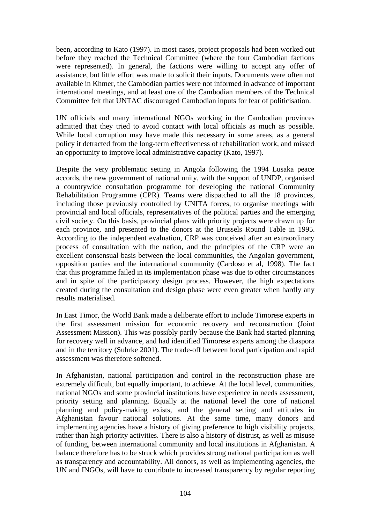been, according to Kato (1997). In most cases, project proposals had been worked out before they reached the Technical Committee (where the four Cambodian factions were represented). In general, the factions were willing to accept any offer of assistance, but little effort was made to solicit their inputs. Documents were often not available in Khmer, the Cambodian parties were not informed in advance of important international meetings, and at least one of the Cambodian members of the Technical Committee felt that UNTAC discouraged Cambodian inputs for fear of politicisation.

UN officials and many international NGOs working in the Cambodian provinces admitted that they tried to avoid contact with local officials as much as possible. While local corruption may have made this necessary in some areas, as a general policy it detracted from the long-term effectiveness of rehabilitation work, and missed an opportunity to improve local administrative capacity (Kato, 1997).

Despite the very problematic setting in Angola following the 1994 Lusaka peace accords, the new government of national unity, with the support of UNDP, organised a countrywide consultation programme for developing the national Community Rehabilitation Programme (CPR). Teams were dispatched to all the 18 provinces, including those previously controlled by UNITA forces, to organise meetings with provincial and local officials, representatives of the political parties and the emerging civil society. On this basis, provincial plans with priority projects were drawn up for each province, and presented to the donors at the Brussels Round Table in 1995. According to the independent evaluation, CRP was conceived after an extraordinary process of consultation with the nation, and the principles of the CRP were an excellent consensual basis between the local communities, the Angolan government, opposition parties and the international community (Cardoso et al, 1998). The fact that this programme failed in its implementation phase was due to other circumstances and in spite of the participatory design process. However, the high expectations created during the consultation and design phase were even greater when hardly any results materialised.

In East Timor, the World Bank made a deliberate effort to include Timorese experts in the first assessment mission for economic recovery and reconstruction (Joint Assessment Mission). This was possibly partly because the Bank had started planning for recovery well in advance, and had identified Timorese experts among the diaspora and in the territory (Suhrke 2001). The trade-off between local participation and rapid assessment was therefore softened.

In Afghanistan, national participation and control in the reconstruction phase are extremely difficult, but equally important, to achieve. At the local level, communities, national NGOs and some provincial institutions have experience in needs assessment, priority setting and planning. Equally at the national level the core of national planning and policy-making exists, and the general setting and attitudes in Afghanistan favour national solutions. At the same time, many donors and implementing agencies have a history of giving preference to high visibility projects, rather than high priority activities. There is also a history of distrust, as well as misuse of funding, between international community and local institutions in Afghanistan. A balance therefore has to be struck which provides strong national participation as well as transparency and accountability. All donors, as well as implementing agencies, the UN and INGOs, will have to contribute to increased transparency by regular reporting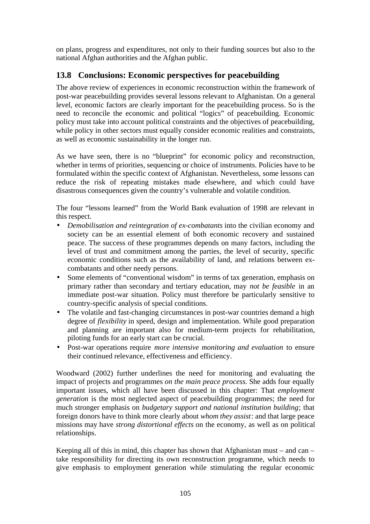on plans, progress and expenditures, not only to their funding sources but also to the national Afghan authorities and the Afghan public.

# **13.8 Conclusions: Economic perspectives for peacebuilding**

The above review of experiences in economic reconstruction within the framework of post-war peacebuilding provides several lessons relevant to Afghanistan. On a general level, economic factors are clearly important for the peacebuilding process. So is the need to reconcile the economic and political "logics" of peacebuilding. Economic policy must take into account political constraints and the objectives of peacebuilding, while policy in other sectors must equally consider economic realities and constraints, as well as economic sustainability in the longer run.

As we have seen, there is no "blueprint" for economic policy and reconstruction, whether in terms of priorities, sequencing or choice of instruments. Policies have to be formulated within the specific context of Afghanistan. Nevertheless, some lessons can reduce the risk of repeating mistakes made elsewhere, and which could have disastrous consequences given the country's vulnerable and volatile condition.

The four "lessons learned" from the World Bank evaluation of 1998 are relevant in this respect.

- *Demobilisation and reintegration of ex-combatants* into the civilian economy and society can be an essential element of both economic recovery and sustained peace. The success of these programmes depends on many factors, including the level of trust and commitment among the parties, the level of security, specific economic conditions such as the availability of land, and relations between excombatants and other needy persons.
- Some elements of "conventional wisdom" in terms of tax generation, emphasis on primary rather than secondary and tertiary education, may *not be feasible* in an immediate post-war situation. Policy must therefore be particularly sensitive to country-specific analysis of special conditions.
- The volatile and fast-changing circumstances in post-war countries demand a high degree of *flexibility* in speed, design and implementation. While good preparation and planning are important also for medium-term projects for rehabilitation, piloting funds for an early start can be crucial.
- Post-war operations require *more intensive monitoring and evaluation* to ensure their continued relevance, effectiveness and efficiency.

Woodward (2002) further underlines the need for monitoring and evaluating the impact of projects and programmes *on the main peace process.* She adds four equally important issues, which all have been discussed in this chapter: That *employment generation* is the most neglected aspect of peacebuilding programmes; the need for much stronger emphasis on *budgetary support and national institution building*; that foreign donors have to think more clearly about *whom they assist*: and that large peace missions may have *strong distortional effects* on the economy, as well as on political relationships.

Keeping all of this in mind, this chapter has shown that Afghanistan must – and can – take responsibility for directing its own reconstruction programme, which needs to give emphasis to employment generation while stimulating the regular economic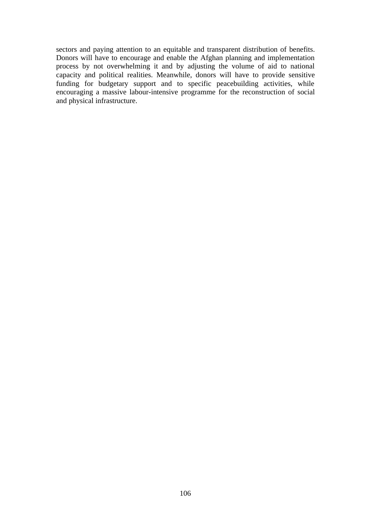sectors and paying attention to an equitable and transparent distribution of benefits. Donors will have to encourage and enable the Afghan planning and implementation process by not overwhelming it and by adjusting the volume of aid to national capacity and political realities. Meanwhile, donors will have to provide sensitive funding for budgetary support and to specific peacebuilding activities, while encouraging a massive labour-intensive programme for the reconstruction of social and physical infrastructure.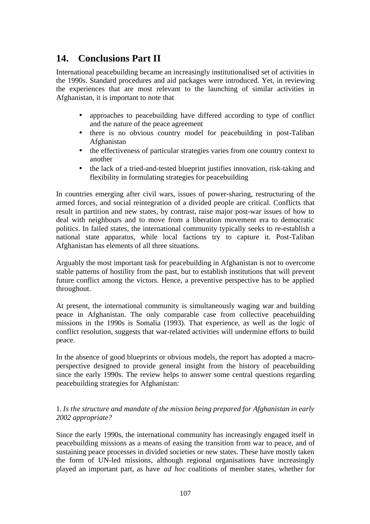# **14. Conclusions Part II**

International peacebuilding became an increasingly institutionalised set of activities in the 1990s. Standard procedures and aid packages were introduced. Yet, in reviewing the experiences that are most relevant to the launching of similar activities in Afghanistan, it is important to note that

- approaches to peacebuilding have differed according to type of conflict and the nature of the peace agreement
- there is no obvious country model for peacebuilding in post-Taliban Afghanistan
- the effectiveness of particular strategies varies from one country context to another
- the lack of a tried-and-tested blueprint justifies innovation, risk-taking and flexibility in formulating strategies for peacebuilding

In countries emerging after civil wars, issues of power-sharing, restructuring of the armed forces, and social reintegration of a divided people are critical. Conflicts that result in partition and new states, by contrast, raise major post-war issues of how to deal with neighbours and to move from a liberation movement era to democratic politics. In failed states, the international community typically seeks to re-establish a national state apparatus, while local factions try to capture it. Post-Taliban Afghanistan has elements of all three situations.

Arguably the most important task for peacebuilding in Afghanistan is not to overcome stable patterns of hostility from the past, but to establish institutions that will prevent future conflict among the victors. Hence, a preventive perspective has to be applied throughout.

At present, the international community is simultaneously waging war and building peace in Afghanistan. The only comparable case from collective peacebuilding missions in the 1990s is Somalia (1993). That experience, as well as the logic of conflict resolution, suggests that war-related activities will undermine efforts to build peace.

In the absence of good blueprints or obvious models, the report has adopted a macroperspective designed to provide general insight from the history of peacebuilding since the early 1990s. The review helps to answer some central questions regarding peacebuilding strategies for Afghanistan:

#### 1. *Is the structure and mandate of the mission being prepared for Afghanistan in early 2002 appropriate?*

Since the early 1990s, the international community has increasingly engaged itself in peacebuilding missions as a means of easing the transition from war to peace, and of sustaining peace processes in divided societies or new states. These have mostly taken the form of UN-led missions, although regional organisations have increasingly played an important part, as have *ad hoc* coalitions of member states, whether for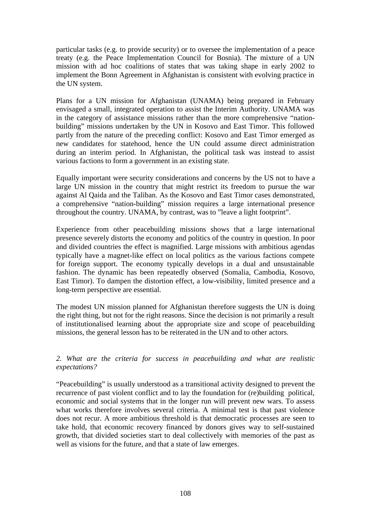particular tasks (e.g. to provide security) or to oversee the implementation of a peace treaty (e.g. the Peace Implementation Council for Bosnia). The mixture of a UN mission with ad hoc coalitions of states that was taking shape in early 2002 to implement the Bonn Agreement in Afghanistan is consistent with evolving practice in the UN system.

Plans for a UN mission for Afghanistan (UNAMA) being prepared in February envisaged a small, integrated operation to assist the Interim Authority. UNAMA was in the category of assistance missions rather than the more comprehensive "nationbuilding" missions undertaken by the UN in Kosovo and East Timor. This followed partly from the nature of the preceding conflict: Kosovo and East Timor emerged as new candidates for statehood, hence the UN could assume direct administration during an interim period. In Afghanistan, the political task was instead to assist various factions to form a government in an existing state.

Equally important were security considerations and concerns by the US not to have a large UN mission in the country that might restrict its freedom to pursue the war against Al Qaida and the Taliban. As the Kosovo and East Timor cases demonstrated, a comprehensive "nation-building" mission requires a large international presence throughout the country. UNAMA, by contrast, was to "leave a light footprint".

Experience from other peacebuilding missions shows that a large international presence severely distorts the economy and politics of the country in question. In poor and divided countries the effect is magnified. Large missions with ambitious agendas typically have a magnet-like effect on local politics as the various factions compete for foreign support. The economy typically develops in a dual and unsustainable fashion. The dynamic has been repeatedly observed (Somalia, Cambodia, Kosovo, East Timor). To dampen the distortion effect, a low-visibility, limited presence and a long-term perspective are essential.

The modest UN mission planned for Afghanistan therefore suggests the UN is doing the right thing, but not for the right reasons. Since the decision is not primarily a result of institutionalised learning about the appropriate size and scope of peacebuilding missions, the general lesson has to be reiterated in the UN and to other actors.

*2. What are the criteria for success in peacebuilding and what are realistic expectations?*

"Peacebuilding" is usually understood as a transitional activity designed to prevent the recurrence of past violent conflict and to lay the foundation for (re)building political, economic and social systems that in the longer run will prevent new wars. To assess what works therefore involves several criteria. A minimal test is that past violence does not recur. A more ambitious threshold is that democratic processes are seen to take hold, that economic recovery financed by donors gives way to self-sustained growth, that divided societies start to deal collectively with memories of the past as well as visions for the future, and that a state of law emerges.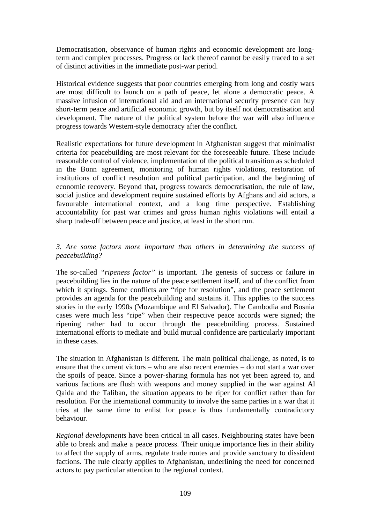Democratisation, observance of human rights and economic development are longterm and complex processes. Progress or lack thereof cannot be easily traced to a set of distinct activities in the immediate post-war period.

Historical evidence suggests that poor countries emerging from long and costly wars are most difficult to launch on a path of peace, let alone a democratic peace. A massive infusion of international aid and an international security presence can buy short-term peace and artificial economic growth, but by itself not democratisation and development. The nature of the political system before the war will also influence progress towards Western-style democracy after the conflict.

Realistic expectations for future development in Afghanistan suggest that minimalist criteria for peacebuilding are most relevant for the foreseeable future. These include reasonable control of violence, implementation of the political transition as scheduled in the Bonn agreement, monitoring of human rights violations, restoration of institutions of conflict resolution and political participation, and the beginning of economic recovery. Beyond that, progress towards democratisation, the rule of law, social justice and development require sustained efforts by Afghans and aid actors, a favourable international context, and a long time perspective. Establishing accountability for past war crimes and gross human rights violations will entail a sharp trade-off between peace and justice, at least in the short run.

## *3. Are some factors more important than others in determining the success of peacebuilding?*

The so-called *"ripeness factor"* is important. The genesis of success or failure in peacebuilding lies in the nature of the peace settlement itself, and of the conflict from which it springs. Some conflicts are "ripe for resolution", and the peace settlement provides an agenda for the peacebuilding and sustains it. This applies to the success stories in the early 1990s (Mozambique and El Salvador). The Cambodia and Bosnia cases were much less "ripe" when their respective peace accords were signed; the ripening rather had to occur through the peacebuilding process. Sustained international efforts to mediate and build mutual confidence are particularly important in these cases.

The situation in Afghanistan is different. The main political challenge, as noted, is to ensure that the current victors – who are also recent enemies – do not start a war over the spoils of peace. Since a power-sharing formula has not yet been agreed to, and various factions are flush with weapons and money supplied in the war against Al Qaida and the Taliban, the situation appears to be riper for conflict rather than for resolution. For the international community to involve the same parties in a war that it tries at the same time to enlist for peace is thus fundamentally contradictory behaviour.

*Regional developments* have been critical in all cases. Neighbouring states have been able to break and make a peace process. Their unique importance lies in their ability to affect the supply of arms, regulate trade routes and provide sanctuary to dissident factions. The rule clearly applies to Afghanistan, underlining the need for concerned actors to pay particular attention to the regional context.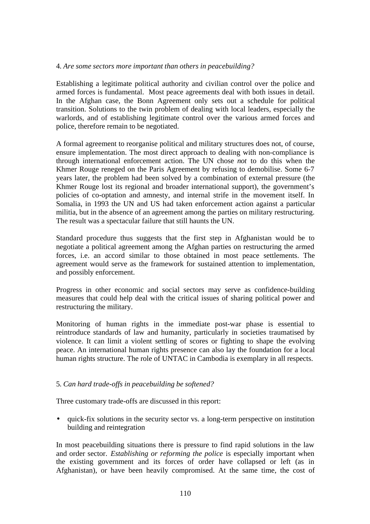#### 4. *Are some sectors more important than others in peacebuilding?*

Establishing a legitimate political authority and civilian control over the police and armed forces is fundamental. Most peace agreements deal with both issues in detail. In the Afghan case, the Bonn Agreement only sets out a schedule for political transition. Solutions to the twin problem of dealing with local leaders, especially the warlords, and of establishing legitimate control over the various armed forces and police, therefore remain to be negotiated.

A formal agreement to reorganise political and military structures does not, of course, ensure implementation. The most direct approach to dealing with non-compliance is through international enforcement action. The UN chose *not* to do this when the Khmer Rouge reneged on the Paris Agreement by refusing to demobilise. Some 6-7 years later, the problem had been solved by a combination of external pressure (the Khmer Rouge lost its regional and broader international support), the government's policies of co-optation and amnesty, and internal strife in the movement itself. In Somalia, in 1993 the UN and US had taken enforcement action against a particular militia, but in the absence of an agreement among the parties on military restructuring. The result was a spectacular failure that still haunts the UN.

Standard procedure thus suggests that the first step in Afghanistan would be to negotiate a political agreement among the Afghan parties on restructuring the armed forces, i.e. an accord similar to those obtained in most peace settlements. The agreement would serve as the framework for sustained attention to implementation, and possibly enforcement.

Progress in other economic and social sectors may serve as confidence-building measures that could help deal with the critical issues of sharing political power and restructuring the military.

Monitoring of human rights in the immediate post-war phase is essential to reintroduce standards of law and humanity, particularly in societies traumatised by violence. It can limit a violent settling of scores or fighting to shape the evolving peace. An international human rights presence can also lay the foundation for a local human rights structure. The role of UNTAC in Cambodia is exemplary in all respects.

#### 5. *Can hard trade-offs in peacebuilding be softened?*

Three customary trade-offs are discussed in this report:

• quick-fix solutions in the security sector vs. a long-term perspective on institution building and reintegration

In most peacebuilding situations there is pressure to find rapid solutions in the law and order sector. *Establishing or reforming the police* is especially important when the existing government and its forces of order have collapsed or left (as in Afghanistan), or have been heavily compromised. At the same time, the cost of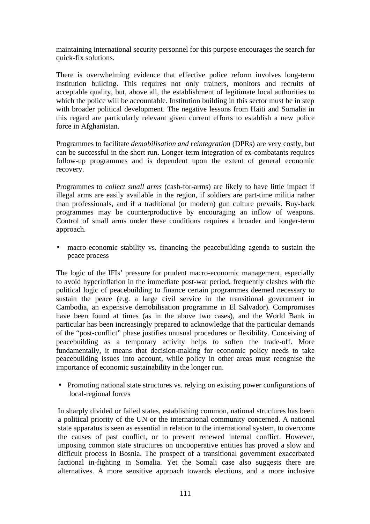maintaining international security personnel for this purpose encourages the search for quick-fix solutions.

There is overwhelming evidence that effective police reform involves long-term institution building. This requires not only trainers, monitors and recruits of acceptable quality, but, above all, the establishment of legitimate local authorities to which the police will be accountable. Institution building in this sector must be in step with broader political development. The negative lessons from Haiti and Somalia in this regard are particularly relevant given current efforts to establish a new police force in Afghanistan.

Programmes to facilitate *demobilisation and reintegration* (DPRs) are very costly, but can be successful in the short run. Longer-term integration of ex-combatants requires follow-up programmes and is dependent upon the extent of general economic recovery.

Programmes to *collect small arms* (cash-for-arms) are likely to have little impact if illegal arms are easily available in the region, if soldiers are part-time militia rather than professionals, and if a traditional (or modern) gun culture prevails. Buy-back programmes may be counterproductive by encouraging an inflow of weapons. Control of small arms under these conditions requires a broader and longer-term approach.

• macro-economic stability vs. financing the peacebuilding agenda to sustain the peace process

The logic of the IFIs' pressure for prudent macro-economic management, especially to avoid hyperinflation in the immediate post-war period, frequently clashes with the political logic of peacebuilding to finance certain programmes deemed necessary to sustain the peace (e.g. a large civil service in the transitional government in Cambodia, an expensive demobilisation programme in El Salvador). Compromises have been found at times (as in the above two cases), and the World Bank in particular has been increasingly prepared to acknowledge that the particular demands of the "post-conflict" phase justifies unusual procedures or flexibility. Conceiving of peacebuilding as a temporary activity helps to soften the trade-off. More fundamentally, it means that decision-making for economic policy needs to take peacebuilding issues into account, while policy in other areas must recognise the importance of economic sustainability in the longer run.

• Promoting national state structures vs. relying on existing power configurations of local-regional forces

In sharply divided or failed states, establishing common, national structures has been a political priority of the UN or the international community concerned. A national state apparatus is seen as essential in relation to the international system, to overcome the causes of past conflict, or to prevent renewed internal conflict. However, imposing common state structures on uncooperative entities has proved a slow and difficult process in Bosnia. The prospect of a transitional government exacerbated factional in-fighting in Somalia. Yet the Somali case also suggests there are alternatives. A more sensitive approach towards elections, and a more inclusive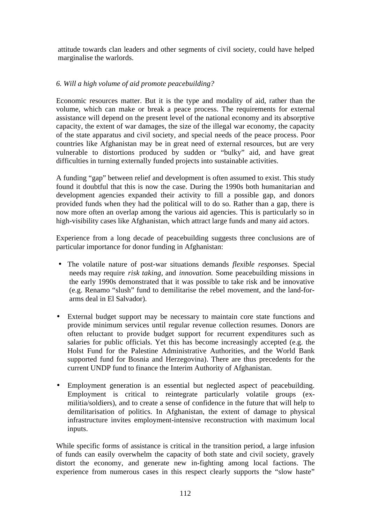attitude towards clan leaders and other segments of civil society, could have helped marginalise the warlords.

## *6. Will a high volume of aid promote peacebuilding?*

Economic resources matter. But it is the type and modality of aid, rather than the volume, which can make or break a peace process. The requirements for external assistance will depend on the present level of the national economy and its absorptive capacity, the extent of war damages, the size of the illegal war economy, the capacity of the state apparatus and civil society, and special needs of the peace process. Poor countries like Afghanistan may be in great need of external resources, but are very vulnerable to distortions produced by sudden or "bulky" aid, and have great difficulties in turning externally funded projects into sustainable activities.

A funding "gap" between relief and development is often assumed to exist. This study found it doubtful that this is now the case. During the 1990s both humanitarian and development agencies expanded their activity to fill a possible gap, and donors provided funds when they had the political will to do so. Rather than a gap, there is now more often an overlap among the various aid agencies. This is particularly so in high-visibility cases like Afghanistan, which attract large funds and many aid actors.

Experience from a long decade of peacebuilding suggests three conclusions are of particular importance for donor funding in Afghanistan:

- The volatile nature of post-war situations demands *flexible responses.* Special needs may require *risk taking*, and *innovation.* Some peacebuilding missions in the early 1990s demonstrated that it was possible to take risk and be innovative (e.g. Renamo "slush" fund to demilitarise the rebel movement, and the land-forarms deal in El Salvador).
- External budget support may be necessary to maintain core state functions and provide minimum services until regular revenue collection resumes. Donors are often reluctant to provide budget support for recurrent expenditures such as salaries for public officials. Yet this has become increasingly accepted (e.g. the Holst Fund for the Palestine Administrative Authorities, and the World Bank supported fund for Bosnia and Herzegovina). There are thus precedents for the current UNDP fund to finance the Interim Authority of Afghanistan.
- Employment generation is an essential but neglected aspect of peacebuilding. Employment is critical to reintegrate particularly volatile groups (exmilitia/soldiers), and to create a sense of confidence in the future that will help to demilitarisation of politics. In Afghanistan, the extent of damage to physical infrastructure invites employment-intensive reconstruction with maximum local inputs.

While specific forms of assistance is critical in the transition period, a large infusion of funds can easily overwhelm the capacity of both state and civil society, gravely distort the economy, and generate new in-fighting among local factions. The experience from numerous cases in this respect clearly supports the "slow haste"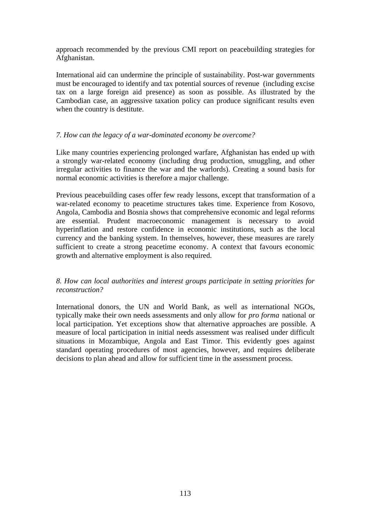approach recommended by the previous CMI report on peacebuilding strategies for Afghanistan.

International aid can undermine the principle of sustainability. Post-war governments must be encouraged to identify and tax potential sources of revenue (including excise tax on a large foreign aid presence) as soon as possible. As illustrated by the Cambodian case, an aggressive taxation policy can produce significant results even when the country is destitute.

#### *7. How can the legacy of a war-dominated economy be overcome?*

Like many countries experiencing prolonged warfare, Afghanistan has ended up with a strongly war-related economy (including drug production, smuggling, and other irregular activities to finance the war and the warlords). Creating a sound basis for normal economic activities is therefore a major challenge.

Previous peacebuilding cases offer few ready lessons, except that transformation of a war-related economy to peacetime structures takes time. Experience from Kosovo, Angola, Cambodia and Bosnia shows that comprehensive economic and legal reforms are essential. Prudent macroeconomic management is necessary to avoid hyperinflation and restore confidence in economic institutions, such as the local currency and the banking system. In themselves, however, these measures are rarely sufficient to create a strong peacetime economy. A context that favours economic growth and alternative employment is also required.

#### *8. How can local authorities and interest groups participate in setting priorities for reconstruction?*

International donors, the UN and World Bank, as well as international NGOs, typically make their own needs assessments and only allow for *pro forma* national or local participation. Yet exceptions show that alternative approaches are possible. A measure of local participation in initial needs assessment was realised under difficult situations in Mozambique, Angola and East Timor. This evidently goes against standard operating procedures of most agencies, however, and requires deliberate decisions to plan ahead and allow for sufficient time in the assessment process.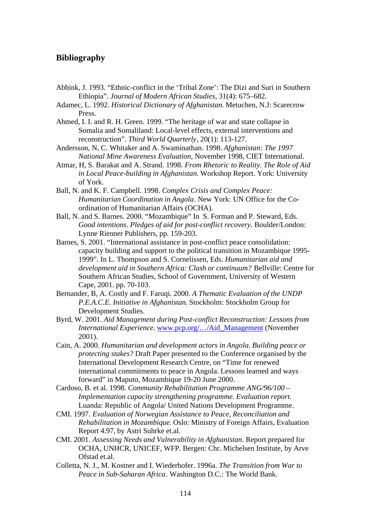## **Bibliography**

- Abbink, J. 1993. "Ethnic-conflict in the 'Tribal Zone': The Dizi and Suri in Southern Ethiopia". *Journal of Modern African Studies*, 31(4): 675–682.
- Adamec, L. 1992. *Historical Dictionary of Afghanistan.* Metuchen, N.J: Scarecrow Press.
- Ahmed, I. I. and R. H. Green. 1999. "The heritage of war and state collapse in Somalia and Somaliland: Local-level effects, external interventions and reconstruction". *Third World Quarterly*, 20(1): 113-127.
- Andersson, N, C. Whitaker and A. Swaminathan. 1998. *Afghanistan: The 1997 National Mine Awareness Evaluation*, November 1998, CIET International.
- Atmar, H, S. Barakat and A. Strand. 1998. *From Rhetoric to Reality. The Role of Aid in Local Peace-building in Afghanistan.* Workshop Report. York: University of York.
- Ball, N. and K. F. Campbell. 1998. *Complex Crisis and Complex Peace: Humanitarian Coordination in Angola*. New York: UN Office for the Coordination of Humanitarian Affairs (OCHA).
- Ball, N. and S. Barnes. 2000. "Mozambique" In S. Forman and P. Steward, Eds. *Good intentions. Pledges of aid for post-conflict recovery*. Boulder/London: Lynne Rienner Publishers, pp. 159-203.
- Barnes, S. 2001. "International assistance in post-conflict peace consolidation: capacity building and support to the political transition in Mozambique 1995- 1999". In L. Thompson and S. Cornelissen, Eds. *Humanitarian aid and development aid in Southern Africa: Clash or continuum?* Bellville: Centre for Southern African Studies, School of Government, University of Western Cape, 2001. pp. 70-103.
- Bernander, B, A. Costly and F. Faruqi. 2000. *A Thematic Evaluation of the UNDP P.E.A.C.E. Initiative in Afghanistan.* Stockholm: Stockholm Group for Development Studies.
- Byrd, W. 2001. *Aid Management during Post-conflict Reconstruction: Lessons from International Experience.* www.pcp.org/…/Aid\_Management (November 2001).
- Cain, A. 2000. *Humanitarian and development actors in Angola. Building peace or protecting stakes?* Draft Paper presented to the Conference organised by the International Development Research Centre, on "Time for renewed international commitments to peace in Angola. Lessons learned and ways forward" in Maputo, Mozambique 19-20 June 2000.
- Cardoso, B. et al. 1998. *Community Rehabilitation Programme ANG/96/100 – Implementation capacity strengthening programme. Evaluation report.* Luanda: Republic of Angola/ United Nations Development Programme.
- CMI. 1997. *Evaluation of Norwegian Assistance to Peace, Reconciliation and Rehabilitation in Mozambique*. Oslo: Ministry of Foreign Affairs, Evaluation Report 4.97, by Astri Suhrke et.al.
- CMI. 2001. *Assessing Needs and Vulnerability in Afghanistan*. Report prepared for OCHA, UNHCR, UNICEF, WFP. Bergen: Chr. Michelsen Institute, by Arve Ofstad et.al.
- Colletta, N. J., M. Kostner and I. Wiederhofer. 1996a. *The Transition from War to Peace in Sub-Saharan Africa*. Washington D.C.: The World Bank.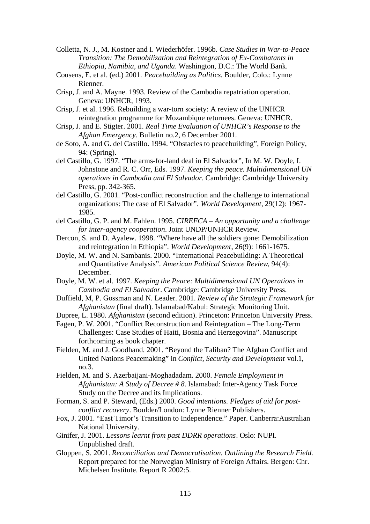Colletta, N. J., M. Kostner and I. Wiederhöfer. 1996b. *Case Studies in War-to-Peace Transition: The Demobilization and Reintegration of Ex-Combatants in Ethiopia, Namibia, and Uganda*. Washington, D.C.: The World Bank.

- Cousens, E. et al. (ed.) 2001. *Peacebuilding as Politics.* Boulder, Colo.: Lynne Rienner.
- Crisp, J. and A. Mayne. 1993. Review of the Cambodia repatriation operation. Geneva: UNHCR, 1993.
- Crisp, J. et al. 1996. Rebuilding a war-torn society: A review of the UNHCR reintegration programme for Mozambique returnees. Geneva: UNHCR.
- Crisp, J. and E. Stigter. 2001. *Real Time Evaluation of UNHCR's Response to the Afghan Emergency.* Bulletin no.2, 6 December 2001.
- de Soto, A. and G. del Castillo. 1994. "Obstacles to peacebuilding", Foreign Policy, 94: (Spring).
- del Castillo, G. 1997. "The arms-for-land deal in El Salvador", In M. W. Doyle, I. Johnstone and R. C. Orr, Eds. 1997. *Keeping the peace. Multidimensional UN operations in Cambodia and El Salvador.* Cambridge: Cambridge University Press, pp. 342-365.
- del Castillo, G. 2001. "Post-conflict reconstruction and the challenge to international organizations: The case of El Salvador". *World Development,* 29(12): 1967- 1985.
- del Castillo, G. P. and M. Fahlen. 1995. *CIREFCA An opportunity and a challenge for inter-agency cooperation*. Joint UNDP/UNHCR Review.
- Dercon, S. and D. Ayalew. 1998. "Where have all the soldiers gone: Demobilization and reintegration in Ethiopia". *World Development*, 26(9): 1661-1675.
- Doyle, M. W. and N. Sambanis. 2000. "International Peacebuilding: A Theoretical and Quantitative Analysis". *American Political Science Review*, 94(4): December.
- Doyle, M. W. et al. 1997. *Keeping the Peace: Multidimensional UN Operations in Cambodia and El Salvador*. Cambridge: Cambridge University Press.
- Duffield, M, P. Gossman and N. Leader. 2001. *Review of the Strategic Framework for Afghanistan* (final draft). Islamabad/Kabul: Strategic Monitoring Unit.
- Dupree, L. 1980. *Afghanistan* (second edition). Princeton: Princeton University Press.
- Fagen, P. W. 2001. "Conflict Reconstruction and Reintegration The Long-Term Challenges: Case Studies of Haiti, Bosnia and Herzegovina". Manuscript forthcoming as book chapter.
- Fielden, M. and J. Goodhand. 2001. "Beyond the Taliban? The Afghan Conflict and United Nations Peacemaking" in *Conflict, Security and Development* vol.1, no.3.
- Fielden, M. and S. Azerbaijani-Moghadadam. 2000. *Female Employment in Afghanistan: A Study of Decree # 8.* Islamabad: Inter-Agency Task Force Study on the Decree and its Implications.
- Forman, S. and P. Steward, (Eds.) 2000. *Good intentions. Pledges of aid for postconflict recovery*. Boulder/London: Lynne Rienner Publishers.
- Fox, J. 2001. "East Timor's Transition to Independence." Paper. Canberra:Australian National University.
- Ginifer, J. 2001. *Lessons learnt from past DDRR operations*. Oslo: NUPI. Unpublished draft.
- Gloppen, S. 2001. *Reconciliation and Democratisation. Outlining the Research Field.* Report prepared for the Norwegian Ministry of Foreign Affairs. Bergen: Chr. Michelsen Institute. Report R 2002:5.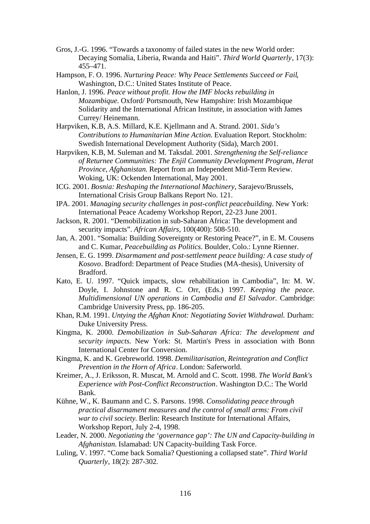- Gros, J.-G. 1996. "Towards a taxonomy of failed states in the new World order: Decaying Somalia, Liberia, Rwanda and Haiti". *Third World Quarterly*, 17(3): 455–471.
- Hampson, F. O. 1996. *Nurturing Peace: Why Peace Settlements Succeed or Fail*, Washington, D.C.: United States Institute of Peace.
- Hanlon, J. 1996. *Peace without profit. How the IMF blocks rebuilding in Mozambique.* Oxford/ Portsmouth, New Hampshire: Irish Mozambique Solidarity and the International African Institute, in association with James Currey/ Heinemann.
- Harpviken, K.B, A.S. Millard, K.E. Kjellmann and A. Strand. 2001. *Sida's Contributions to Humanitarian Mine Action.* Evaluation Report. Stockholm: Swedish International Development Authority (Sida), March 2001.
- Harpviken, K.B, M. Suleman and M. Taksdal. 2001. *Strengthening the Self-reliance of Returnee Communities: The Enjil Community Development Program, Herat Province, Afghanistan.* Report from an Independent Mid-Term Review. Woking, UK: Ockenden International, May 2001.
- ICG. 2001. *Bosnia: Reshaping the International Machinery*, Sarajevo/Brussels, International Crisis Group Balkans Report No. 121.
- IPA. 2001. *Managing security challenges in post-conflict peacebuilding*. New York: International Peace Academy Workshop Report, 22-23 June 2001.
- Jackson, R. 2001. "Demobilization in sub-Saharan Africa: The development and security impacts". *African Affairs*, 100(400): 508-510.
- Jan, A. 2001. "Somalia: Building Sovereignty or Restoring Peace?", in E. M. Cousens and C. Kumar, *Peacebuilding as Politics*. Boulder, Colo.: Lynne Rienner.
- Jensen, E. G. 1999. *Disarmament and post-settlement peace building: A case study of Kosovo*. Bradford: Department of Peace Studies (MA-thesis), University of Bradford.
- Kato, E. U. 1997. "Quick impacts, slow rehabilitation in Cambodia", In: M. W. Doyle, I. Johnstone and R. C. Orr, (Eds.) 1997. *Keeping the peace. Multidimensional UN operations in Cambodia and El Salvador.* Cambridge: Cambridge University Press, pp. 186-205.
- Khan, R.M. 1991. *Untying the Afghan Knot: Negotiating Soviet Withdrawal.* Durham: Duke University Press.
- Kingma, K. 2000. *Demobilization in Sub-Saharan Africa: The development and security impacts*. New York: St. Martin's Press in association with Bonn International Center for Conversion.
- Kingma, K. and K. Grebreworld. 1998. *Demilitarisation, Reintegration and Conflict Prevention in the Horn of Africa*. London: Saferworld.
- Kreimer, A., J. Eriksson, R. Muscat, M. Arnold and C. Scott. 1998. *The World Bank's Experience with Post-Conflict Reconstruction*. Washington D.C.: The World Bank.
- Kühne, W., K. Baumann and C. S. Parsons. 1998. *Consolidating peace through practical disarmament measures and the control of small arms: From civil war to civil society*. Berlin: Research Institute for International Affairs, Workshop Report, July 2-4, 1998.
- Leader, N. 2000. *Negotiating the 'governance gap': The UN and Capacity-building in Afghanistan.* Islamabad: UN Capacity-building Task Force.
- Luling, V. 1997. "Come back Somalia? Questioning a collapsed state". *Third World Quarterly*, 18(2): 287-302.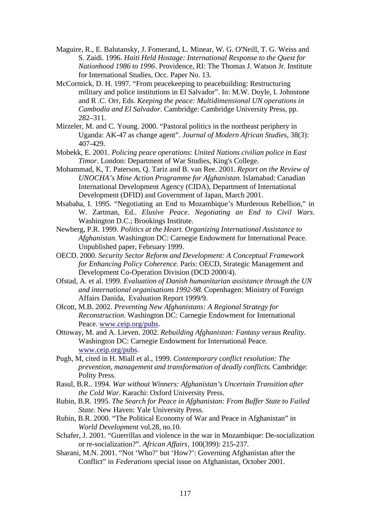- Maguire, R., E. Balutansky, J. Fomerand, L. Minear, W. G. O'Neill, T. G. Weiss and S. Zaidi. 1996. *Haiti Held Hostage: International Response to the Quest for Nationhood 1986 to 1996*. Providence, RI: The Thomas J. Watson Jr. Institute for International Studies, Occ. Paper No. 13.
- McCormick, D. H. 1997. "From peacekeeping to peacebuilding: Restructuring military and police institutions in El Salvador". In: M.W. Doyle, I. Johnstone and R .C. Orr, Eds. *Keeping the peace: Multidimensional UN operations in Cambodia and El Salvador*. Cambridge: Cambridge University Press, pp. 282–311.
- Mirzeler, M. and C. Young. 2000. "Pastoral politics in the northeast periphery in Uganda: AK-47 as change agent". *Journal of Modern African Studies*, 38(3): 407-429.
- Mobekk, E. 2001. *Policing peace operations: United Nations civilian police in East Timor*. London: Department of War Studies, King's College.
- Mohammad, K, T. Paterson, Q. Tariz and B. van Ree. 2001. *Report on the Review of UNOCHA's Mine Action Programme for Afghanistan.* Islamabad: Canadian International Development Agency (CIDA), Department of International Development (DFID) and Government of Japan, March 2001.
- Msabaha, I. 1995. "Negotiating an End to Mozambique's Murderous Rebellion," in W. Zartman, Ed.. *Elusive Peace. Negotiating an End to Civil Wars*. Washington D.C.; Brookings Institute.
- Newberg, P.R. 1999. *Politics at the Heart. Organizing International Assistance to Afghanistan.* Washington DC: Carnegie Endowment for International Peace. Unpublished paper, February 1999.
- OECD. 2000. *Security Sector Reform and Development: A Conceptual Framework for Enhancing Policy Coherence*. Paris: OECD, Strategic Management and Development Co-Operation Division (DCD 2000/4).
- Ofstad, A. et al. 1999. *Evaluation of Danish humanitarian assistance through the UN and international organisations 1992-98.* Copenhagen: Ministry of Foreign Affairs Danida, Evaluation Report 1999/9.
- Olcott, M.B. 2002. *Preventing New Afghanistans: A Regional Strategy for Reconstruction.* Washington DC: Carnegie Endowment for International Peace. www.ceip.org/pubs.
- Ottoway, M. and A. Lieven. 2002. *Rebuilding Afghanistan: Fantasy versus Reality.* Washington DC: Carnegie Endowment for International Peace. www.ceip.org/pubs.
- Pugh, M, cited in H. Miall et al., 1999. *Contemporary conflict resolution: The prevention, management and transformation of deadly conflicts*. Cambridge: Polity Press.
- Rasul, B.R.. 1994. *War without Winners: Afghanistan's Uncertain Transition after the Cold War.* Karachi: Oxford University Press.
- Rubin, B.R. 1995. *The Search for Peace in Afghanistan: From Buffer State to Failed State.* New Haven: Yale University Press.
- Rubin, B.R. 2000. "The Political Economy of War and Peace in Afghanistan" in *World Development* vol.28, no.10.
- Schafer, J. 2001. "Guerrillas and violence in the war in Mozambique: De-socialization or re-socialization?". *African Affairs*, 100(399): 215-237.
- Sharani, M.N. 2001. "Not 'Who?' but 'How?': Governing Afghanistan after the Conflict" in *Federations* special issue on Afghanistan, October 2001.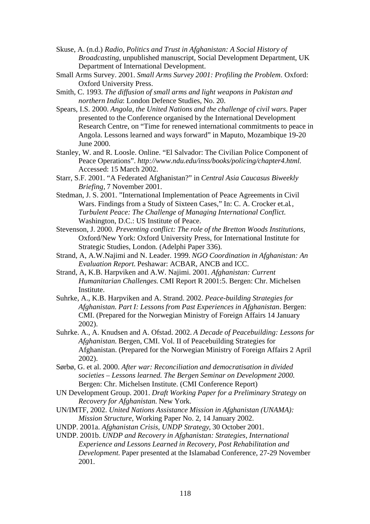- Skuse, A. (n.d.) *Radio, Politics and Trust in Afghanistan: A Social History of Broadcasting*, unpublished manuscript, Social Development Department, UK Department of International Development.
- Small Arms Survey. 2001. *Small Arms Survey 2001: Profiling the Problem*. Oxford: Oxford University Press.
- Smith, C. 1993. *The diffusion of small arms and light weapons in Pakistan and northern India*: London Defence Studies, No. 20.
- Spears, I.S. 2000. *Angola, the United Nations and the challenge of civil wars*. Paper presented to the Conference organised by the International Development Research Centre, on "Time for renewed international commitments to peace in Angola. Lessons learned and ways forward" in Maputo, Mozambique 19-20 June 2000.
- Stanley, W. and R. Loosle. Online. "El Salvador: The Civilian Police Component of Peace Operations". *http://www.ndu.edu/inss/books/policing/chapter4.html.* Accessed: 15 March 2002.
- Starr, S.F. 2001. "A Federated Afghanistan?" in *Central Asia Caucasus Biweekly Briefing,* 7 November 2001.
- Stedman, J. S. 2001. "International Implementation of Peace Agreements in Civil Wars. Findings from a Study of Sixteen Cases," In: C. A. Crocker et.al*., Turbulent Peace: The Challenge of Managing International Conflict.* Washington, D.C.: US Institute of Peace.
- Stevenson, J. 2000. *Preventing conflict: The role of the Bretton Woods Institutions,* Oxford/New York: Oxford University Press, for International Institute for Strategic Studies, London. (Adelphi Paper 336).
- Strand, A, A.W.Najimi and N. Leader. 1999. *NGO Coordination in Afghanistan: An Evaluation Report.* Peshawar: ACBAR, ANCB and ICC.
- Strand, A, K.B. Harpviken and A.W. Najimi. 2001. *Afghanistan: Current Humanitarian Challenges.* CMI Report R 2001:5. Bergen: Chr. Michelsen Institute.
- Suhrke, A., K.B. Harpviken and A. Strand. 2002. *Peace-building Strategies for Afghanistan. Part I: Lessons from Past Experiences in Afghanistan*. Bergen: CMI. (Prepared for the Norwegian Ministry of Foreign Affairs 14 January 2002).
- Suhrke. A., A. Knudsen and A. Ofstad. 2002. *A Decade of Peacebuilding: Lessons for Afghanistan.* Bergen, CMI. Vol. II of Peacebuilding Strategies for Afghanistan. (Prepared for the Norwegian Ministry of Foreign Affairs 2 April 2002).
- Sørbø, G. et al. 2000. *After war: Reconciliation and democratisation in divided societies – Lessons learned. The Bergen Seminar on Development 2000.* Bergen: Chr. Michelsen Institute. (CMI Conference Report)
- UN Development Group. 2001. *Draft Working Paper for a Preliminary Strategy on Recovery for Afghanistan.* New York.
- UN/IMTF, 2002. *United Nations Assistance Mission in Afghanistan (UNAMA): Mission Structure*, Working Paper No. 2, 14 January 2002.
- UNDP. 2001a. *Afghanistan Crisis, UNDP Strategy*, 30 October 2001.
- UNDP. 2001b. *UNDP and Recovery in Afghanistan: Strategies, International Experience and Lessons Learned in Recovery, Post Rehabilitation and Development.* Paper presented at the Islamabad Conference, 27-29 November 2001.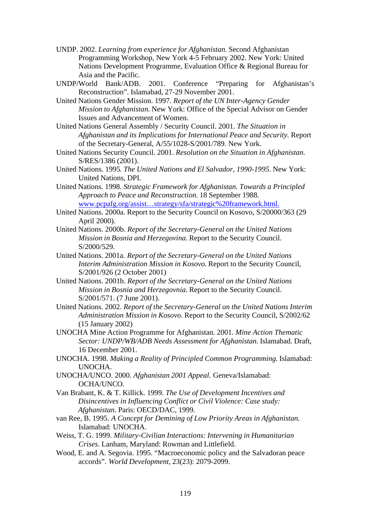- UNDP. 2002. *Learning from experience for Afghanistan.* Second Afghanistan Programming Workshop, New York 4-5 February 2002. New York: United Nations Development Programme, Evaluation Office & Regional Bureau for Asia and the Pacific.
- UNDP/World Bank/ADB. 2001. Conference "Preparing for Afghanistan's Reconstruction". Islamabad, 27-29 November 2001.
- United Nations Gender Mission. 1997. *Report of the UN Inter-Agency Gender Mission to Afghanistan.* New York: Office of the Special Advisor on Gender Issues and Advancement of Women.
- United Nations General Assembly / Security Council. 2001. *The Situation in Afghanistan and its Implications for International Peace and Security.* Report of the Secretary-General, A/55/1028-S/2001/789. New York.
- United Nations Security Council. 2001. *Resolution on the Situation in Afghanistan.* S/RES/1386 (2001).
- United Nations. 1995*. The United Nations and El Salvador, 1990-1995*. New York: United Nations, DPI.
- United Nations. 1998. *Strategic Framework for Afghanistan. Towards a Principled Approach to Peace and Reconstruction.* 18 September 1988. www.pcpafg.org/assist…strategy/sfa/strategic%20framework.html.
- United Nations. 2000a. Report to the Security Council on Kosovo, S/20000/363 (29 April 2000).
- United Nations. 2000b. *Report of the Secretary-General on the United Nations Mission in Bosnia and Herzegovina.* Report to the Security Council. S/2000/529.
- United Nations. 2001a. *Report of the Secretary-General on the United Nations Interim Administration Mission in Kosovo.* Report to the Security Council, S/2001/926 (2 October 2001)
- United Nations. 2001b. *Report of the Secretary-General on the United Nations Mission in Bosnia and Herzegovnia.* Report to the Security Council. S/2001/571. (7 June 2001).
- United Nations. 2002. *Report of the Secretary-General on the United Nations Interim Administration Mission in Kosovo.* Report to the Security Council, S/2002/62 (15 January 2002)
- UNOCHA Mine Action Programme for Afghanistan. 2001. *Mine Action Thematic Sector: UNDP/WB/ADB Needs Assessment for Afghanistan.* Islamabad. Draft, 16 December 2001.
- UNOCHA. 1998. *Making a Reality of Principled Common Programming.* Islamabad: UNOCHA.
- UNOCHA/UNCO. 2000. *Afghanistan 2001 Appeal.* Geneva/Islamabad: OCHA/UNCO.
- Van Brabant, K. & T. Killick. 1999. *The Use of Development Incentives and Disincentives in Influencing Conflict or Civil Violence: Case study: Afghanistan*. Paris: OECD/DAC, 1999.
- van Ree, B. 1995. *A Concept for Demining of Low Priority Areas in Afghanistan.* Islamabad: UNOCHA.
- Weiss, T. G. 1999. *Military-Civilian Interactions: Intervening in Humanitarian Crises*. Lanham, Maryland: Rowman and Littlefield.
- Wood, E. and A. Segovia. 1995. "Macroeconomic policy and the Salvadoran peace accords". *World Development,* 23(23): 2079-2099.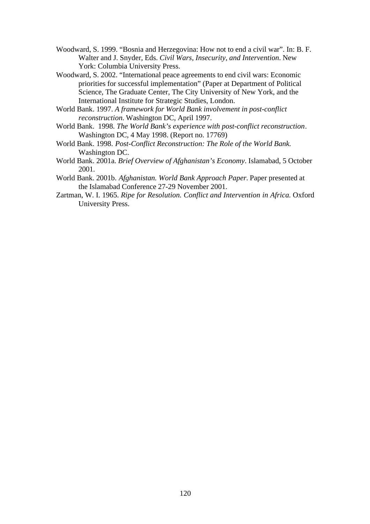- Woodward, S. 1999. "Bosnia and Herzegovina: How not to end a civil war". In: B. F. Walter and J. Snyder, Eds. *Civil Wars, Insecurity, and Intervention*. New York: Columbia University Press.
- Woodward, S. 2002. "International peace agreements to end civil wars: Economic priorities for successful implementation" (Paper at Department of Political Science, The Graduate Center, The City University of New York, and the International Institute for Strategic Studies, London.
- World Bank. 1997. *A framework for World Bank involvement in post-conflict reconstruction.* Washington DC, April 1997.
- World Bank. 1998. *The World Bank's experience with post-conflict reconstruction*. Washington DC, 4 May 1998. (Report no. 17769)
- World Bank. 1998. *Post-Conflict Reconstruction: The Role of the World Bank.* Washington DC.
- World Bank. 2001a. *Brief Overview of Afghanistan's Economy*. Islamabad, 5 October 2001.
- World Bank. 2001b. *Afghanistan. World Bank Approach Paper.* Paper presented at the Islamabad Conference 27-29 November 2001.
- Zartman, W. I. 1965. *Ripe for Resolution. Conflict and Intervention in Africa.* Oxford University Press.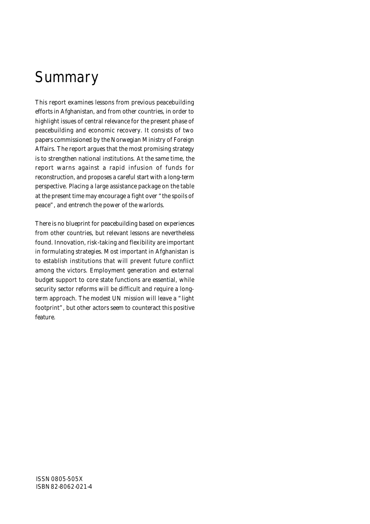# **Summary**

This report examines lessons from previous peacebuilding efforts in Afghanistan, and from other countries, in order to highlight issues of central relevance for the present phase of peacebuilding and economic recovery. It consists of two papers commissioned by the Norwegian Ministry of Foreign Affairs. The report argues that the most promising strategy is to strengthen national institutions. At the same time, the report warns against a rapid infusion of funds for reconstruction, and proposes a careful start with a long-term perspective. Placing a large assistance package on the table at the present time may encourage a fight over "the spoils of peace", and entrench the power of the warlords.

There is no blueprint for peacebuilding based on experiences from other countries, but relevant lessons are nevertheless found. Innovation, risk-taking and flexibility are important in formulating strategies. Most important in Afghanistan is to establish institutions that will prevent future conflict among the victors. Employment generation and external budget support to core state functions are essential, while security sector reforms will be difficult and require a longterm approach. The modest UN mission will leave a "light footprint", but other actors seem to counteract this positive feature.